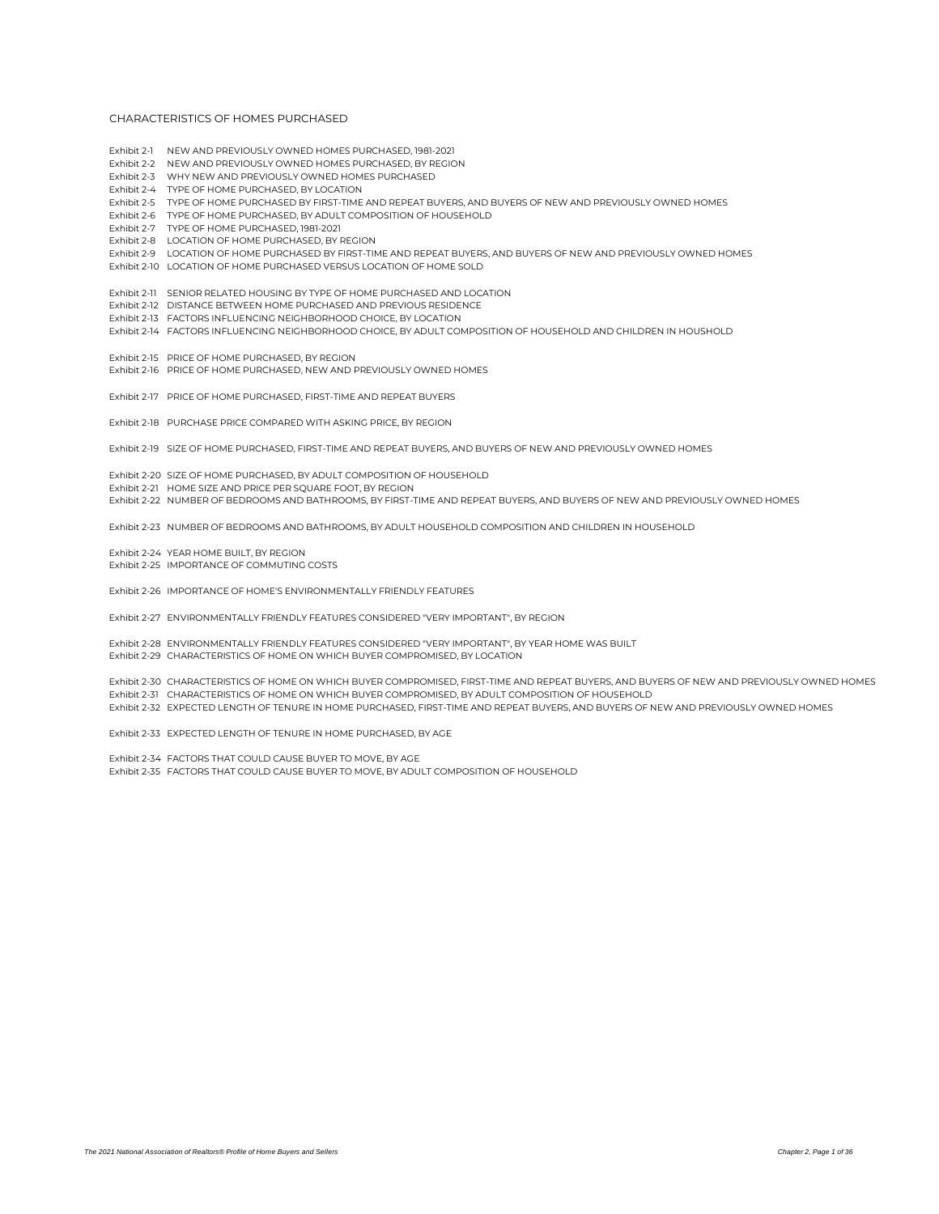- Exhibit 2-1 NEW AND PREVIOUSLY OWNED HOMES PURCHASED, 1981-2021
- Exhibit 2-2 NEW AND PREVIOUSLY OWNED HOMES PURCHASED, BY REGION
- Exhibit 2-3 WHY NEW AND PREVIOUSLY OWNED HOMES PURCHASED
- Exhibit 2-4 TYPE OF HOME PURCHASED, BY LOCATION
- Exhibit 2-5 TYPE OF HOME PURCHASED BY FIRST-TIME AND REPEAT BUYERS, AND BUYERS OF NEW AND PREVIOUSLY OWNED HOMES
- Exhibit 2-6 TYPE OF HOME PURCHASED, BY ADULT COMPOSITION OF HOUSEHOLD
- Exhibit 2-7 TYPE OF HOME PURCHASED, 1981-2021
- Exhibit 2-8 LOCATION OF HOME PURCHASED, BY REGION
- Exhibit 2-9 LOCATION OF HOME PURCHASED BY FIRST-TIME AND REPEAT BUYERS, AND BUYERS OF NEW AND PREVIOUSLY OWNED HOMES
- Exhibit 2-10 LOCATION OF HOME PURCHASED VERSUS LOCATION OF HOME SOLD
- 
- Exhibit 2-11 SENIOR RELATED HOUSING BY TYPE OF HOME PURCHASED AND LOCATION
- Exhibit 2-12 DISTANCE BETWEEN HOME PURCHASED AND PREVIOUS RESIDENCE
- Exhibit 2-13 FACTORS INFLUENCING NEIGHBORHOOD CHOICE, BY LOCATION
- Exhibit 2-14 FACTORS INFLUENCING NEIGHBORHOOD CHOICE, BY ADULT COMPOSITION OF HOUSEHOLD AND CHILDREN IN HOUSHOLD
- Exhibit 2-15 PRICE OF HOME PURCHASED, BY REGION
- Exhibit 2-16 PRICE OF HOME PURCHASED, NEW AND PREVIOUSLY OWNED HOMES
- Exhibit 2-17 PRICE OF HOME PURCHASED, FIRST-TIME AND REPEAT BUYERS
- Exhibit 2-18 PURCHASE PRICE COMPARED WITH ASKING PRICE, BY REGION
- Exhibit 2-19 SIZE OF HOME PURCHASED, FIRST-TIME AND REPEAT BUYERS, AND BUYERS OF NEW AND PREVIOUSLY OWNED HOMES
- Exhibit 2-20 SIZE OF HOME PURCHASED, BY ADULT COMPOSITION OF HOUSEHOLD
- Exhibit 2-21 HOME SIZE AND PRICE RER SOLIARE FOOT, BY REGION
- Exhibit 2-22 NUMBER OF BEDROOMS AND BATHROOMS, BY FIRST-TIME AND REPEAT BUYERS, AND BUYERS OF NEW AND PREVIOUSLY OWNED HOMES
- Exhibit 2-23 NUMBER OF BEDROOMS AND BATHROOMS, BY ADULT HOUSEHOLD COMPOSITION AND CHILDREN IN HOUSEHOLD
- Exhibit 2-24 YEAR HOME BUILT, BY REGION
- Exhibit 2-25 IMPORTANCE OF COMMUTING COSTS
- Exhibit 2-26 IMPORTANCE OF HOME'S ENVIRONMENTALLY FRIENDLY FEATURES
- Exhibit 2-27 ENVIRONMENTALLY FRIENDLY FEATURES CONSIDERED "VERY IMPORTANT", BY REGION
- Exhibit 2-28 ENVIRONMENTALLY FRIENDLY FEATURES CONSIDERED "VERY IMPORTANT", BY YEAR HOME WAS BUILT
- Exhibit 2-29 CHARACTERISTICS OF HOME ON WHICH BUYER COMPROMISED, BY LOCATION
- Exhibit 2-30 CHARACTERISTICS OF HOME ON WHICH BUYER COMPROMISED, FIRST-TIME AND REPEAT BUYERS, AND BUYERS OF NEW AND PREVIOUSLY OWNED HOMES
- Exhibit 2-31 CHARACTERISTICS OF HOME ON WHICH BUYER COMPROMISED, BY ADULT COMPOSITION OF HOUSEHOLD
- Exhibit 2-32 EXPECTED LENGTH OF TENURE IN HOME PURCHASED, FIRST-TIME AND REPEAT BUYERS, AND BUYERS OF NEW AND PREVIOUSLY OWNED HOMES
- Exhibit 2-33 EXPECTED LENGTH OF TENURE IN HOME PURCHASED, BY AGE
- Exhibit 2-34 FACTORS THAT COULD CAUSE BUYER TO MOVE, BY AGE
- Exhibit 2-35 FACTORS THAT COULD CAUSE BUYER TO MOVE, BY ADULT COMPOSITION OF HOUSEHOLD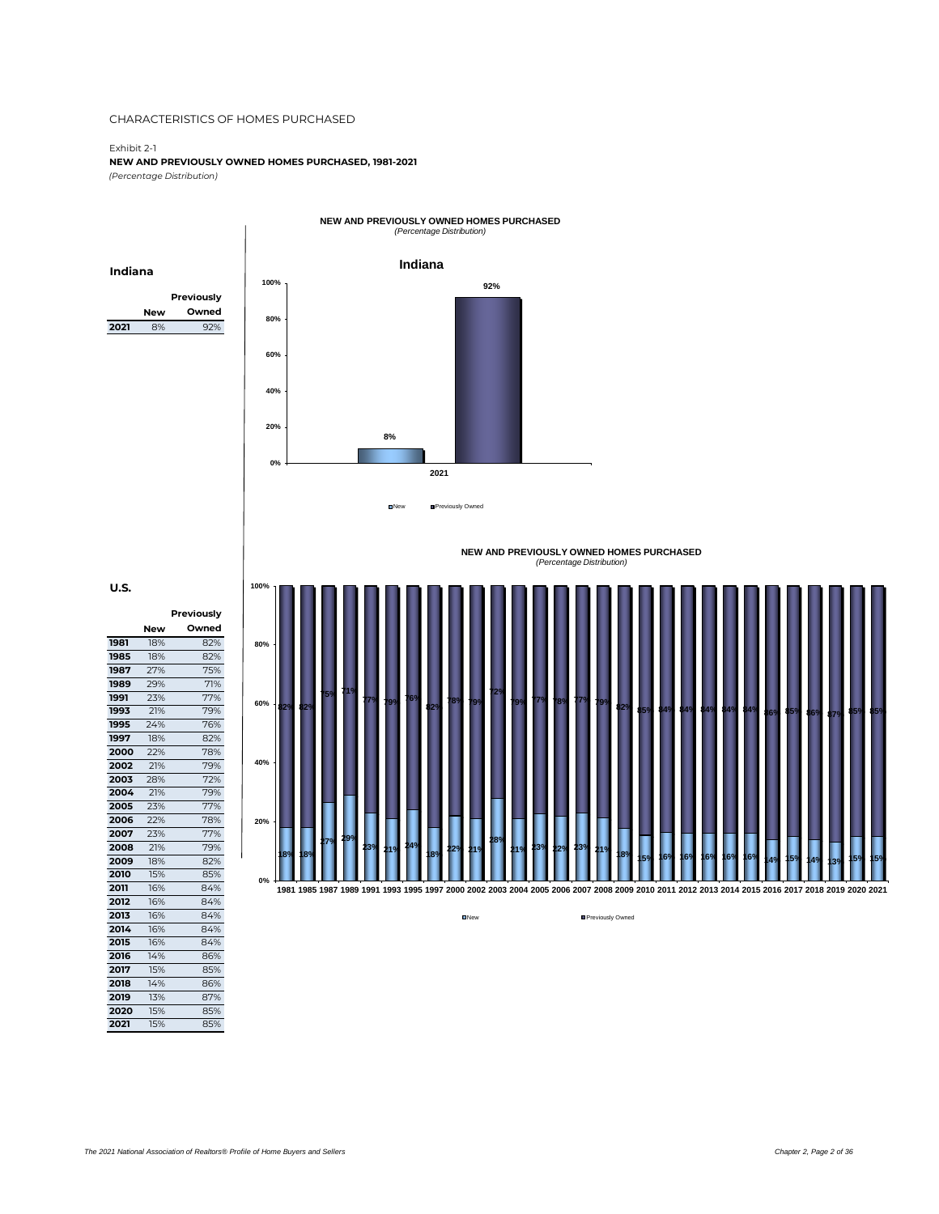Exhibit 2-1

**NEW AND PREVIOUSLY OWNED HOMES PURCHASED, 1981-2021** *(Percentage Distribution)*

**New Previously Owned 2021** 8% 92% **Indiana 8% 92% 0% 20% 40% 60% 80% 100% 2021 NEW AND PREVIOUSLY OWNED HOMES PURCHASED** *(Percentage Distribution)* New Previously Owned **Indiana**

**U.S.**

**2007** 

**New**

**1981** 18% 82%<br>**1985** 18% 82%

**1987** 27% 75% **1989** 29% 71% **1991** 23% 77% **1993** 21% 79% **1995** 24%<br>**1997** 18%

**1997** 18% 82% **2000** 22% 78% **2002** 21% 79% **2003** 28% 72% **2004** 21% 79% **2005** 23% 77% **2006** 22% 78%

**Previously Owned**

**1985** 18% 82%

|             |     |  |  |  |                                                                                                                                                        |   |  |     | (Percentage Distribution) |     | NEW AND PREVIOUSLY OWNED HOMES PURCHASED |     |     |     |     |                 |     |    |     |                |    |   |     |
|-------------|-----|--|--|--|--------------------------------------------------------------------------------------------------------------------------------------------------------|---|--|-----|---------------------------|-----|------------------------------------------|-----|-----|-----|-----|-----------------|-----|----|-----|----------------|----|---|-----|
| 100%<br>80% |     |  |  |  |                                                                                                                                                        |   |  |     |                           |     |                                          |     |     |     |     |                 |     |    |     |                |    |   |     |
| 60%         | 82, |  |  |  |                                                                                                                                                        | ш |  |     | ж                         |     |                                          | и.  |     |     |     |                 |     | n  | W.  | a.             |    |   |     |
| 40%<br>20%  |     |  |  |  |                                                                                                                                                        |   |  |     |                           |     |                                          |     |     |     |     |                 |     |    |     |                |    |   |     |
| $0\%$       | 18% |  |  |  | R9<br>1981 1985 1987 1989 1991 1993 1995 1997 2000 2002 2003 2004 2005 2006 2007 2008 2009 2010 2011 2012 2013 2014 2015 2016 2017 2018 2019 2020 2021 |   |  | 139 | 22%                       | 239 | 189                                      | 159 | 16% | 16% | 16% | 16 <sup>o</sup> | 16% | 40 | 159 | 4 <sup>o</sup> | 3% | ю | 15% |

**Dividends** Previously Owned

**2011** 16% 84% **2012** 16% 84%<br>**2013** 16% 84% **2013** 16% 84% **2014** 16% 84%

**2015** 16% 84% **2016** 14% 86% **2017** 15% 85% **2018** 14% 86%<br>**2019** 13% 87%

**2020** 15% 85% **2021** 15% 85%

**2008** 21% 79% **2009** 18% 82% **2010** 15% 85%

**2019** 13% 87%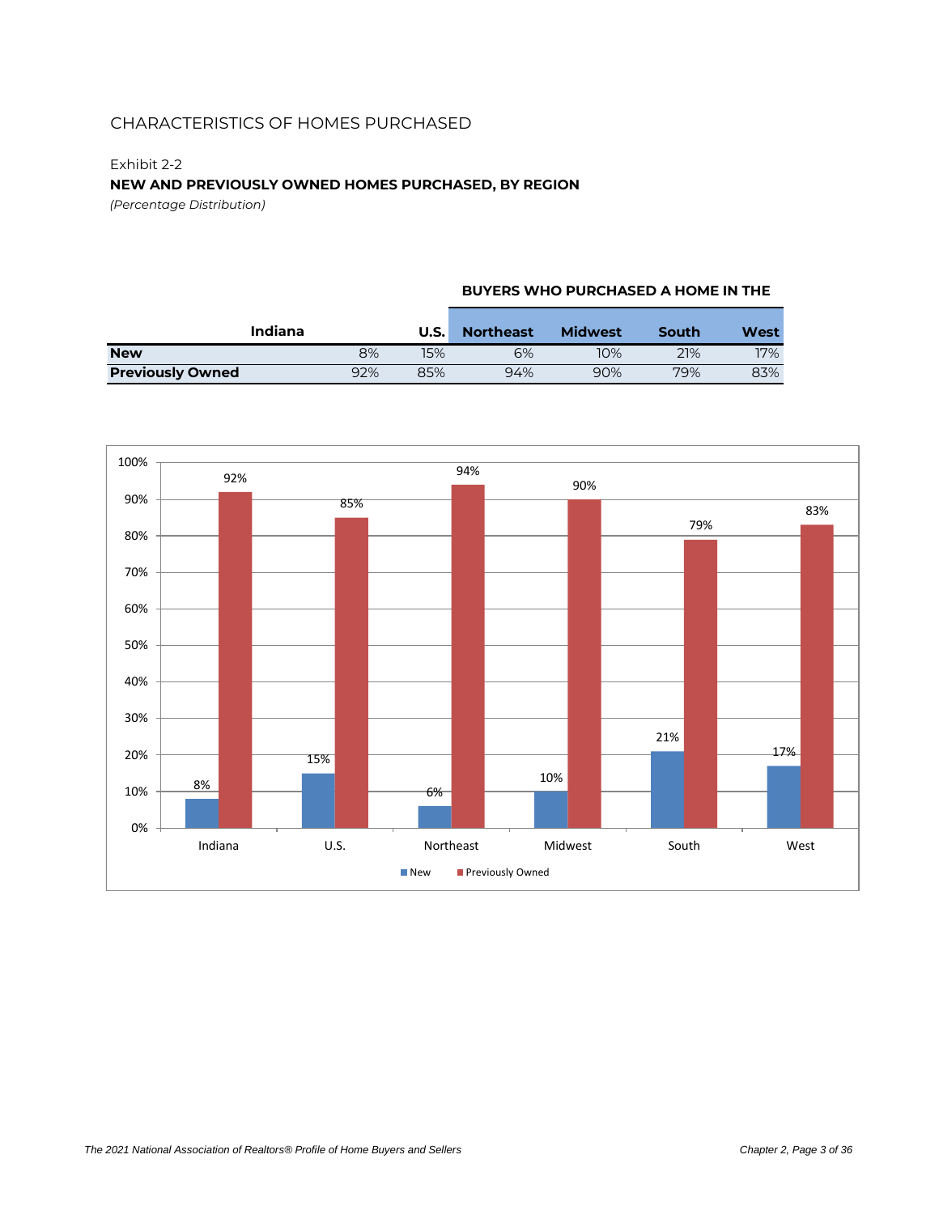### Exhibit 2-2 **NEW AND PREVIOUSLY OWNED HOMES PURCHASED, BY REGION**

*(Percentage Distribution)*

#### **BUYERS WHO PURCHASED A HOME IN THE**

|                         | Indiana | U.S. | <b>Northeast</b> | <b>Midwest</b> | South | West |
|-------------------------|---------|------|------------------|----------------|-------|------|
| <b>New</b>              | 8%      | 15%  | 6%               | 10%            | 21%   | 17%  |
| <b>Previously Owned</b> | 92%     | 85%  | 94%              | 90%            | 79%   | 83%  |

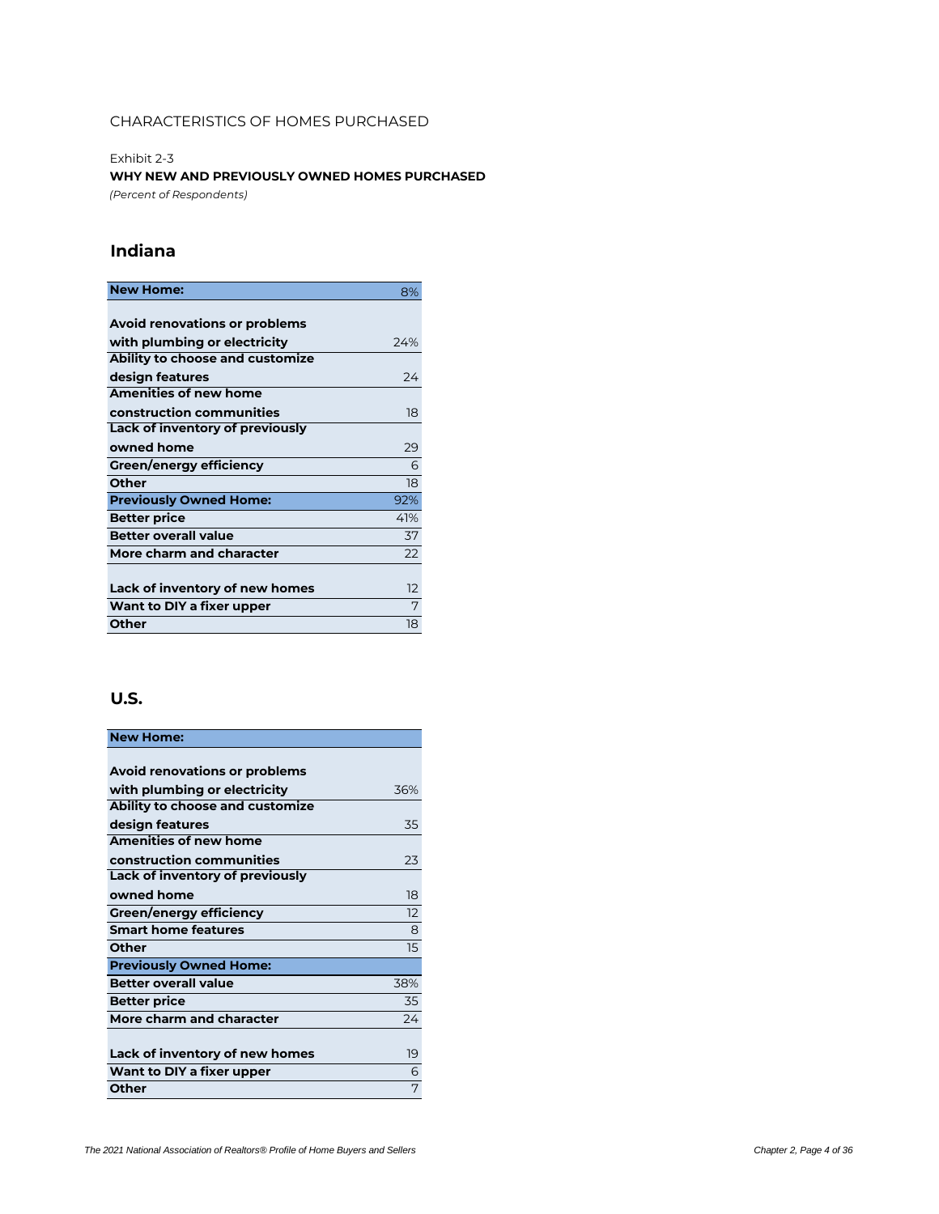Exhibit 2-3 **WHY NEW AND PREVIOUSLY OWNED HOMES PURCHASED** *(Percent of Respondents)*

### **Indiana**

| <b>New Home:</b>                     | 8%  |
|--------------------------------------|-----|
|                                      |     |
| <b>Avoid renovations or problems</b> |     |
| with plumbing or electricity         | 24% |
| Ability to choose and customize      |     |
| design features                      | 24  |
| <b>Amenities of new home</b>         |     |
| construction communities             | 18  |
| Lack of inventory of previously      |     |
| owned home                           | 29  |
| Green/energy efficiency              | 6   |
| Other                                | 18  |
| <b>Previously Owned Home:</b>        | 92% |
| <b>Better price</b>                  | 41% |
| <b>Better overall value</b>          | 37  |
| More charm and character             | 22  |
|                                      |     |
| Lack of inventory of new homes       | 12  |
| Want to DIY a fixer upper            | 7   |
| Other                                | 18  |

| <b>New Home:</b>                     |     |
|--------------------------------------|-----|
|                                      |     |
| <b>Avoid renovations or problems</b> |     |
| with plumbing or electricity         | 36% |
| Ability to choose and customize      |     |
| design features                      | 35  |
| <b>Amenities of new home</b>         |     |
| construction communities             | 23  |
| Lack of inventory of previously      |     |
| owned home                           | 18  |
| Green/energy efficiency              | 12  |
| <b>Smart home features</b>           | 8   |
| Other                                | 15  |
| <b>Previously Owned Home:</b>        |     |
| <b>Better overall value</b>          | 38% |
| <b>Better price</b>                  | 35  |
| More charm and character             | 74  |
|                                      |     |
| Lack of inventory of new homes       | 19  |
| Want to DIY a fixer upper            | 6   |
| Other                                | 7   |
|                                      |     |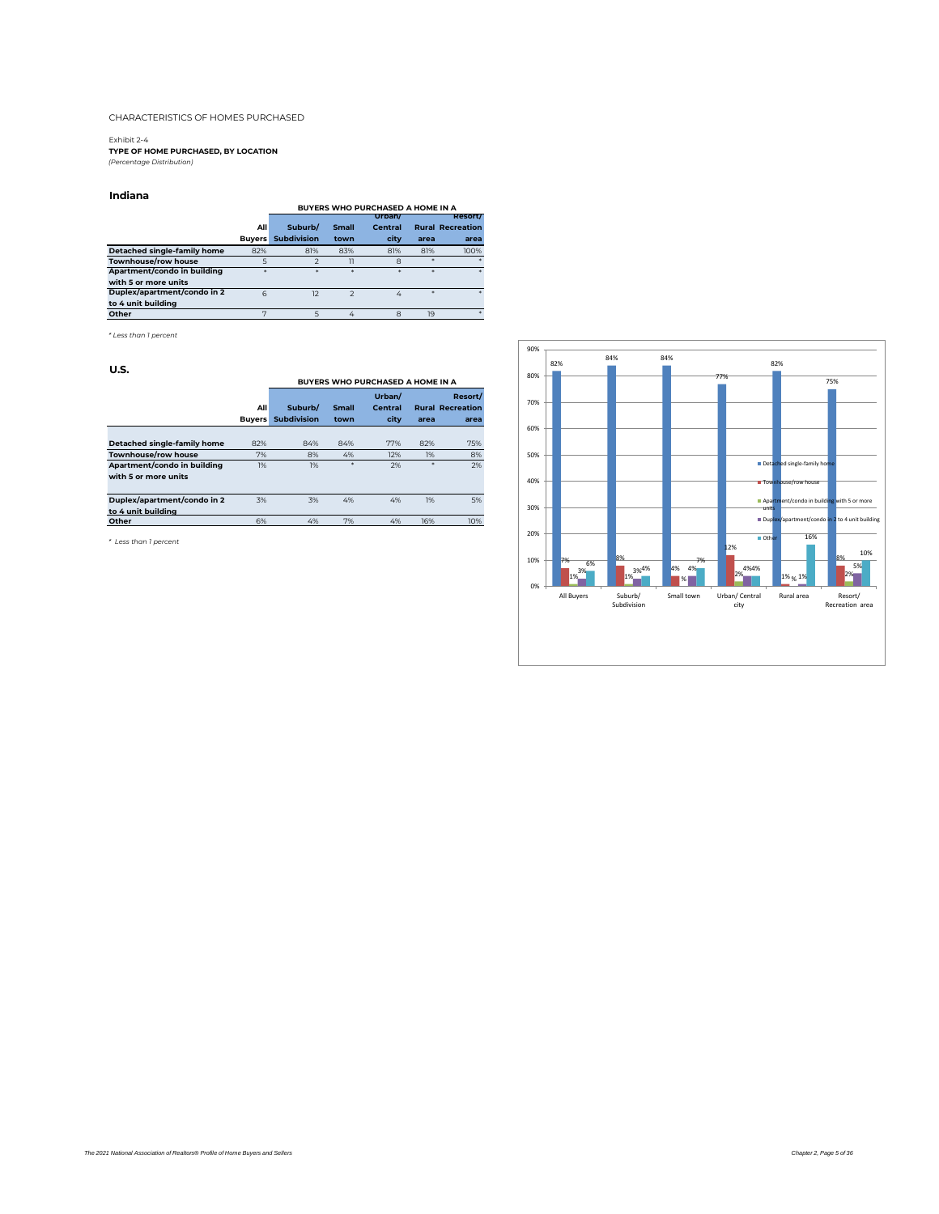Exhibit 2-4 **TYPE OF HOME PURCHASED, BY LOCATION** *(Percentage Distribution)*

#### **Indiana**

|                             |               |                    |               | BUYERS WHO PURCHASED A HOME IN A |      |                         |
|-----------------------------|---------------|--------------------|---------------|----------------------------------|------|-------------------------|
|                             |               |                    |               | Urbant                           |      | <b>Resort/</b>          |
|                             | All           | Suburb/            | <b>Small</b>  | Central                          |      | <b>Rural Recreation</b> |
|                             | <b>Buvers</b> | <b>Subdivision</b> | town          | city                             | area | area                    |
| Detached single-family home | 82%           | 81%                | 83%           | 81%                              | 81%  | 100%                    |
| Townhouse/row house         |               |                    | 11            | 8                                |      |                         |
| Apartment/condo in building | ×             | ×                  | ż             | ż                                |      | $\star$                 |
| with 5 or more units        |               |                    |               |                                  |      |                         |
| Duplex/apartment/condo in 2 | 6             | 12                 | $\mathcal{P}$ | 4                                |      |                         |
| to 4 unit building          |               |                    |               |                                  |      |                         |
| Other                       |               | 5                  | 4             | 8                                | 19   |                         |

*\* Less than 1 percent*

#### **U.S.**

| ----                        |               |                    |              |                                         |      |                         |
|-----------------------------|---------------|--------------------|--------------|-----------------------------------------|------|-------------------------|
|                             |               |                    |              | <b>BUYERS WHO PURCHASED A HOME IN A</b> |      |                         |
|                             |               |                    |              | Urban/                                  |      | Resort/                 |
|                             | All           | Suburb/            | <b>Small</b> | Central                                 |      | <b>Rural Recreation</b> |
|                             | <b>Buvers</b> | <b>Subdivision</b> | town         | city                                    | area | area                    |
|                             |               |                    |              |                                         |      |                         |
| Detached single-family home | 82%           | 84%                | 84%          | 77%                                     | 82%  | 75%                     |
| Townhouse/row house         | 7%            | 8%                 | 4%           | 12%                                     | 1%   | 8%                      |
| Apartment/condo in building | 1%            | 1%                 | *            | 2%                                      | *    | 2%                      |
| with 5 or more units        |               |                    |              |                                         |      |                         |
|                             |               |                    |              |                                         |      |                         |
| Duplex/apartment/condo in 2 | 3%            | 3%                 | 4%           | 4%                                      | 1%   | 5%                      |
| to 4 unit building          |               |                    |              |                                         |      |                         |
| Other                       | 6%            | 4%                 | 7%           | 4%                                      | 16%  | 10%                     |
|                             |               |                    |              |                                         |      |                         |

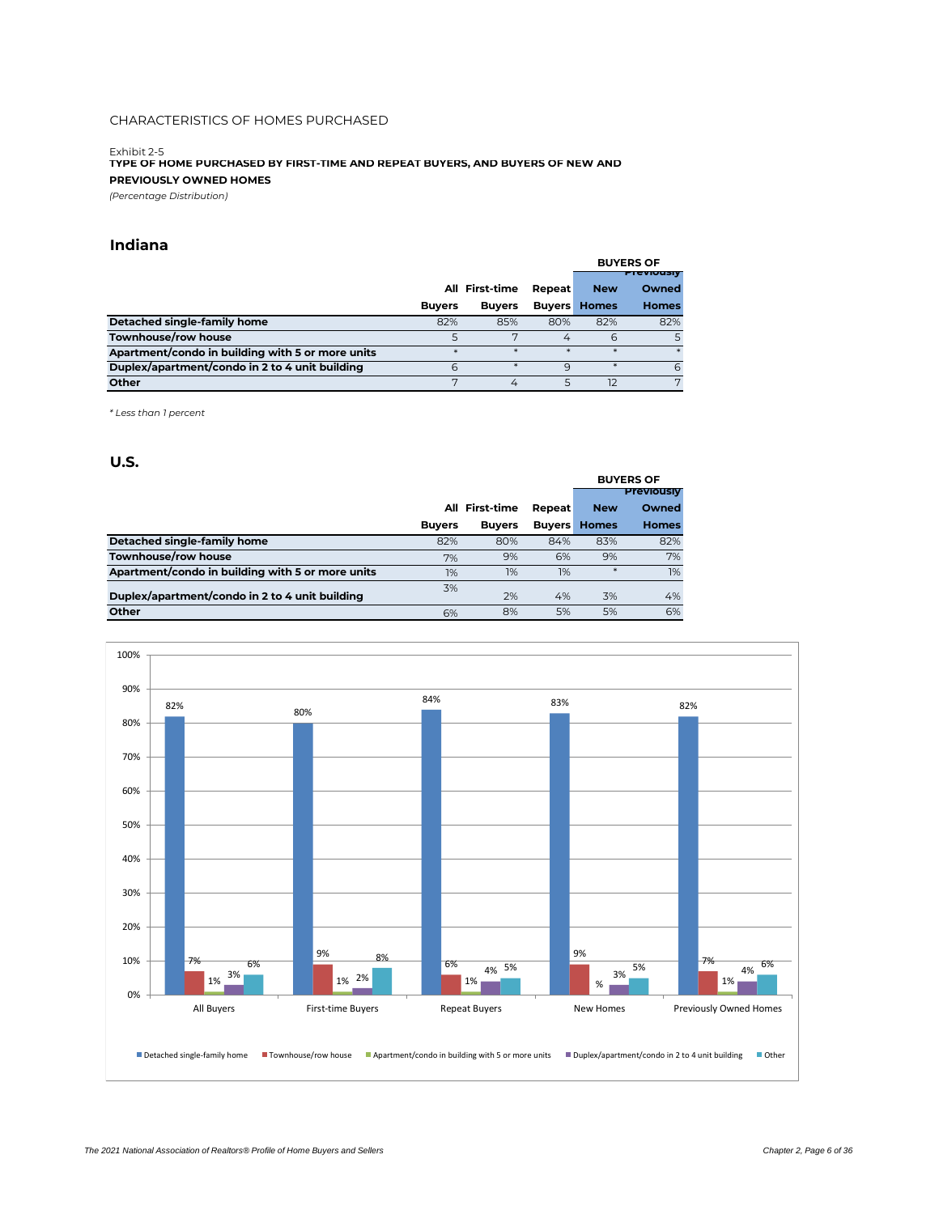Exhibit 2-5 **TYPE OF HOME PURCHASED BY FIRST-TIME AND REPEAT BUYERS, AND BUYERS OF NEW AND PREVIOUSLY OWNED HOMES**

*(Percentage Distribution)*

### **Indiana**

|                                                  |               |                |        |                     | <b>BUYERS OF</b>  |
|--------------------------------------------------|---------------|----------------|--------|---------------------|-------------------|
|                                                  |               |                |        |                     | <b>Previously</b> |
|                                                  |               | All First-time | Repeat | <b>New</b>          | Owned             |
|                                                  | <b>Buvers</b> | <b>Buvers</b>  |        | <b>Buyers Homes</b> | <b>Homes</b>      |
| Detached single-family home                      | 82%           | 85%            | 80%    | 82%                 | 82%               |
| Townhouse/row house                              |               |                | 4      | 6                   | 5                 |
| Apartment/condo in building with 5 or more units | $\star$       | *              | $\ast$ | $\ast$              | $\ast$            |
| Duplex/apartment/condo in 2 to 4 unit building   | 6             |                | q      | *                   | 6                 |
| Other                                            |               | 4              |        | 12                  | 7                 |

*\* Less than 1 percent*

|                                                  |               |                |        |                     | <b>BUYERS OF</b>  |
|--------------------------------------------------|---------------|----------------|--------|---------------------|-------------------|
|                                                  |               |                |        |                     | <b>Previously</b> |
|                                                  |               | All First-time | Repeat | <b>New</b>          | Owned             |
|                                                  | <b>Buvers</b> | <b>Buyers</b>  |        | <b>Buyers Homes</b> | <b>Homes</b>      |
| Detached single-family home                      | 82%           | 80%            | 84%    | 83%                 | 82%               |
| Townhouse/row house                              | 7%            | 9%             | 6%     | 9%                  | 7%                |
| Apartment/condo in building with 5 or more units | 1%            | 1%             | 1%     | $*$                 | 1%                |
| Duplex/apartment/condo in 2 to 4 unit building   | 3%            | 2%             | 4%     | 3%                  | 4%                |
| Other                                            | 6%            | 8%             | 5%     | 5%                  | 6%                |

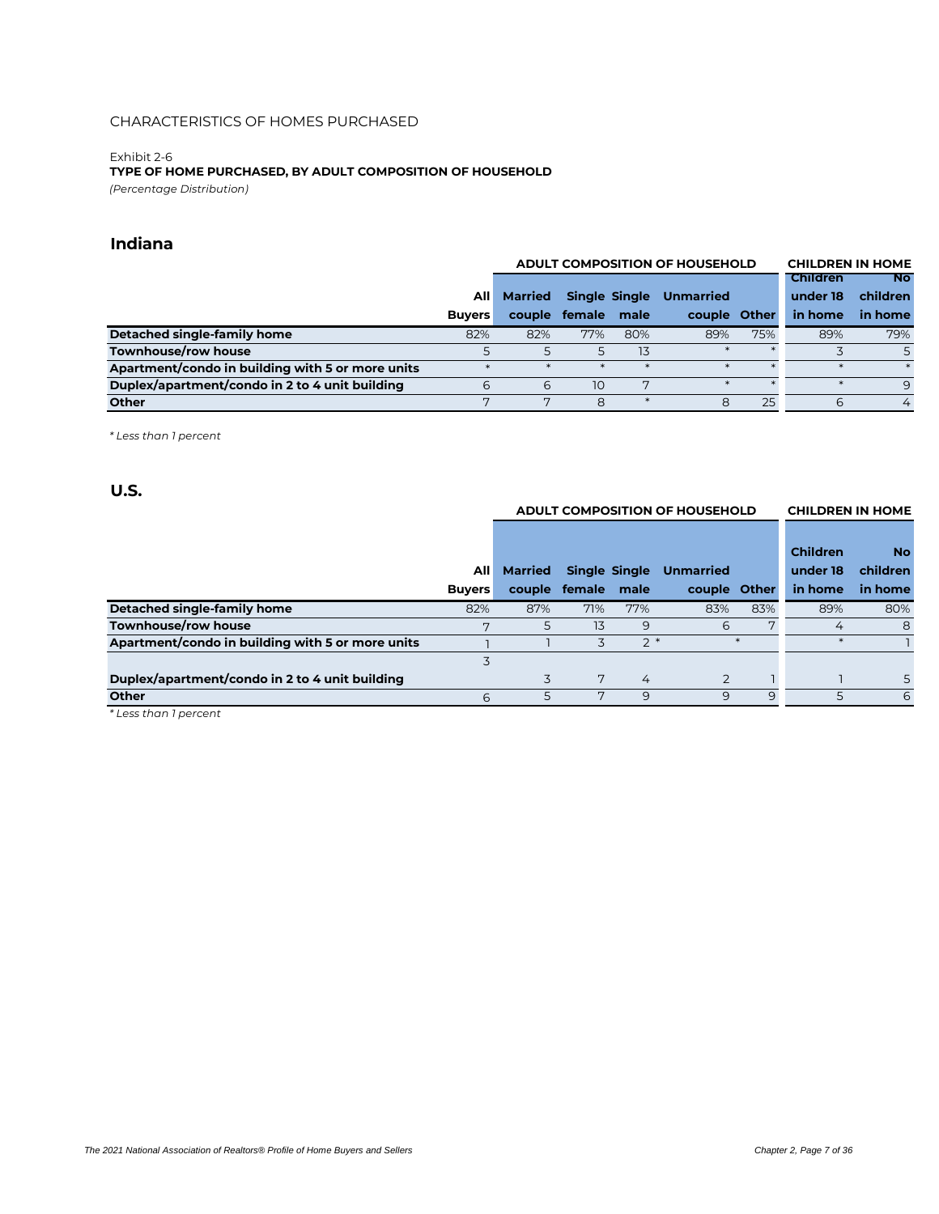#### Exhibit 2-6 *(Percentage Distribution)* **TYPE OF HOME PURCHASED, BY ADULT COMPOSITION OF HOUSEHOLD**

### **Indiana**

|                                                  |               |                 | <b>ADULT COMPOSITION OF HOUSEHOLD</b> |              | <b>CHILDREN IN HOME</b> |     |                 |           |
|--------------------------------------------------|---------------|-----------------|---------------------------------------|--------------|-------------------------|-----|-----------------|-----------|
|                                                  |               |                 |                                       |              |                         |     | <b>Children</b> | <b>No</b> |
|                                                  | AIII          | <b>Married</b>  | <b>Single Single</b>                  |              | <b>Unmarried</b>        |     | under 18        | children  |
|                                                  | <b>Buvers</b> | couple          | female male                           |              | couple Other            |     | in home         | in home   |
| Detached single-family home                      | 82%           | 82%             | 77%                                   | 80%          | 89%                     | 75% | 89%             | 79%       |
| Townhouse/row house                              |               | 5               |                                       | 13           |                         |     |                 |           |
| Apartment/condo in building with 5 or more units |               |                 |                                       |              |                         |     |                 |           |
| Duplex/apartment/condo in 2 to 4 unit building   | 6             | 6               | 10                                    | $\mathbf{r}$ |                         |     |                 | 9         |
| <b>Other</b>                                     |               | $\mathbf{\tau}$ | 8                                     |              | 8                       | 25  | 6               | 4         |

*\* Less than 1 percent*

### **U.S.**

|                                                  |               |         | <b>ADULT COMPOSITION OF HOUSEHOLD</b> |      |                  | <b>CHILDREN IN HOME</b> |                 |           |
|--------------------------------------------------|---------------|---------|---------------------------------------|------|------------------|-------------------------|-----------------|-----------|
|                                                  |               |         |                                       |      |                  |                         |                 |           |
|                                                  |               |         |                                       |      |                  |                         | <b>Children</b> | <b>No</b> |
|                                                  | AII           | Married | <b>Single Single</b>                  |      | <b>Unmarried</b> |                         | under 18        | children  |
|                                                  | <b>Buyers</b> |         | couple female male                    |      | couple Other     |                         | in home         | in home   |
| Detached single-family home                      | 82%           | 87%     | 71%                                   | 77%  | 83%              | 83%                     | 89%             | 80%       |
| Townhouse/row house                              | 7             | 5       | 13                                    | 9    | 6                | 7                       | 4               | 8         |
| Apartment/condo in building with 5 or more units |               |         | 3                                     | $2*$ |                  | $\ast$                  | $\ast$          |           |
|                                                  |               |         |                                       |      |                  |                         |                 |           |
| Duplex/apartment/condo in 2 to 4 unit building   |               |         | 7                                     | 4    | 2                |                         |                 | 5.        |
| <b>Other</b>                                     | 6             | 5       |                                       | 9    | 9                | 9                       | 5               | 6         |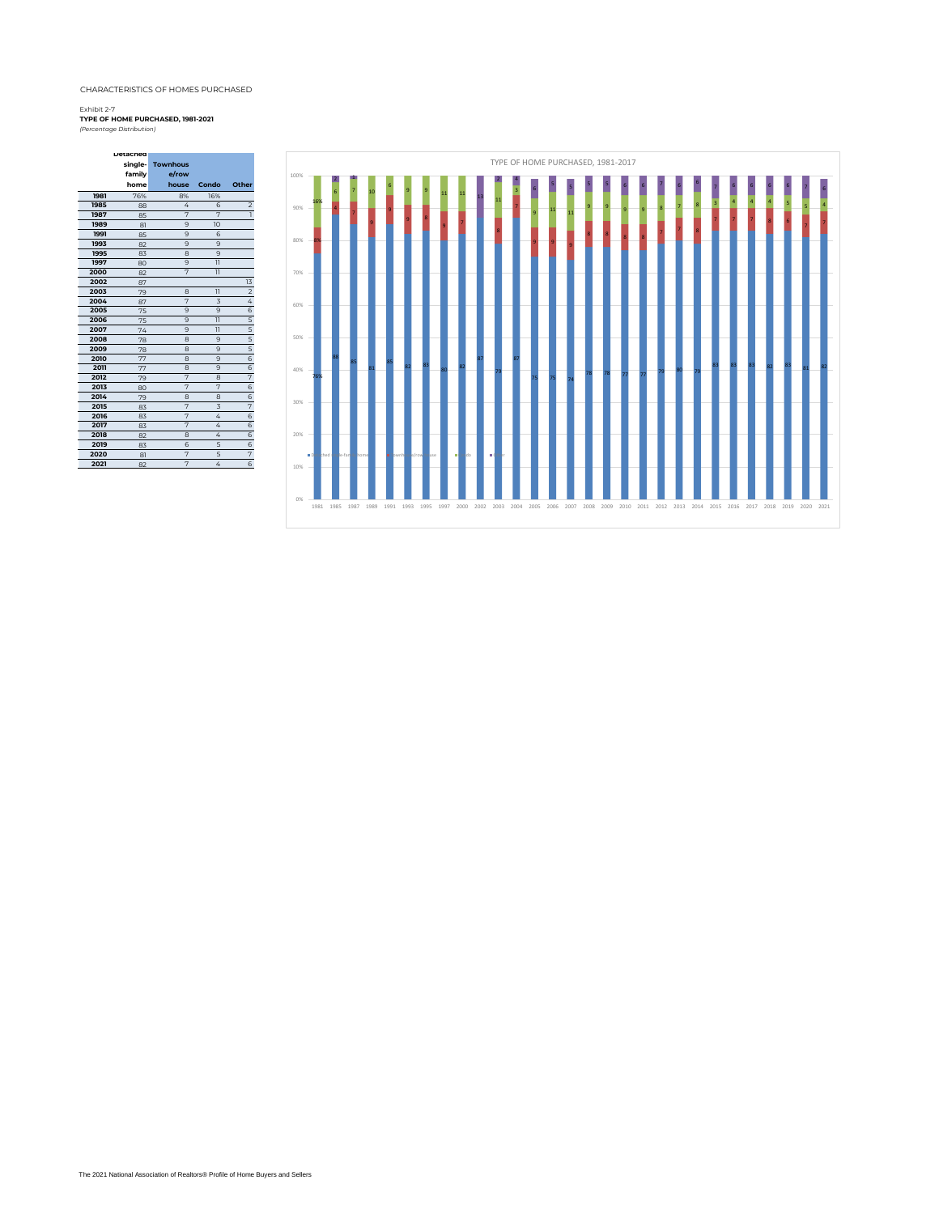**Detached** 

 $\sim 10^6$ 

#### Exhibit 2-7

*(Percentage Distribution)* **TYPE OF HOME PURCHASED, 1981-2021**

| family<br>e/row<br>home<br>house<br>Other<br>Condo<br>76%<br>1981<br>16%<br>8%<br>1985<br>4<br>6<br>88<br>$\overline{7}$<br>$\overline{7}$<br>1987<br>85<br>9<br>10<br>1989<br>81<br>1991<br>9<br>6<br>85<br>1993<br>9<br>9<br>82<br>1995<br>8<br>9<br>83<br>1997<br>$\overline{11}$<br>9<br>80<br>7<br>2000<br>$\overline{11}$<br>82<br>2002<br>87<br>2003<br>$\overline{11}$<br>8<br>79<br>2004<br>7<br>3<br>87<br>2005<br>9<br>9<br>75<br>$\overline{11}$<br>2006<br>9<br>75<br>$\overline{11}$<br>2007<br>9<br>74<br>2008<br>9<br>8<br>78<br>2009<br>8<br>9<br>78<br>2010<br>8<br>9<br>77<br>2011<br>9<br>8<br>77<br>2012<br>7<br>8<br>79<br>$\overline{7}$<br>7<br>2013<br>80<br>2014 | $\overline{\mathbf{c}}$<br>$\overline{1}$ |
|--------------------------------------------------------------------------------------------------------------------------------------------------------------------------------------------------------------------------------------------------------------------------------------------------------------------------------------------------------------------------------------------------------------------------------------------------------------------------------------------------------------------------------------------------------------------------------------------------------------------------------------------------------------------------------------------|-------------------------------------------|
|                                                                                                                                                                                                                                                                                                                                                                                                                                                                                                                                                                                                                                                                                            |                                           |
|                                                                                                                                                                                                                                                                                                                                                                                                                                                                                                                                                                                                                                                                                            |                                           |
|                                                                                                                                                                                                                                                                                                                                                                                                                                                                                                                                                                                                                                                                                            |                                           |
|                                                                                                                                                                                                                                                                                                                                                                                                                                                                                                                                                                                                                                                                                            |                                           |
|                                                                                                                                                                                                                                                                                                                                                                                                                                                                                                                                                                                                                                                                                            |                                           |
|                                                                                                                                                                                                                                                                                                                                                                                                                                                                                                                                                                                                                                                                                            |                                           |
|                                                                                                                                                                                                                                                                                                                                                                                                                                                                                                                                                                                                                                                                                            |                                           |
|                                                                                                                                                                                                                                                                                                                                                                                                                                                                                                                                                                                                                                                                                            |                                           |
|                                                                                                                                                                                                                                                                                                                                                                                                                                                                                                                                                                                                                                                                                            |                                           |
|                                                                                                                                                                                                                                                                                                                                                                                                                                                                                                                                                                                                                                                                                            |                                           |
|                                                                                                                                                                                                                                                                                                                                                                                                                                                                                                                                                                                                                                                                                            |                                           |
|                                                                                                                                                                                                                                                                                                                                                                                                                                                                                                                                                                                                                                                                                            | 13                                        |
|                                                                                                                                                                                                                                                                                                                                                                                                                                                                                                                                                                                                                                                                                            | $\overline{\mathbf{c}}$                   |
|                                                                                                                                                                                                                                                                                                                                                                                                                                                                                                                                                                                                                                                                                            | 4                                         |
|                                                                                                                                                                                                                                                                                                                                                                                                                                                                                                                                                                                                                                                                                            | 6                                         |
|                                                                                                                                                                                                                                                                                                                                                                                                                                                                                                                                                                                                                                                                                            | $\frac{5}{5}$                             |
|                                                                                                                                                                                                                                                                                                                                                                                                                                                                                                                                                                                                                                                                                            |                                           |
|                                                                                                                                                                                                                                                                                                                                                                                                                                                                                                                                                                                                                                                                                            | $rac{5}{5}$                               |
|                                                                                                                                                                                                                                                                                                                                                                                                                                                                                                                                                                                                                                                                                            |                                           |
|                                                                                                                                                                                                                                                                                                                                                                                                                                                                                                                                                                                                                                                                                            | $\overline{6}$                            |
|                                                                                                                                                                                                                                                                                                                                                                                                                                                                                                                                                                                                                                                                                            | 6                                         |
|                                                                                                                                                                                                                                                                                                                                                                                                                                                                                                                                                                                                                                                                                            | 7                                         |
|                                                                                                                                                                                                                                                                                                                                                                                                                                                                                                                                                                                                                                                                                            | 6                                         |
| 8<br>8<br>79                                                                                                                                                                                                                                                                                                                                                                                                                                                                                                                                                                                                                                                                               | 6                                         |
| 7<br>$\overline{3}$<br>2015<br>83                                                                                                                                                                                                                                                                                                                                                                                                                                                                                                                                                                                                                                                          | $\overline{7}$                            |
| 7<br>2016<br>4<br>83                                                                                                                                                                                                                                                                                                                                                                                                                                                                                                                                                                                                                                                                       | 6                                         |
| 7<br>2017<br>4<br>83                                                                                                                                                                                                                                                                                                                                                                                                                                                                                                                                                                                                                                                                       | 6                                         |
| 4<br>2018<br>8<br>82                                                                                                                                                                                                                                                                                                                                                                                                                                                                                                                                                                                                                                                                       | $\overline{6}$                            |
| 2019<br>5<br>6<br>83                                                                                                                                                                                                                                                                                                                                                                                                                                                                                                                                                                                                                                                                       | 6                                         |
| 5<br>2020<br>7<br>81                                                                                                                                                                                                                                                                                                                                                                                                                                                                                                                                                                                                                                                                       | 7                                         |
| 7<br>2021<br>4<br>82                                                                                                                                                                                                                                                                                                                                                                                                                                                                                                                                                                                                                                                                       | 6                                         |

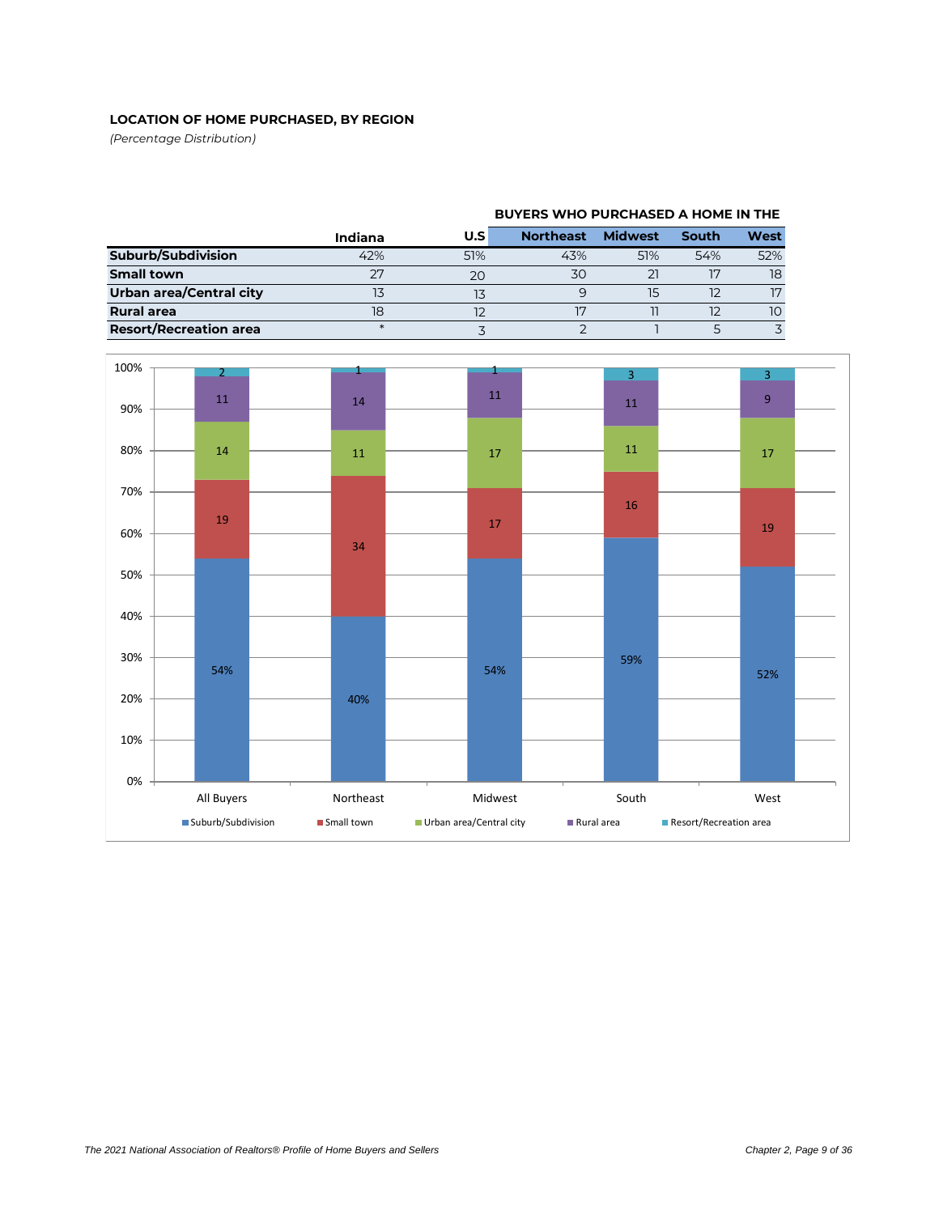### **LOCATION OF HOME PURCHASED, BY REGION**

*(Percentage Distribution)*

|                               | Indiana | U.S | <b>Northeast</b> | <b>Midwest</b> | South | West |
|-------------------------------|---------|-----|------------------|----------------|-------|------|
| Suburb/Subdivision            | 42%     | 51% | 43%              | 51%            | 54%   | 52%  |
| <b>Small town</b>             |         | 20  | 30               |                |       | 18   |
| Urban area/Central city       |         |     |                  |                |       | 17   |
| <b>Rural area</b>             | 18      |     |                  |                |       | 10   |
| <b>Resort/Recreation area</b> |         |     |                  |                |       |      |



### **BUYERS WHO PURCHASED A HOME IN THE**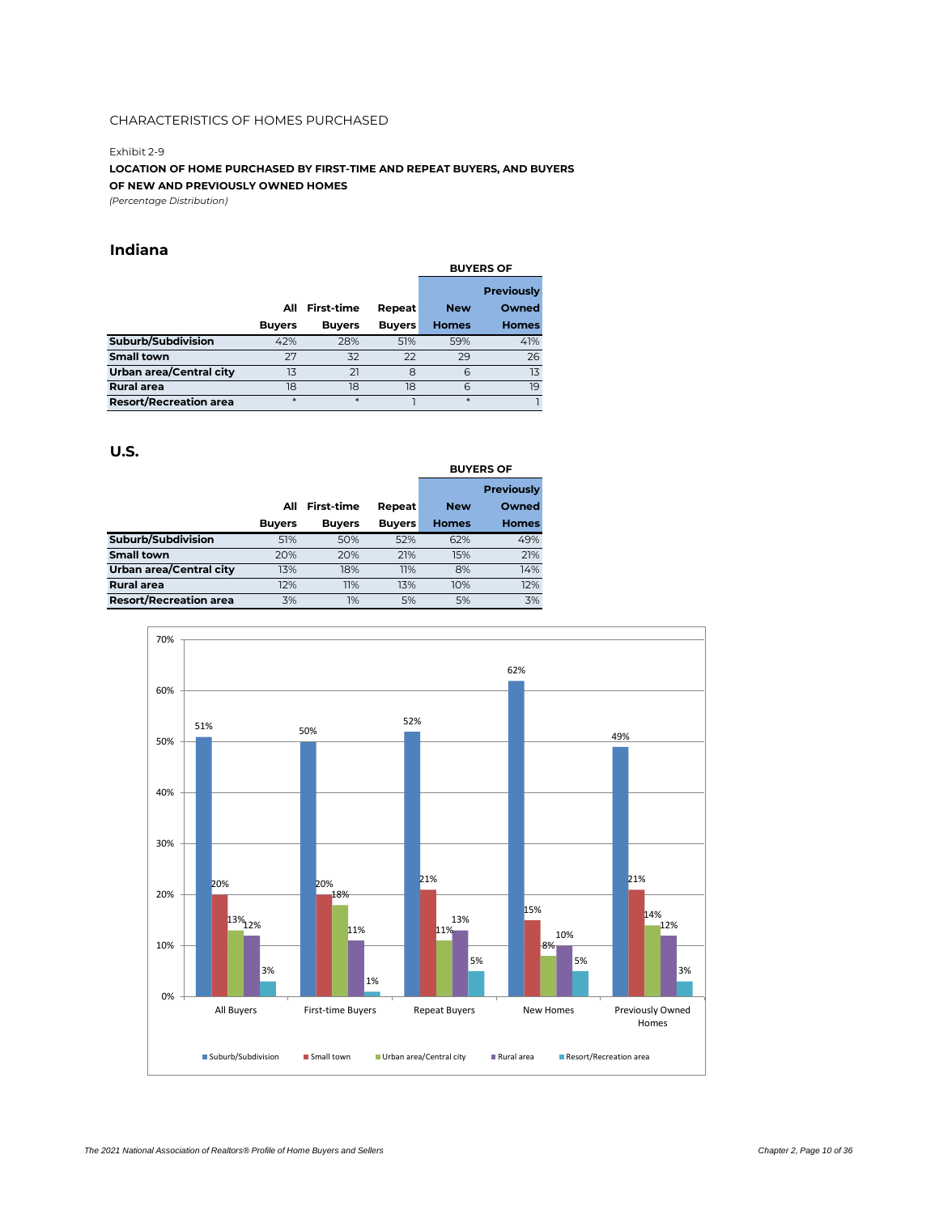#### Exhibit 2-9

**LOCATION OF HOME PURCHASED BY FIRST-TIME AND REPEAT BUYERS, AND BUYERS OF NEW AND PREVIOUSLY OWNED HOMES**

*(Percentage Distribution)*

### **Indiana**

|                                |               |                   |               | <b>BUYERS OF</b> |                   |  |
|--------------------------------|---------------|-------------------|---------------|------------------|-------------------|--|
|                                |               |                   |               |                  | <b>Previously</b> |  |
|                                | All           | <b>First-time</b> | Repeat        | <b>New</b>       | Owned             |  |
|                                | <b>Buyers</b> | <b>Buyers</b>     | <b>Buyers</b> | <b>Homes</b>     | <b>Homes</b>      |  |
| Suburb/Subdivision             | 42%           | 28%               | 51%           | 59%              | 41%               |  |
| <b>Small town</b>              | 27            | 32                | 22            | 29               | 26                |  |
| <b>Urban area/Central city</b> | 13            | 21                | 8             | 6                | 13                |  |
| <b>Rural area</b>              | 18            | 18                | 18            | 6                | 19                |  |
| <b>Resort/Recreation area</b>  | $\ast$        | $\ast$            |               | $*$              |                   |  |

|                               |               |                   |               | <b>BUYERS OF</b> |                   |  |
|-------------------------------|---------------|-------------------|---------------|------------------|-------------------|--|
|                               |               |                   |               |                  | <b>Previously</b> |  |
|                               | All           | <b>First-time</b> | Repeat        | <b>New</b>       | Owned             |  |
|                               | <b>Buyers</b> | <b>Buyers</b>     | <b>Buyers</b> | <b>Homes</b>     | <b>Homes</b>      |  |
| Suburb/Subdivision            | 51%           | 50%               | 52%           | 62%              | 49%               |  |
| <b>Small town</b>             | 20%           | 20%               | 21%           | 15%              | 21%               |  |
| Urban area/Central city       | 13%           | 18%               | 11%           | 8%               | 14%               |  |
| <b>Rural area</b>             | 12%           | 11%               | 13%           | 10%              | 12%               |  |
| <b>Resort/Recreation area</b> | 3%            | 1%                | 5%            | 5%               | 3%                |  |

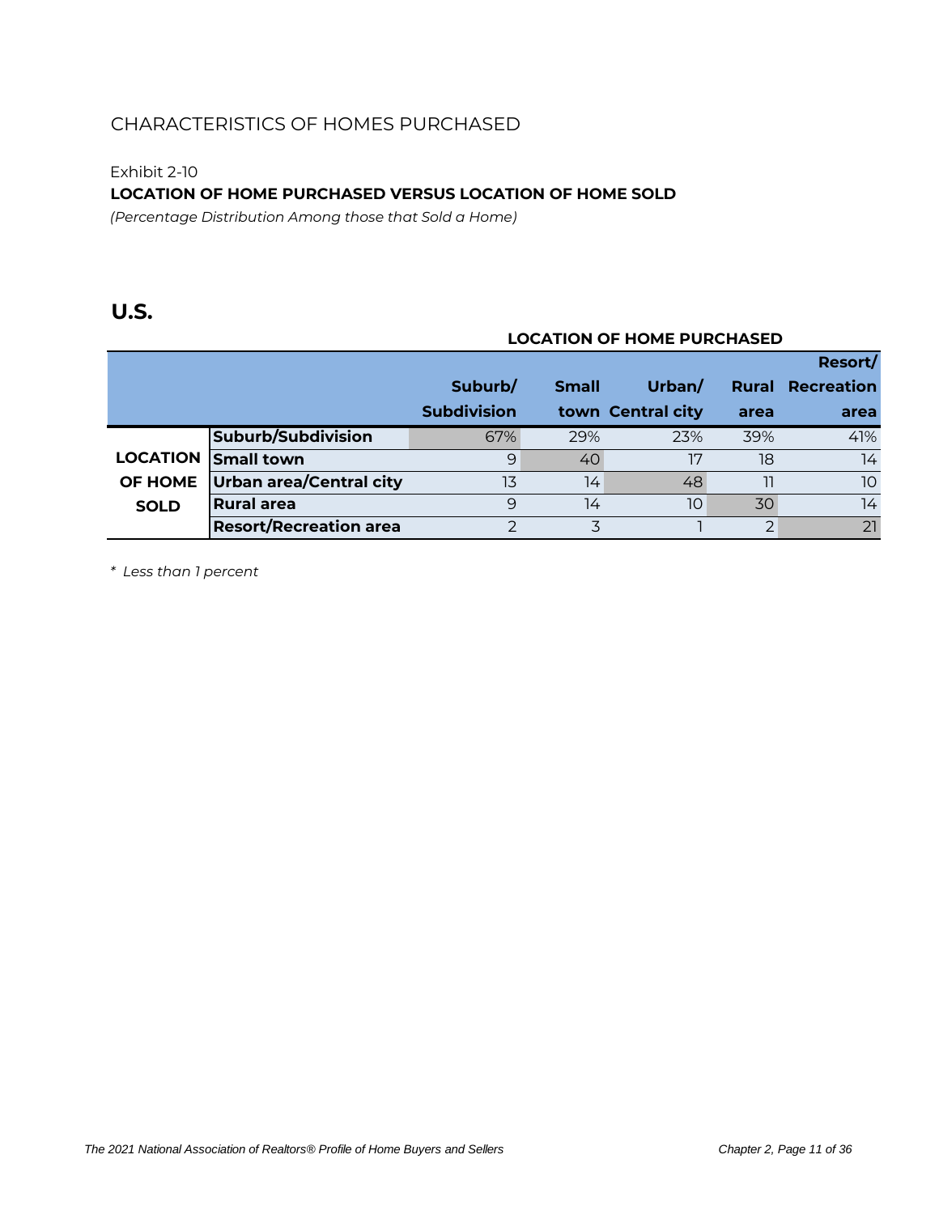Exhibit 2-10

**LOCATION OF HOME PURCHASED VERSUS LOCATION OF HOME SOLD**

*(Percentage Distribution Among those that Sold a Home)*

### **U.S.**

### **LOCATION OF HOME PURCHASED**

|                 |                                |                    |              |                   |              | Resort/           |
|-----------------|--------------------------------|--------------------|--------------|-------------------|--------------|-------------------|
|                 |                                | Suburb/            | <b>Small</b> | Urban/            | <b>Rural</b> | <b>Recreation</b> |
|                 |                                | <b>Subdivision</b> |              | town Central city | area         | area              |
|                 | Suburb/Subdivision             | 67%                | 29%          | 23%               | 39%          | 41%               |
| <b>LOCATION</b> | <b>Small town</b>              | 9                  | 40           | 17                | 18           | 14                |
| <b>OF HOME</b>  | <b>Urban area/Central city</b> | 13                 | 14           | 48                | 11           | 10 <sup>°</sup>   |
| <b>SOLD</b>     | Rural area                     | 9                  | 14           | 10                | 30           | 14                |
|                 | <b>Resort/Recreation area</b>  |                    |              |                   | 2            | 21                |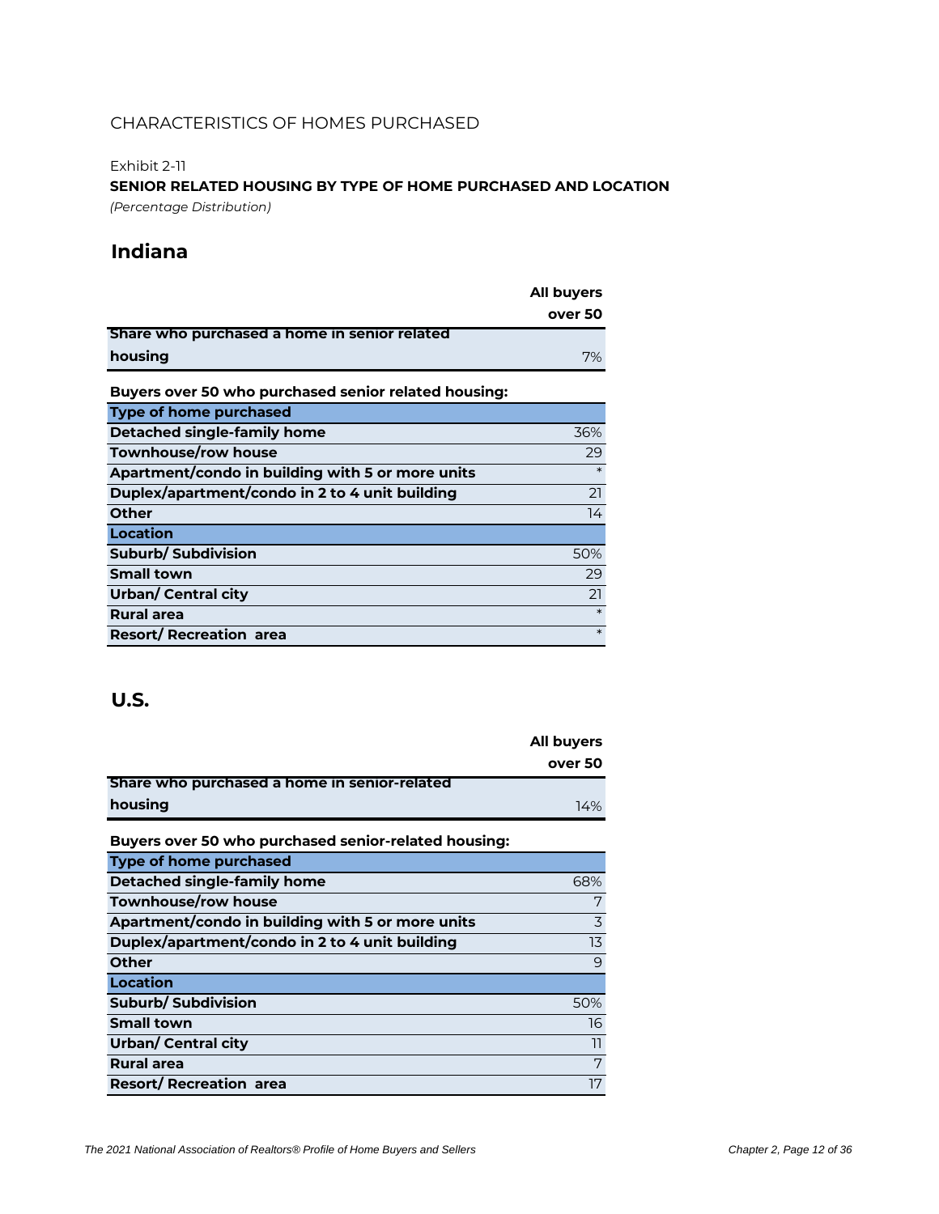#### Exhibit 2-11

**SENIOR RELATED HOUSING BY TYPE OF HOME PURCHASED AND LOCATION** *(Percentage Distribution)*

### **Indiana**

|                                                      | All buyers |
|------------------------------------------------------|------------|
|                                                      | over 50    |
| Share who purchased a home in senior related         |            |
| housing                                              | 7%         |
| Buyers over 50 who purchased senior related housing: |            |
| <b>Type of home purchased</b>                        |            |
| Detached single-family home                          | 36%        |
| Townhouse/row house                                  | 29         |
| Apartment/condo in building with 5 or more units     | $\ast$     |
| Duplex/apartment/condo in 2 to 4 unit building       | 21         |
| Other                                                | 14         |
| Location                                             |            |
| <b>Suburb/ Subdivision</b>                           | 50%        |
| <b>Small town</b>                                    | 29         |
| Urban/ Central city                                  | 21         |
| <b>Rural area</b>                                    | $\ast$     |
| <b>Resort/ Recreation area</b>                       | $\ast$     |

|                                                      | All buyers |
|------------------------------------------------------|------------|
|                                                      | over 50    |
| Share who purchased a home in senior-related         |            |
| housing                                              | 14%        |
| Buyers over 50 who purchased senior-related housing: |            |
| <b>Type of home purchased</b>                        |            |
| Detached single-family home                          | 68%        |
| <b>Townhouse/row house</b>                           | 7          |
| Apartment/condo in building with 5 or more units     | 3          |
| Duplex/apartment/condo in 2 to 4 unit building       | 13         |
| Other                                                | 9          |
| Location                                             |            |
| Suburb/Subdivision                                   | 50%        |
| <b>Small town</b>                                    | 16         |
| Urban/ Central city                                  | 11         |
| <b>Rural area</b>                                    | 7          |
| <b>Resort/ Recreation area</b>                       | 17         |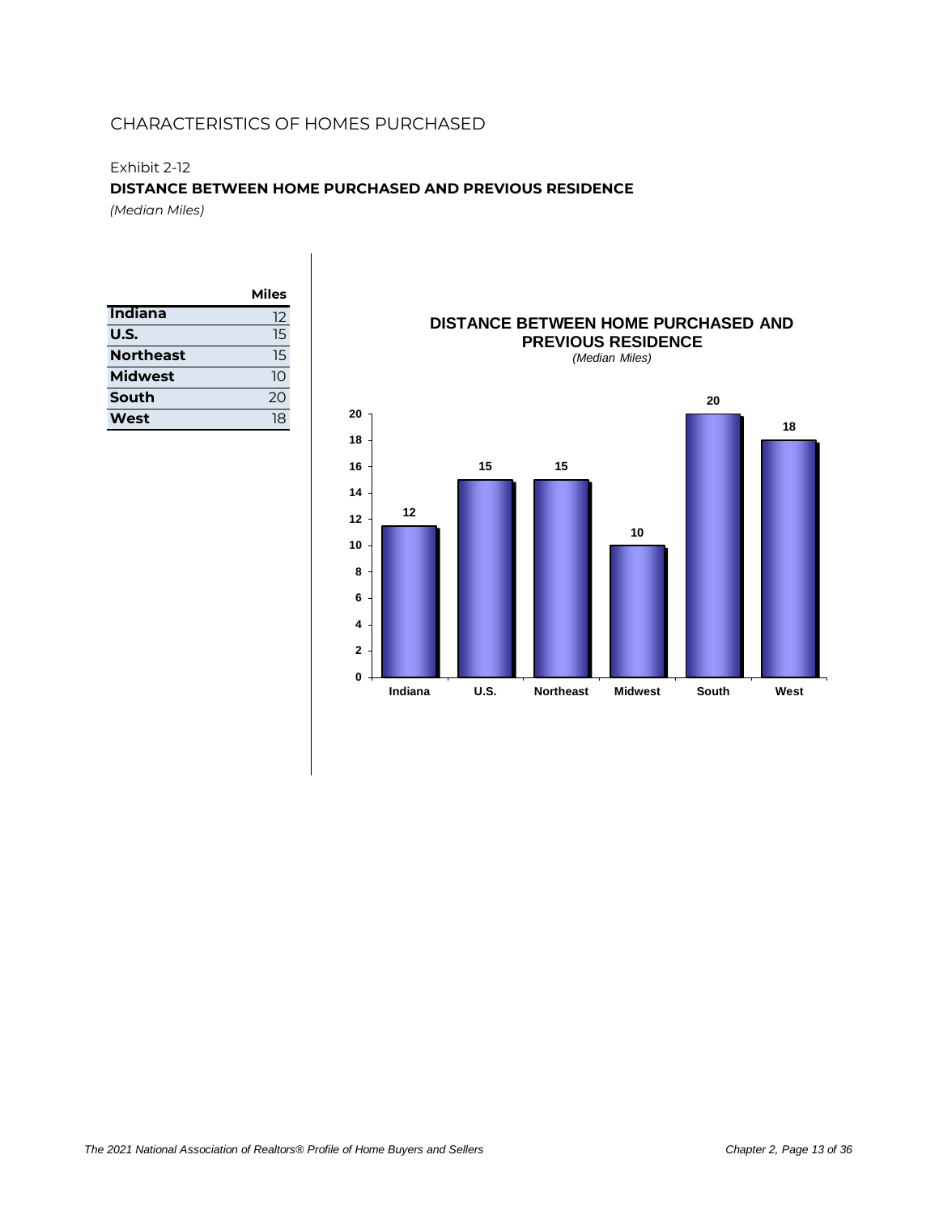#### Exhibit 2-12

#### **DISTANCE BETWEEN HOME PURCHASED AND PREVIOUS RESIDENCE**

*(Median Miles)*

|                  | Miles |
|------------------|-------|
| Indiana          | 12    |
| U.S.             | 15    |
| <b>Northeast</b> | 15    |
| <b>Midwest</b>   | 10    |
| South            | 20    |
| West             | 18    |



# **DISTANCE BETWEEN HOME PURCHASED AND**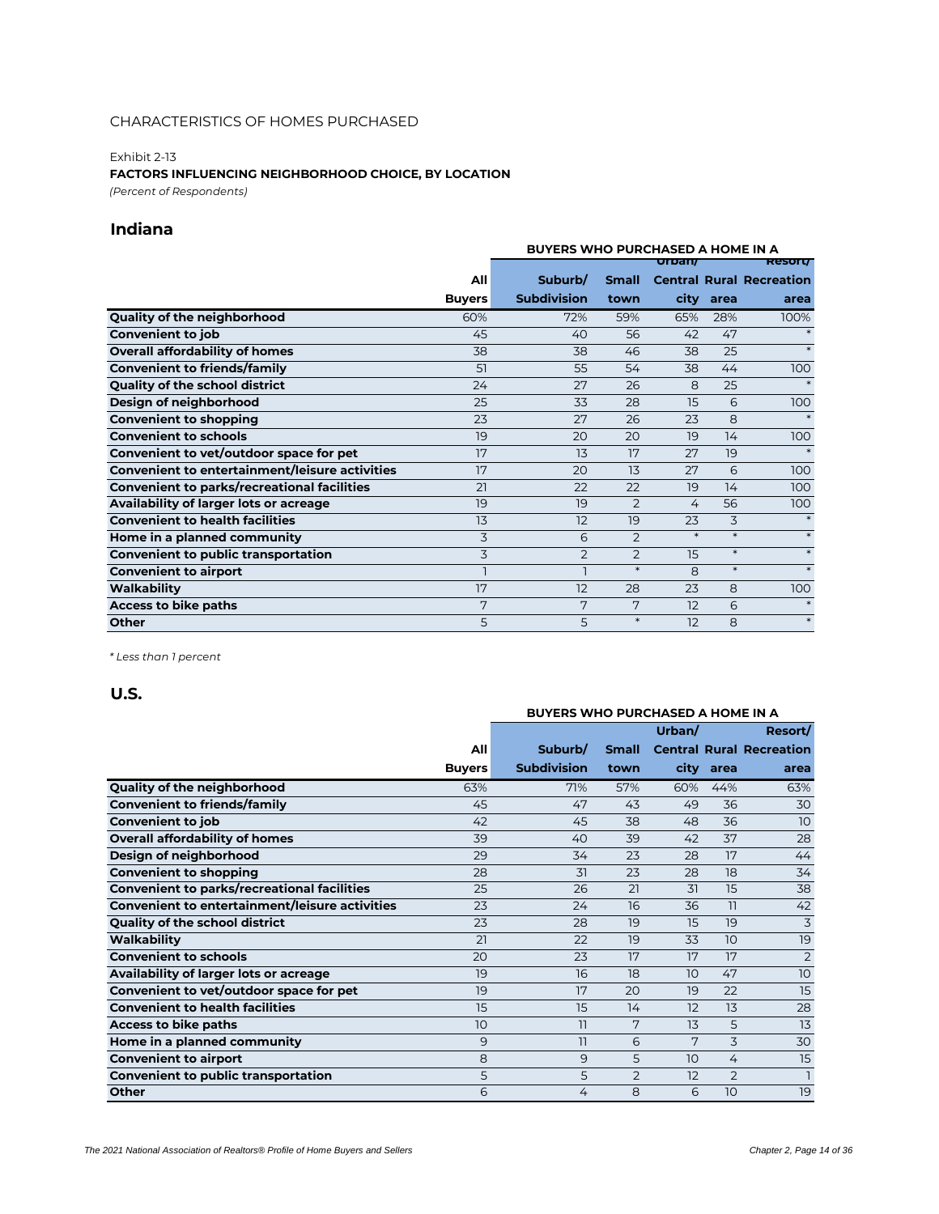#### Exhibit 2-13 **FACTORS INFLUENCING NEIGHBORHOOD CHOICE, BY LOCATION** *(Percent of Respondents)*

### **Indiana**

|                                                       |               | <b>BUYERS WHO PURCHASED A HOME IN A</b> |                |              |        |                                 |  |  |
|-------------------------------------------------------|---------------|-----------------------------------------|----------------|--------------|--------|---------------------------------|--|--|
|                                                       |               |                                         |                | urpan/       |        | <b>Resort/</b>                  |  |  |
|                                                       | All           | Suburb/                                 | <b>Small</b>   |              |        | <b>Central Rural Recreation</b> |  |  |
|                                                       | <b>Buyers</b> | <b>Subdivision</b>                      | town           | city         | area   | area                            |  |  |
| Quality of the neighborhood                           | 60%           | 72%                                     | 59%            | 65%          | 28%    | 100%                            |  |  |
| <b>Convenient to job</b>                              | 45            | 40                                      | 56             | 42           | 47     |                                 |  |  |
| <b>Overall affordability of homes</b>                 | 38            | 38                                      | 46             | 38           | 25     | $\ast$                          |  |  |
| <b>Convenient to friends/family</b>                   | 51            | 55                                      | 54             | 38           | 44     | 100                             |  |  |
| <b>Quality of the school district</b>                 | 24            | 27                                      | 26             | 8            | 25     | $\ast$                          |  |  |
| Design of neighborhood                                | 25            | 33                                      | 28             | 15           | 6      | 100                             |  |  |
| <b>Convenient to shopping</b>                         | 23            | 27                                      | 26             | 23           | 8      |                                 |  |  |
| <b>Convenient to schools</b>                          | 19            | 20                                      | 20             | 19           | 14     | 100                             |  |  |
| Convenient to vet/outdoor space for pet               | 17            | 13                                      | 17             | 27           | 19     | $\ast$                          |  |  |
| <b>Convenient to entertainment/leisure activities</b> | 17            | 20                                      | 13             | 27           | 6      | 100                             |  |  |
| <b>Convenient to parks/recreational facilities</b>    | 21            | 22                                      | 22             | 19           | 14     | 100                             |  |  |
| Availability of larger lots or acreage                | 19            | 19                                      | $\overline{2}$ | 4            | 56     | 100                             |  |  |
| <b>Convenient to health facilities</b>                | 13            | 12                                      | 19             | 23           | 3      |                                 |  |  |
| Home in a planned community                           | 3             | 6                                       | $\overline{2}$ | $\ast$       | $\ast$ | $\ast$                          |  |  |
| <b>Convenient to public transportation</b>            | 3             | $\overline{2}$                          | $\overline{2}$ | 15           | $\ast$ | $\ast$                          |  |  |
| <b>Convenient to airport</b>                          |               | $\overline{1}$                          | $\ast$         | $\mathsf{B}$ | $\ast$ | $\ast$                          |  |  |
| Walkability                                           | 17            | 12                                      | 28             | 23           | 8      | 100                             |  |  |
| Access to bike paths                                  | 7             | 7                                       | 7              | 12           | 6      |                                 |  |  |
| <b>Other</b>                                          | 5             | 5                                       | $\ast$         | 12           | 8      | $\ast$                          |  |  |

*\* Less than 1 percent*

| <b>BUYERS WHO PURCHASED A HOME IN A</b>               |               |                    |                |        |                |                                 |
|-------------------------------------------------------|---------------|--------------------|----------------|--------|----------------|---------------------------------|
|                                                       |               |                    |                |        |                |                                 |
|                                                       |               |                    |                | Urban/ |                | Resort/                         |
|                                                       | All           | Suburb/            | <b>Small</b>   |        |                | <b>Central Rural Recreation</b> |
|                                                       | <b>Buyers</b> | <b>Subdivision</b> | town           | city   | area           | area                            |
| Quality of the neighborhood                           | 63%           | 71%                | 57%            | 60%    | 44%            | 63%                             |
| <b>Convenient to friends/family</b>                   | 45            | 47                 | 43             | 49     | 36             | 30                              |
| <b>Convenient to job</b>                              | 42            | 45                 | 38             | 48     | 36             | 10                              |
| <b>Overall affordability of homes</b>                 | 39            | 40                 | 39             | 42     | 37             | 28                              |
| Design of neighborhood                                | 29            | 34                 | 23             | 28     | 17             | 44                              |
| <b>Convenient to shopping</b>                         | 28            | 31                 | 23             | 28     | 18             | 34                              |
| <b>Convenient to parks/recreational facilities</b>    | 25            | 26                 | 21             | 31     | 15             | 38                              |
| <b>Convenient to entertainment/leisure activities</b> | 23            | 24                 | 16             | 36     | 11             | 42                              |
| Quality of the school district                        | 23            | 28                 | 19             | 15     | 19             | 3                               |
| Walkability                                           | 21            | 22                 | 19             | 33     | 10             | 19                              |
| <b>Convenient to schools</b>                          | 20            | 23                 | 17             | 17     | 17             | $\overline{2}$                  |
| Availability of larger lots or acreage                | 19            | 16                 | 18             | 10     | 47             | 10                              |
| Convenient to vet/outdoor space for pet               | 19            | 17                 | 20             | 19     | 22             | 15                              |
| <b>Convenient to health facilities</b>                | 15            | 15                 | 14             | 12     | 13             | 28                              |
| <b>Access to bike paths</b>                           | 10            | 11                 | 7              | 13     | 5              | 13                              |
| Home in a planned community                           | 9             | 11                 | 6              | 7      | 3              | 30                              |
| <b>Convenient to airport</b>                          | 8             | 9                  | 5              | 10     | 4              | 15                              |
| <b>Convenient to public transportation</b>            | 5             | 5                  | $\overline{2}$ | 12     | $\overline{2}$ | $\overline{1}$                  |
| Other                                                 | 6             | 4                  | 8              | 6      | 10             | 19                              |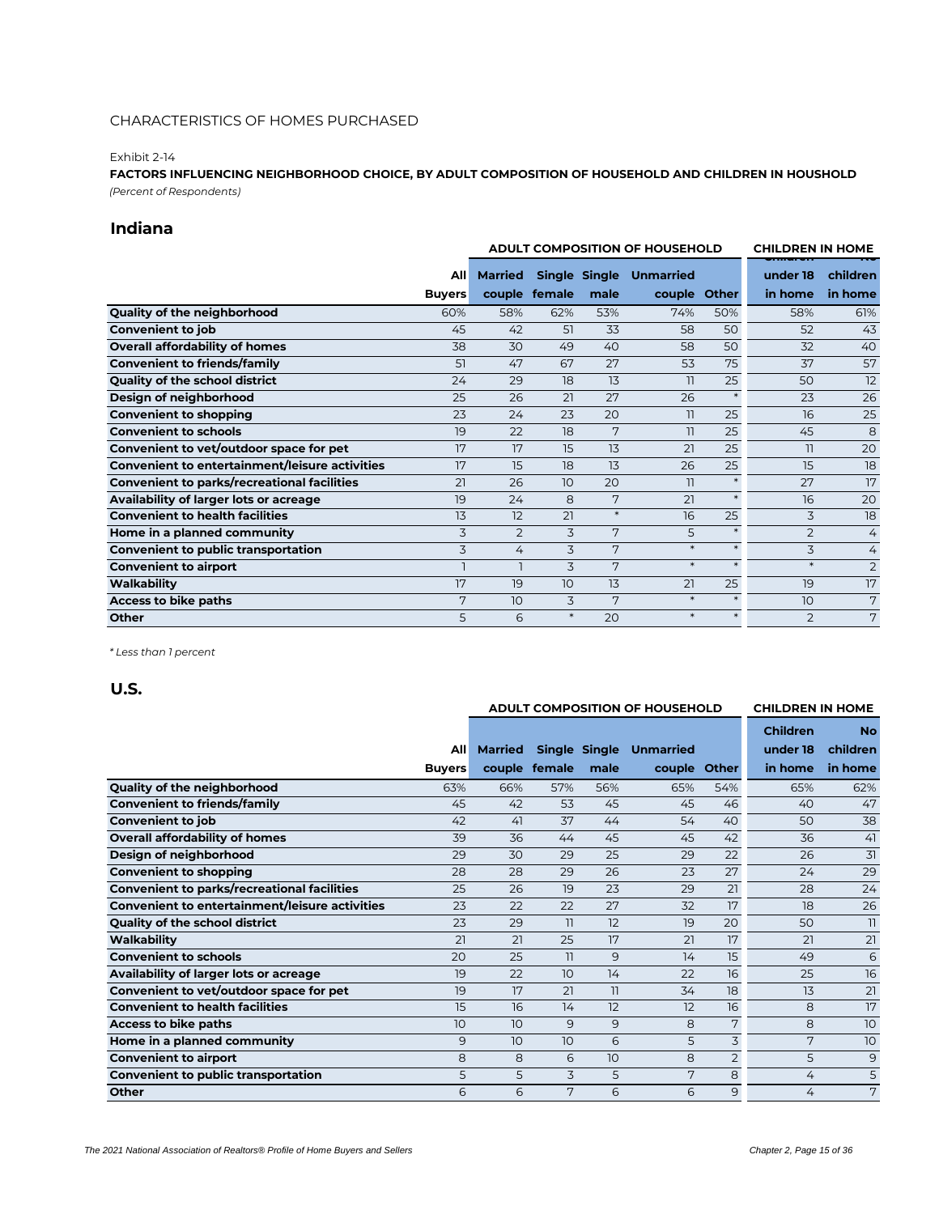#### Exhibit 2-14

**FACTORS INFLUENCING NEIGHBORHOOD CHOICE, BY ADULT COMPOSITION OF HOUSEHOLD AND CHILDREN IN HOUSHOLD** *(Percent of Respondents)*

### **Indiana**

|                                                       |                | <b>ADULT COMPOSITION OF HOUSEHOLD</b> |                 |               |                          | <b>CHILDREN IN HOME</b> |                |                |
|-------------------------------------------------------|----------------|---------------------------------------|-----------------|---------------|--------------------------|-------------------------|----------------|----------------|
|                                                       | <b>All</b>     | <b>Married</b>                        |                 | Single Single | <b>Unmarried</b>         |                         | under 18       | children       |
|                                                       | <b>Buyers</b>  |                                       | couple female   | male          | couple Other             |                         | in home        | in home        |
| Quality of the neighborhood                           | 60%            | 58%                                   | 62%             | 53%           | 74%                      | 50%                     | 58%            | 61%            |
| <b>Convenient to job</b>                              | 45             | 42                                    | 51              | 33            | 58                       | 50                      | 52             | 43             |
| <b>Overall affordability of homes</b>                 | 38             | 30                                    | 49              | 40            | 58                       | 50                      | 32             | 40             |
| <b>Convenient to friends/family</b>                   | 51             | 47                                    | 67              | 27            | 53                       | 75                      | 37             | 57             |
| <b>Quality of the school district</b>                 | 24             | 29                                    | 18              | 13            | $\overline{\phantom{a}}$ | 25                      | 50             | 12             |
| Design of neighborhood                                | 25             | 26                                    | 21              | 27            | 26                       | $\ast$                  | 23             | 26             |
| <b>Convenient to shopping</b>                         | 23             | 24                                    | 23              | 20            | 11                       | 25                      | 16             | 25             |
| <b>Convenient to schools</b>                          | 19             | 22                                    | 18              | 7             | 11                       | 25                      | 45             | 8              |
| Convenient to vet/outdoor space for pet               | 17             | 17                                    | 15              | 13            | 21                       | 25                      | $\overline{1}$ | 20             |
| <b>Convenient to entertainment/leisure activities</b> | 17             | 15                                    | 18              | 13            | 26                       | 25                      | 15             | 18             |
| <b>Convenient to parks/recreational facilities</b>    | 21             | 26                                    | 10              | 20            | $\overline{1}$           | $\ast$                  | 27             | 17             |
| Availability of larger lots or acreage                | 19             | 24                                    | 8               | 7             | 21                       | $\ast$                  | 16             | 20             |
| <b>Convenient to health facilities</b>                | 13             | 12                                    | 21              | $\ast$        | 16                       | 25                      | 3              | 18             |
| Home in a planned community                           | 3              | $\overline{2}$                        | 3               | 7             | 5                        | $\ast$                  | 2              | 4              |
| <b>Convenient to public transportation</b>            | 3              | 4                                     | 3               | 7             | $\ast$                   | $\ast$                  | 3              | $\overline{4}$ |
| <b>Convenient to airport</b>                          | $\overline{1}$ |                                       | 3               | 7             | $\ast$                   | $\ast$                  | $\ast$         | $\overline{2}$ |
| Walkability                                           | 17             | 19                                    | 10 <sup>°</sup> | 13            | 21                       | 25                      | 19             | 17             |
| Access to bike paths                                  | 7              | 10 <sup>°</sup>                       | 3               | 7             | $\ast$                   |                         | 10             | 7              |
| Other                                                 | 5              | 6                                     | $\ast$          | 20            | $\ast$                   |                         | $\overline{2}$ | 7              |

*\* Less than 1 percent*

|                                                       |               | <b>ADULT COMPOSITION OF HOUSEHOLD</b> |                 |               |                  | <b>CHILDREN IN HOME</b> |                 |                          |
|-------------------------------------------------------|---------------|---------------------------------------|-----------------|---------------|------------------|-------------------------|-----------------|--------------------------|
|                                                       |               |                                       |                 |               |                  |                         | <b>Children</b> | <b>No</b>                |
|                                                       | All           | <b>Married</b>                        |                 | Single Single | <b>Unmarried</b> |                         | under 18        | children                 |
|                                                       | <b>Buyers</b> |                                       | couple female   | male          | couple Other     |                         | in home         | in home                  |
| Quality of the neighborhood                           | 63%           | 66%                                   | 57%             | 56%           | 65%              | 54%                     | 65%             | 62%                      |
| <b>Convenient to friends/family</b>                   | 45            | 42                                    | 53              | 45            | 45               | 46                      | 40              | 47                       |
| <b>Convenient to job</b>                              | 42            | 41                                    | 37              | 44            | 54               | 40                      | 50              | 38                       |
| <b>Overall affordability of homes</b>                 | 39            | 36                                    | 44              | 45            | 45               | 42                      | 36              | 41                       |
| Design of neighborhood                                | 29            | 30                                    | 29              | 25            | 29               | 22                      | 26              | 31                       |
| <b>Convenient to shopping</b>                         | 28            | 28                                    | 29              | 26            | 23               | 27                      | 24              | 29                       |
| <b>Convenient to parks/recreational facilities</b>    | 25            | 26                                    | 19              | 23            | 29               | 21                      | 28              | 24                       |
| <b>Convenient to entertainment/leisure activities</b> | 23            | 22                                    | 22              | 27            | 32               | 17                      | 18              | 26                       |
| <b>Quality of the school district</b>                 | 23            | 29                                    | $\overline{11}$ | 12            | 19               | 20                      | 50              | $\overline{\phantom{a}}$ |
| Walkability                                           | 21            | 21                                    | 25              | 17            | 21               | 17                      | 21              | 21                       |
| <b>Convenient to schools</b>                          | 20            | 25                                    | $\overline{11}$ | 9             | 14               | 15                      | 49              | 6                        |
| Availability of larger lots or acreage                | 19            | 22                                    | 10              | 14            | 22               | 16                      | 25              | 16                       |
| Convenient to vet/outdoor space for pet               | 19            | 17                                    | 21              | 11            | 34               | 18                      | 13              | 21                       |
| <b>Convenient to health facilities</b>                | 15            | 16                                    | 14              | 12            | 12               | 16                      | 8               | 17                       |
| Access to bike paths                                  | 10            | 10                                    | 9               | 9             | 8                | 7                       | 8               | 10                       |
| Home in a planned community                           | 9             | 10                                    | 10              | 6             | 5                | 3                       | 7               | 10                       |
| <b>Convenient to airport</b>                          | 8             | 8                                     | 6               | 10            | 8                | 2                       | 5               | 9                        |
| <b>Convenient to public transportation</b>            | 5             | 5                                     | 3               | 5             | 7                | 8                       | 4               | 5                        |
| Other                                                 | 6             | 6                                     | 7               | 6             | 6                | 9                       | 4               | 7                        |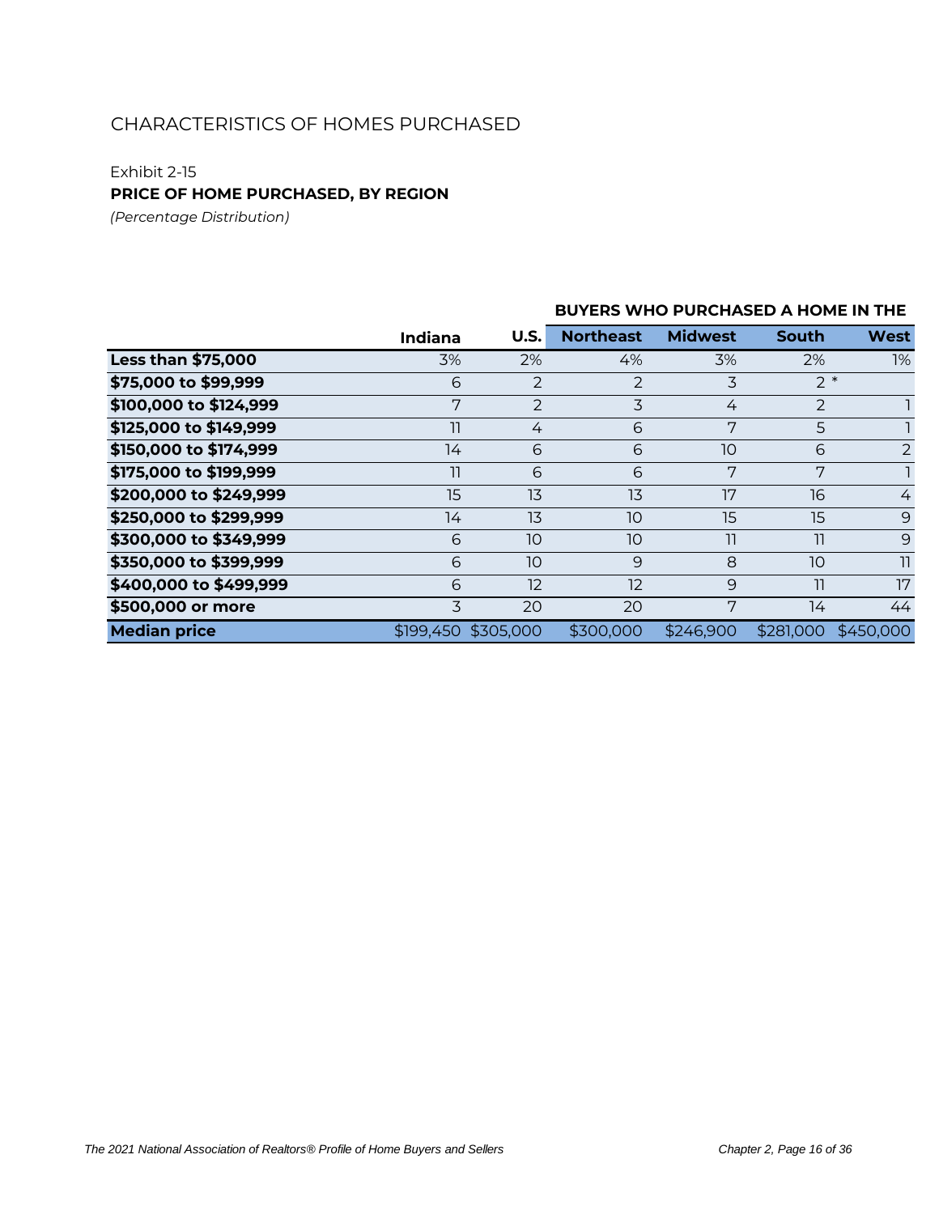#### Exhibit 2-15

**PRICE OF HOME PURCHASED, BY REGION**

*(Percentage Distribution)*

### **U.S. Northeast Midwest South West Less than \$75,000** 3% 2% 4% 3% 2% 1% **\$75,000 to \$99,999** 6 2 2 3 2  $\pm$ **\$100,000 to \$124,999** 7 2 3 4 2 1 **\$125,000 to \$149,999** 11 4 6 7 5 1 **\$150,000 to \$174,999** 14 6 6 10 6 2 **\$175,000 to \$199,999** 11 6 6 7 7 1 **\$200,000 to \$249,999** 15 13 13 17 16 4 **\$250,000 to \$299,999** 14 13 10 15 15 9 **\$300,000 to \$349,999** 6 10 10 11 11 9 **\$350,000 to \$399,999** 6 10 9 8 10 11 **\$400,000 to \$499,999** 6 12 12 9 11 17 **\$500,000 or more** 3 20 20 7 14 44 **Median price** \$199,450 \$305,000 \$300,000 \$246,900 \$281,000 \$450,000 **BUYERS WHO PURCHASED A HOME IN THE Indiana**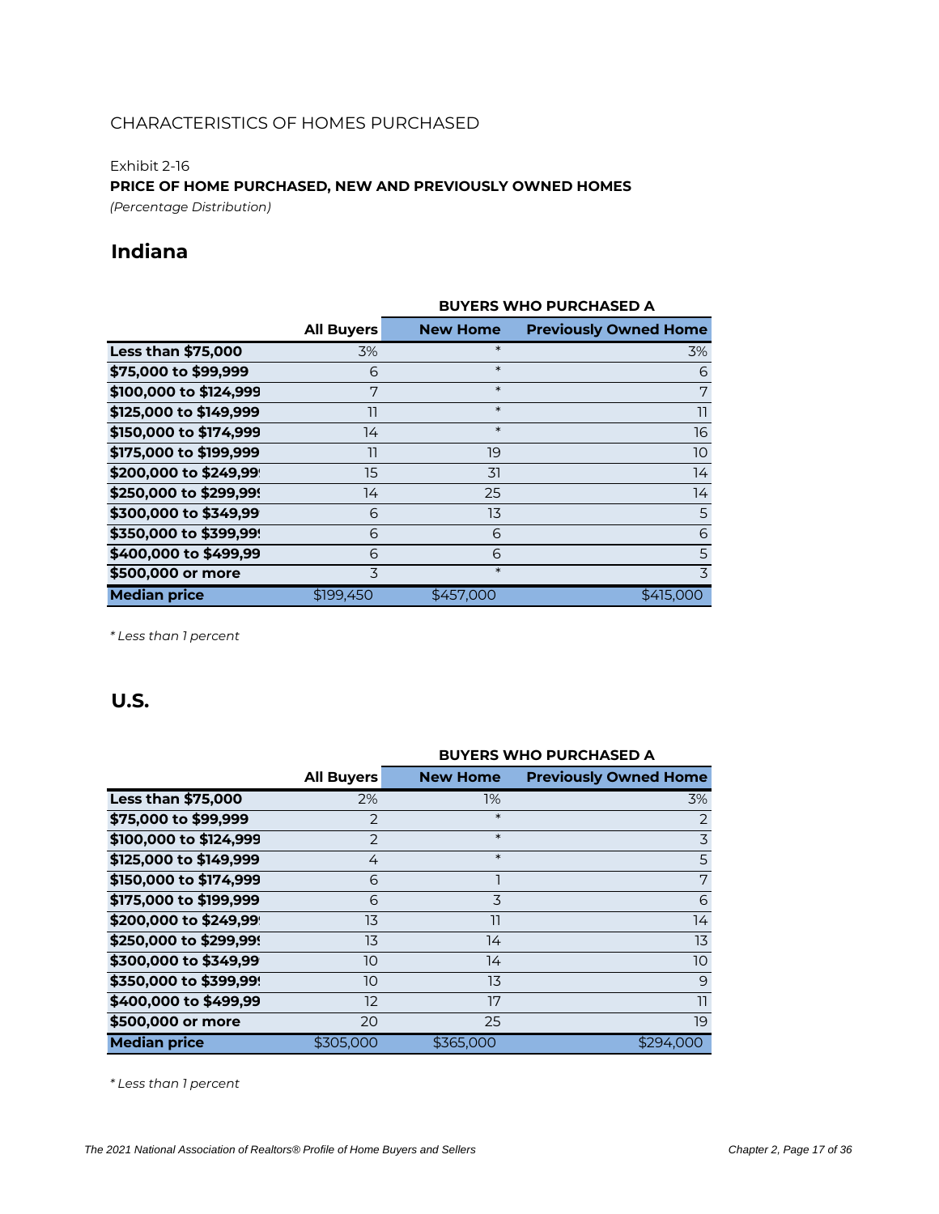#### Exhibit 2-16

**PRICE OF HOME PURCHASED, NEW AND PREVIOUSLY OWNED HOMES** *(Percentage Distribution)*

**Indiana**

### **All Buyers New Home Previously Owned Home Less than \$75,000** 3% **3% \*** 3% **3% 3% \$75,000 to \$99,999** 6 \* 6 **\$100,000 to \$124,999** 7 \* 7 **\$125,000 to \$149,999** 11 **11 11 11 11 \$150,000 to \$174,999** 14 **\*** 16 **\$175,000 to \$199,999** 11 19 19 10 10 **\$200,000 to \$249,99** 15 31 14 **\$250,000 to \$299,999** 14 25 25 14 14 **\$300,000 to \$349,99** 6 13 5 **\$350,000 to \$399,999** 6 6 6 **\$400,000 to \$499,99** 6 6 5 5 **\$500,000 or more** 3 **3** <sup>3</sup> **Median price**  $$199,450$   $$457,000$   $$415,000$ **BUYERS WHO PURCHASED A**

*\* Less than 1 percent*

### **U.S.**

|                           |                   | <b>BUYERS WHO PURCHASED A</b> |                              |  |  |  |  |  |
|---------------------------|-------------------|-------------------------------|------------------------------|--|--|--|--|--|
|                           | <b>All Buyers</b> | <b>New Home</b>               | <b>Previously Owned Home</b> |  |  |  |  |  |
| <b>Less than \$75,000</b> | 2%                | $1\%$                         | 3%                           |  |  |  |  |  |
| \$75,000 to \$99,999      | 2                 | $\ast$                        | 2                            |  |  |  |  |  |
| \$100,000 to \$124,999    | $\overline{2}$    | $\ast$                        | $\overline{3}$               |  |  |  |  |  |
| \$125,000 to \$149,999    | 4                 | $\ast$                        | 5                            |  |  |  |  |  |
| \$150,000 to \$174,999    | 6                 |                               | 7                            |  |  |  |  |  |
| \$175,000 to \$199,999    | 6                 | 3                             | 6                            |  |  |  |  |  |
| \$200,000 to \$249,99     | 13                | 11                            | 14                           |  |  |  |  |  |
| \$250,000 to \$299,99!    | 13                | 14                            | 13                           |  |  |  |  |  |
| \$300,000 to \$349,99     | 10                | 14                            | 10                           |  |  |  |  |  |
| \$350,000 to \$399,99!    | 10                | 13                            | 9                            |  |  |  |  |  |
| \$400,000 to \$499,99     | 12                | 17                            | 11                           |  |  |  |  |  |
| \$500,000 or more         | 20                | 25                            | 19                           |  |  |  |  |  |
| <b>Median price</b>       | \$305,000         | \$365,000                     | \$294,000                    |  |  |  |  |  |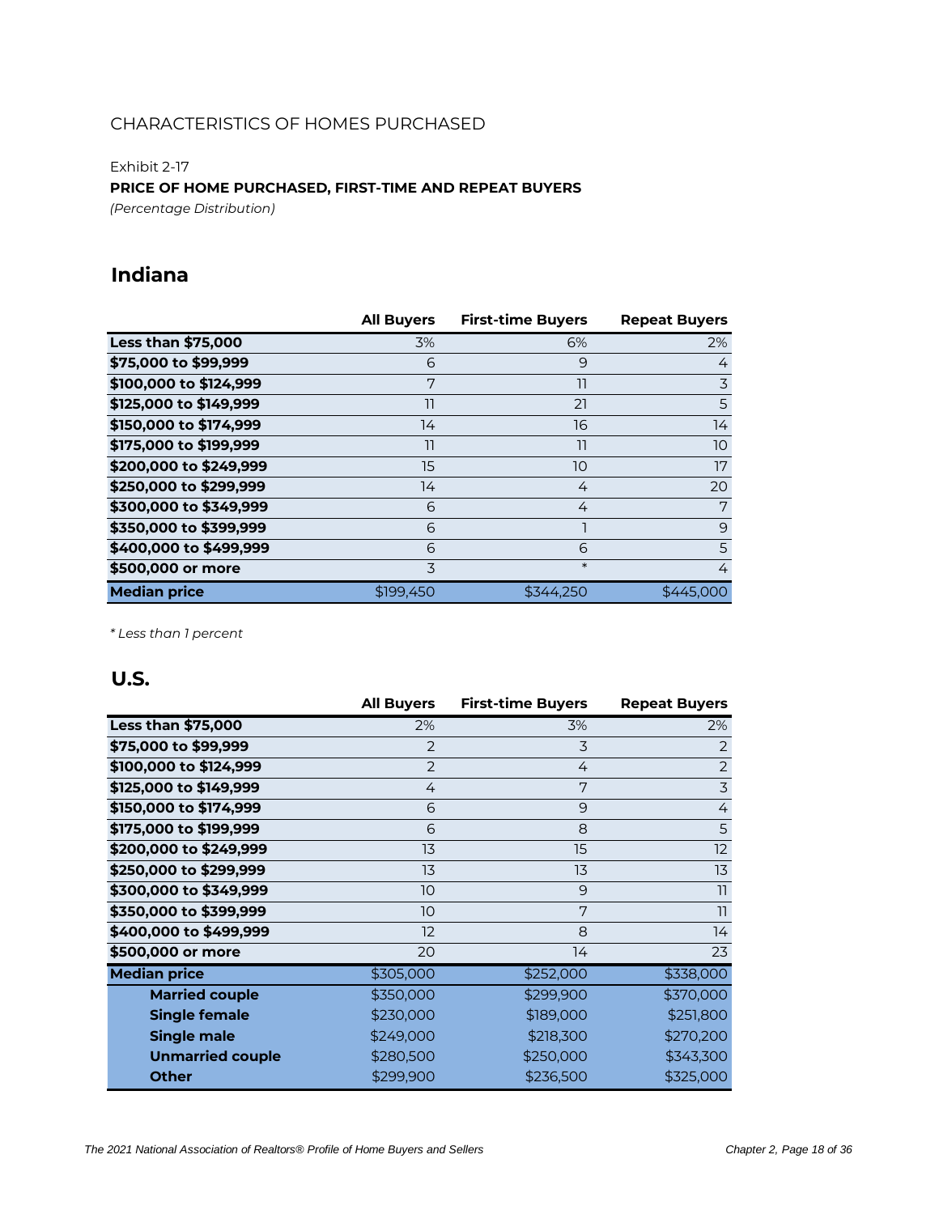Exhibit 2-17

#### **PRICE OF HOME PURCHASED, FIRST-TIME AND REPEAT BUYERS**

*(Percentage Distribution)*

### **Indiana**

|                           | <b>All Buyers</b> | <b>First-time Buyers</b> | <b>Repeat Buyers</b> |
|---------------------------|-------------------|--------------------------|----------------------|
| <b>Less than \$75,000</b> | 3%                | 6%                       | 2%                   |
| \$75,000 to \$99,999      | 6                 | 9                        | 4                    |
| \$100,000 to \$124,999    | 7                 | 11                       | 3                    |
| \$125,000 to \$149,999    | 11                | 21                       | 5                    |
| \$150,000 to \$174,999    | 14                | 16                       | 14                   |
| \$175,000 to \$199,999    | 11                | 11                       | 10                   |
| \$200,000 to \$249,999    | 15                | 10                       | 17                   |
| \$250,000 to \$299,999    | 14                | 4                        | 20                   |
| \$300,000 to \$349,999    | 6                 | 4                        | 7                    |
| \$350,000 to \$399,999    | 6                 |                          | 9                    |
| \$400,000 to \$499,999    | 6                 | 6                        | 5                    |
| \$500,000 or more         | 3                 | $\ast$                   | 4                    |
| <b>Median price</b>       | \$199,450         | \$344.250                | \$445,000            |

*\* Less than 1 percent*

|                           | <b>All Buyers</b> | <b>First-time Buyers</b> | <b>Repeat Buyers</b> |
|---------------------------|-------------------|--------------------------|----------------------|
| <b>Less than \$75,000</b> | 2%                | 3%                       | 2%                   |
| \$75,000 to \$99,999      | $\overline{2}$    | 3                        | 2                    |
| \$100,000 to \$124,999    | $\overline{2}$    | 4                        | $\overline{2}$       |
| \$125,000 to \$149,999    | 4                 | 7                        | $\overline{3}$       |
| \$150,000 to \$174,999    | 6                 | 9                        | 4                    |
| \$175,000 to \$199,999    | 6                 | 8                        | 5                    |
| \$200,000 to \$249,999    | 13                | 15                       | 12                   |
| \$250,000 to \$299,999    | 13                | 13                       | 13                   |
| \$300,000 to \$349,999    | 10                | 9                        | 11                   |
| \$350,000 to \$399,999    | 10                | 7                        | 11                   |
| \$400,000 to \$499,999    | 12                | 8                        | 14                   |
| \$500,000 or more         | 20                | 14                       | 23                   |
| <b>Median price</b>       | \$305,000         | \$252,000                | \$338,000            |
| <b>Married couple</b>     | \$350,000         | \$299,900                | \$370,000            |
| <b>Single female</b>      | \$230,000         | \$189,000                | \$251,800            |
| <b>Single male</b>        | \$249,000         | \$218,300                | \$270,200            |
| <b>Unmarried couple</b>   | \$280,500         | \$250,000                | \$343,300            |
| <b>Other</b>              | \$299,900         | \$236,500                | \$325,000            |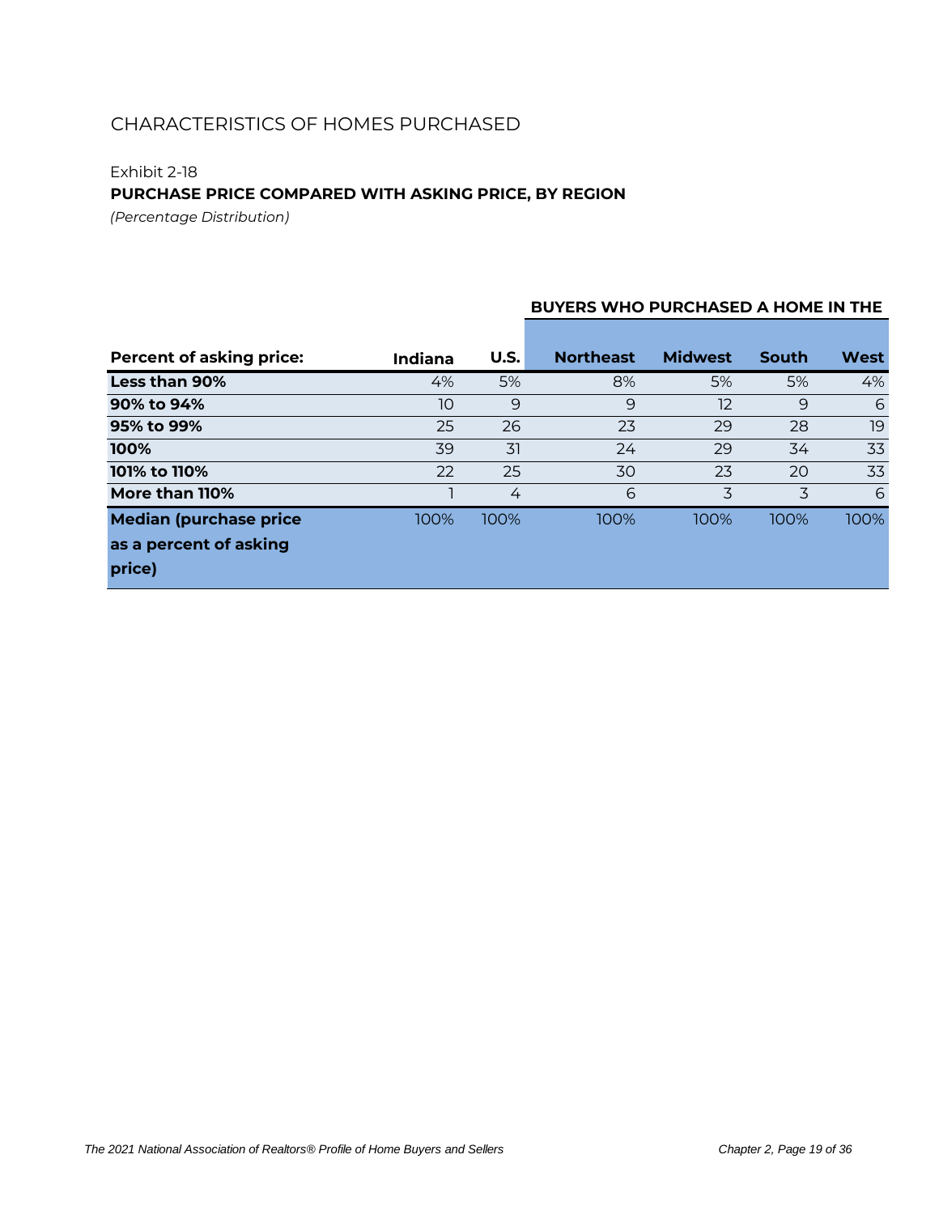### Exhibit 2-18

### **PURCHASE PRICE COMPARED WITH ASKING PRICE, BY REGION**

*(Percentage Distribution)*

### **BUYERS WHO PURCHASED A HOME IN THE**

| <b>Percent of asking price:</b>  | Indiana | U.S. | <b>Northeast</b> | <b>Midwest</b> | <b>South</b> | <b>West</b> |
|----------------------------------|---------|------|------------------|----------------|--------------|-------------|
| Less than 90%                    | 4%      | 5%   | 8%               | 5%             | 5%           | 4%          |
| 90% to 94%                       | 10      | 9    | 9                | 12             | 9            | 6           |
| 95% to 99%                       | 25      | 26   | 23               | 29             | 28           | 19          |
| 100%                             | 39      | 31   | 24               | 29             | 34           | 33          |
| 101% to 110%                     | 22      | 25   | 30               | 23             | 20           | 33          |
| More than 110%                   |         | 4    | 6                | 3              | 3            | 6           |
| <b>Median (purchase price)</b>   | 100%    | 100% | 100%             | 100%           | 100%         | 100%        |
| as a percent of asking<br>price) |         |      |                  |                |              |             |
|                                  |         |      |                  |                |              |             |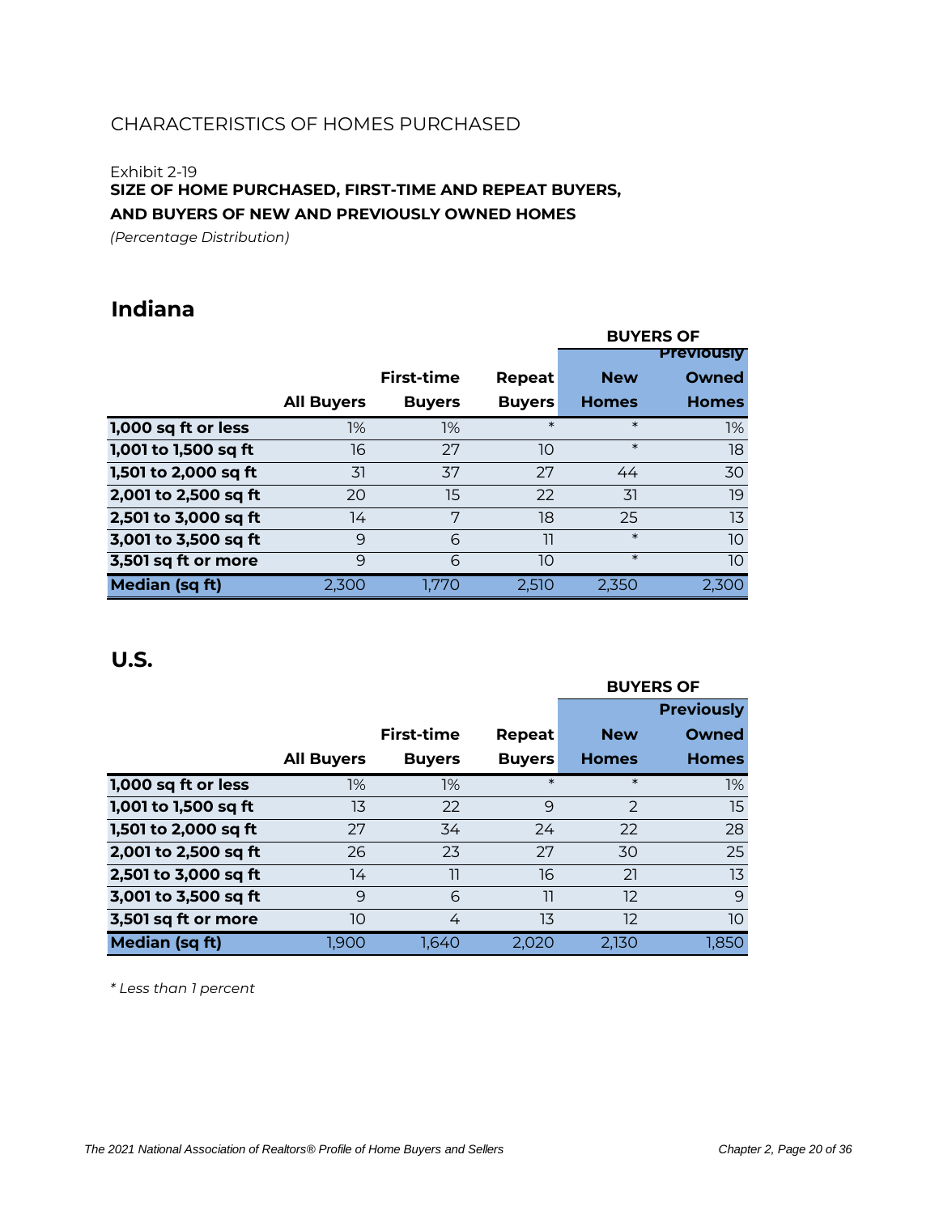#### Exhibit 2-19

### **SIZE OF HOME PURCHASED, FIRST-TIME AND REPEAT BUYERS, AND BUYERS OF NEW AND PREVIOUSLY OWNED HOMES**

*(Percentage Distribution)*

### **Indiana**

|                      |                   |                   |               |              | <b>BUYERS OF</b>  |
|----------------------|-------------------|-------------------|---------------|--------------|-------------------|
|                      |                   |                   |               |              | <b>Previously</b> |
|                      |                   | <b>First-time</b> | Repeat        | <b>New</b>   | Owned             |
|                      | <b>All Buyers</b> | <b>Buyers</b>     | <b>Buyers</b> | <b>Homes</b> | <b>Homes</b>      |
| 1,000 sq ft or less  | 1%                | 1%                | $\ast$        | $\ast$       | $1\%$             |
| 1,001 to 1,500 sq ft | 16                | 27                | 10            | $\ast$       | 18                |
| 1,501 to 2,000 sq ft | 31                | 37                | 27            | 44           | 30                |
| 2,001 to 2,500 sq ft | 20                | 15                | 22            | 31           | 19                |
| 2,501 to 3,000 sq ft | 14                | 7                 | 18            | 25           | 13                |
| 3,001 to 3,500 sq ft | 9                 | 6                 | 11            | $\ast$       | 10 <sup>°</sup>   |
| 3,501 sq ft or more  | 9                 | 6                 | 10            | $\ast$       | 10 <sup>°</sup>   |
| Median (sq ft)       | 2.300             | 1.770             | 2,510         | 2.350        | 2.300             |

### **U.S.**

|                       |                   |                   |               | <b>BUYERS OF</b> |                   |  |  |
|-----------------------|-------------------|-------------------|---------------|------------------|-------------------|--|--|
|                       |                   |                   |               |                  | <b>Previously</b> |  |  |
|                       |                   | <b>First-time</b> | Repeat        | <b>New</b>       | Owned             |  |  |
|                       | <b>All Buyers</b> | <b>Buyers</b>     | <b>Buyers</b> | <b>Homes</b>     | <b>Homes</b>      |  |  |
| 1,000 sq ft or less   | 1%                | 1%                | $\ast$        | $\ast$           | $1\%$             |  |  |
| 1,001 to 1,500 sq ft  | 13                | 22                | 9             | $\mathcal{P}$    | 15                |  |  |
| 1,501 to 2,000 sq ft  | 27                | 34                | 24            | 22               | 28                |  |  |
| 2,001 to 2,500 sq ft  | 26                | 23                | 27            | 30               | 25                |  |  |
| 2,501 to 3,000 sq ft  | 14                | 11                | 16            | 21               | 13                |  |  |
| 3,001 to 3,500 sq ft  | 9                 | 6                 | 11            | 12               | 9                 |  |  |
| 3,501 sq ft or more   | 10                | 4                 | 13            | 12               | 10                |  |  |
| <b>Median (sq ft)</b> | 1.900             | 1.640             | 2.020         | 2.130            | 1,850             |  |  |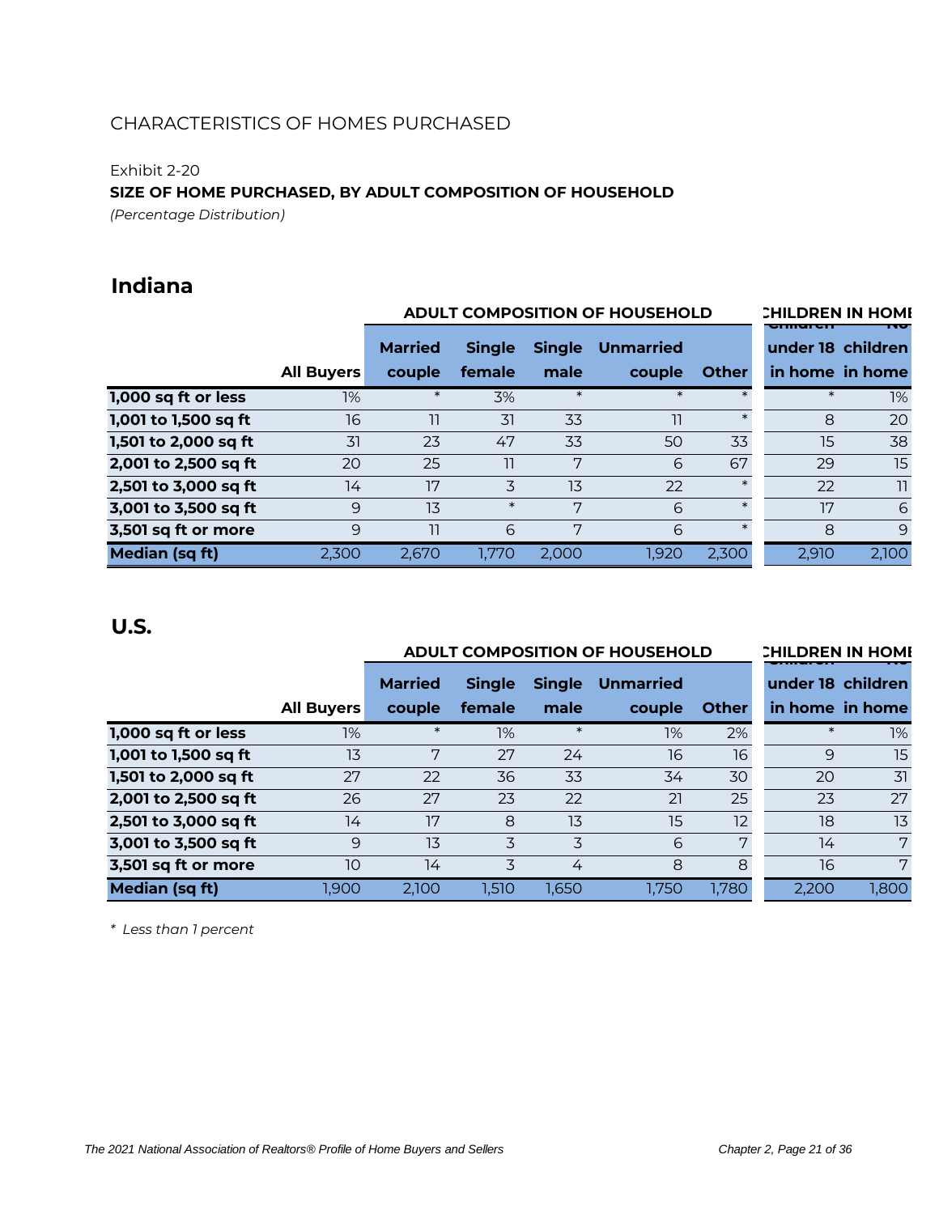Exhibit 2-20

**SIZE OF HOME PURCHASED, BY ADULT COMPOSITION OF HOUSEHOLD**

*(Percentage Distribution)*

## **Indiana**

|                      |                   |                | <b>ADULT COMPOSITION OF HOUSEHOLD</b> |               | <b>CHILDREN IN HOME</b><br><del>ennarer</del> |              |                   |                 |
|----------------------|-------------------|----------------|---------------------------------------|---------------|-----------------------------------------------|--------------|-------------------|-----------------|
|                      |                   | <b>Married</b> | <b>Single</b>                         | <b>Single</b> | <b>Unmarried</b>                              |              | under 18 children |                 |
|                      | <b>All Buyers</b> | couple         | female                                | male          | couple                                        | <b>Other</b> |                   | in home in home |
| 1,000 sq ft or less  | 1%                | $\ast$         | 3%                                    | $\ast$        | $\ast$                                        |              | $\ast$            | 1%              |
| 1,001 to 1,500 sq ft | 16                | 11             | 31                                    | 33            | וו                                            | $\ast$       | 8                 | 20              |
| 1,501 to 2,000 sq ft | 31                | 23             | 47                                    | 33            | 50                                            | 33           | 15                | 38              |
| 2,001 to 2,500 sq ft | 20                | 25             | 11                                    | 7             | 6                                             | 67           | 29                | 15              |
| 2,501 to 3,000 sq ft | 14                | 17             | 3                                     | 13            | 22                                            | $\ast$       | 22                | 11              |
| 3,001 to 3,500 sq ft | 9                 | 13             | $\ast$                                | 7             | 6                                             | $\ast$       | 17                | 6               |
| 3,501 sq ft or more  | 9                 | 11             | 6                                     | 7             | 6                                             | $\ast$       | 8                 | 9               |
| Median (sq ft)       | 2,300             | 2,670          | 1,770                                 | 2.000         | 1,920                                         | 2,300        | 2,910             | 2,100           |

### **U.S.**

|                      |                   |                | <b>ADULT COMPOSITION OF HOUSEHOLD</b> |               | <b>CHILDREN IN HOME</b> |       |        |                   |
|----------------------|-------------------|----------------|---------------------------------------|---------------|-------------------------|-------|--------|-------------------|
|                      |                   | <b>Married</b> | <b>Single</b>                         | <b>Single</b> | <b>Unmarried</b>        |       |        | under 18 children |
|                      | <b>All Buyers</b> | couple         | female                                | male          | couple                  | Other |        | in home in home   |
| 1,000 sq ft or less  | 1%                | $\ast$         | 1%                                    | $\ast$        | 1%                      | 2%    | $\ast$ | 1%                |
| 1,001 to 1,500 sq ft | 13                | 7              | 27                                    | 24            | 16                      | 16    | 9      | 15                |
| 1,501 to 2,000 sq ft | 27                | 22             | 36                                    | 33            | 34                      | 30    | 20     | 31                |
| 2,001 to 2,500 sq ft | 26                | 27             | 23                                    | 22            | 21                      | 25    | 23     | 27                |
| 2,501 to 3,000 sq ft | 14                | 17             | 8                                     | 13            | 15                      | 12    | 18     | 13                |
| 3,001 to 3,500 sq ft | 9                 | 13             | 3                                     | 3             | 6                       | 7     | 14     | 7                 |
| 3,501 sq ft or more  | 10                | 14             | 3                                     | 4             | 8                       | 8     | 16     | 7                 |
| Median (sq ft)       | 1.900             | 2.100          | 1,510                                 | 1,650         | 1,750                   | 1,780 | 2.200  | 1,800             |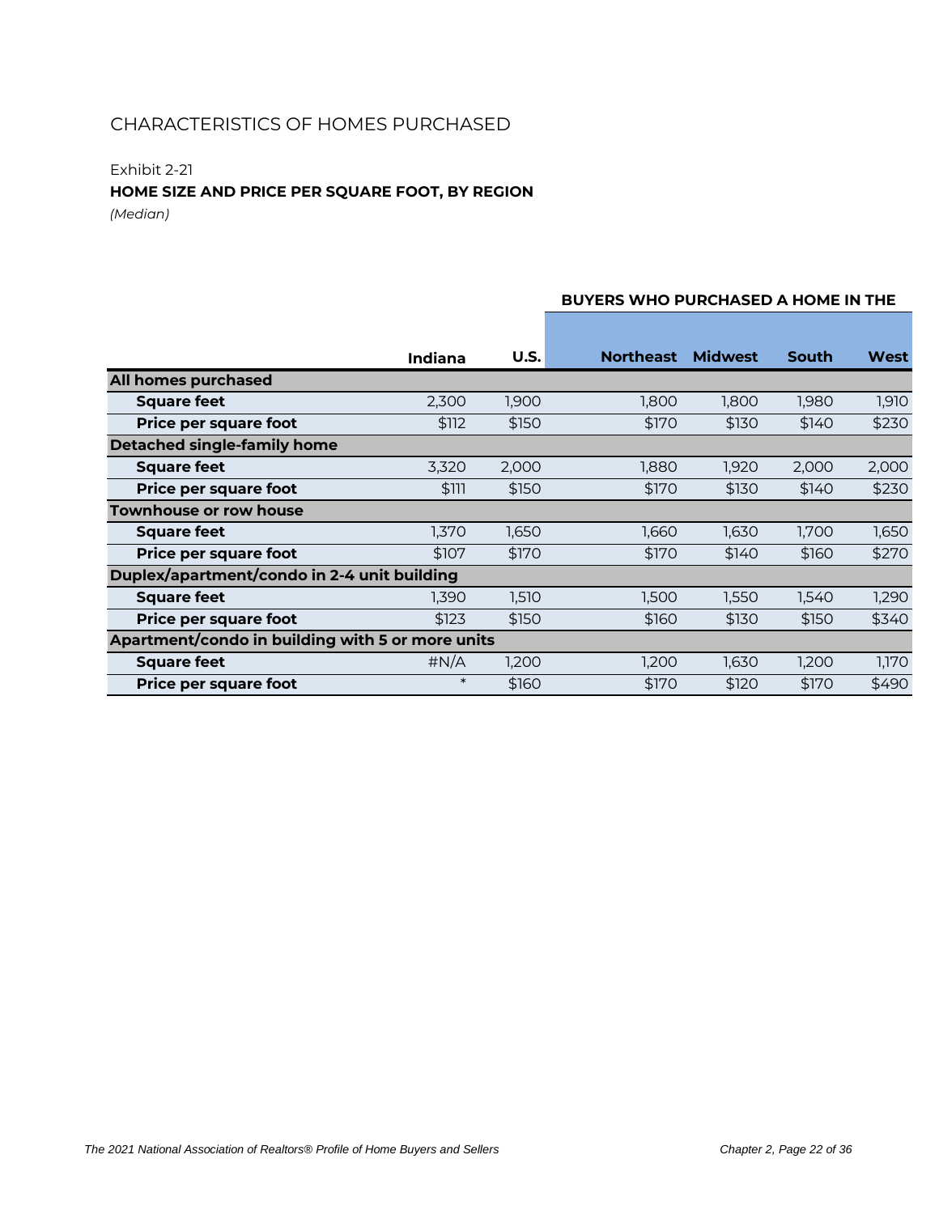### Exhibit 2-21

### **HOME SIZE AND PRICE PER SQUARE FOOT, BY REGION**

*(Median)*

### **U.S. Northeast Midwest South West All homes purchased Square feet** 2,300 1,900 1,800 1,800 1,980 1,910 **Price per square foot** \$112 \$150 \$170 \$130 \$140 \$230 **Detached single-family home Square feet** 3,320 2,000 1,880 1,920 2,000 2,000 **Price per square foot** \$111 \$150 \$170 \$130 \$140 \$230 **Townhouse or row house Square feet** 1,370 1,650 1,660 1,630 1,700 1,650 **Price per square foot**  $$107$  \$170  $$170$  \$170 \$140 \$160 \$270 **Duplex/apartment/condo in 2-4 unit building Square feet** 1,390 1,510 1,500 1,550 1,540 1,290 **Price per square foot** \$123 \$150 \$160 \$130 \$150 \$340 **Apartment/condo in building with 5 or more units Square feet**  $\mu N/A$  1,200 1,200 1,630 1,200 1,170 **Price per square foot**  $*$  \$160 \$170 \$120 \$170 \$490 **Indiana**

#### **BUYERS WHO PURCHASED A HOME IN THE**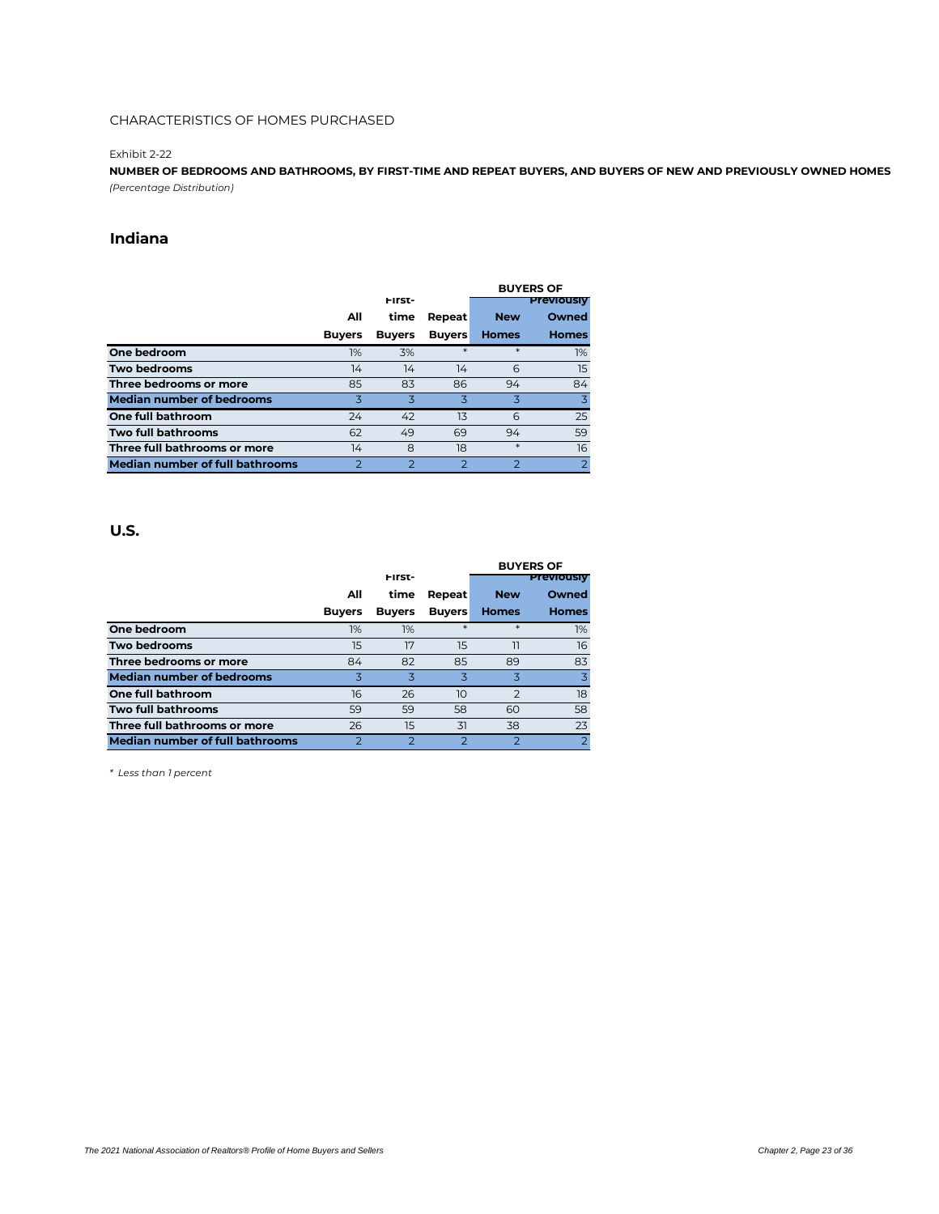#### Exhibit 2-22

**NUMBER OF BEDROOMS AND BATHROOMS, BY FIRST-TIME AND REPEAT BUYERS, AND BUYERS OF NEW AND PREVIOUSLY OWNED HOMES** *(Percentage Distribution)*

### **Indiana**

|                                  |               |                |               | <b>BUYERS OF</b> |                   |  |
|----------------------------------|---------------|----------------|---------------|------------------|-------------------|--|
|                                  |               | First-         |               |                  | <b>Previously</b> |  |
|                                  | All           | time           | Repeat        | <b>New</b>       | Owned             |  |
|                                  | <b>Buyers</b> | <b>Buyers</b>  | <b>Buyers</b> | <b>Homes</b>     | <b>Homes</b>      |  |
| One bedroom                      | 1%            | 3%             | $\ast$        | $\ast$           | 1%                |  |
| Two bedrooms                     | 14            | 14             | 14            | 6                | 15                |  |
| Three bedrooms or more           | 85            | 83             | 86            | 94               | 84                |  |
| <b>Median number of bedrooms</b> | 3             | 3              | 3             | 3                | 3                 |  |
| One full bathroom                | 24            | 42             | 13            | 6                | 25                |  |
| Two full bathrooms               | 62            | 49             | 69            | 94               | 59                |  |
| Three full bathrooms or more     | 14            | 8              | 18            | $\ast$           | 16                |  |
| Median number of full bathrooms  |               | $\overline{2}$ | っ             | っ                | $\overline{2}$    |  |

#### **U.S.**

|                                  |               |               |               | <b>BUYERS OF</b>  |                         |  |
|----------------------------------|---------------|---------------|---------------|-------------------|-------------------------|--|
|                                  |               | First-        |               | <b>Previously</b> |                         |  |
|                                  | All           | time          | Repeat        | <b>New</b>        | Owned                   |  |
|                                  | <b>Buyers</b> | <b>Buyers</b> | <b>Buyers</b> | <b>Homes</b>      | <b>Homes</b>            |  |
| One bedroom                      | 1%            | 1%            | $\ast$        | $\ast$            | 1%                      |  |
| Two bedrooms                     | 15            | 17            | 15            | 11                | 16                      |  |
| Three bedrooms or more           | 84            | 82            | 85            | 89                | 83                      |  |
| <b>Median number of bedrooms</b> | 3             | ス             | 3             | 3                 | $\overline{\mathbf{z}}$ |  |
| One full bathroom                | 16            | 26            | 10            | $\overline{2}$    | 18                      |  |
| Two full bathrooms               | 59            | 59            | 58            | 60                | 58                      |  |
| Three full bathrooms or more     | 26            | 15            | 31            | 38                | 23                      |  |
| Median number of full bathrooms  | 2             | っ             | っ             | $\mathcal{P}$     | $\overline{2}$          |  |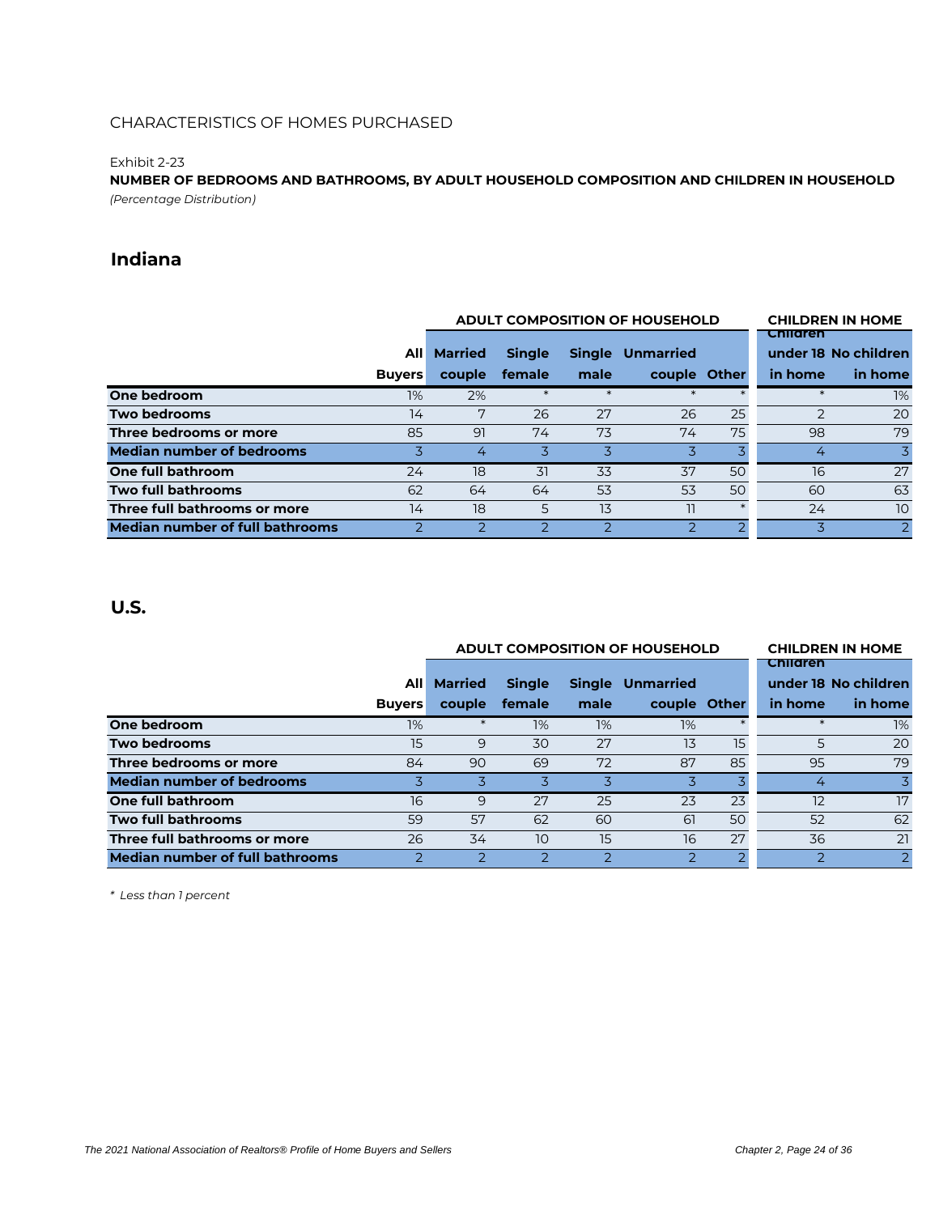#### Exhibit 2-23

**NUMBER OF BEDROOMS AND BATHROOMS, BY ADULT HOUSEHOLD COMPOSITION AND CHILDREN IN HOUSEHOLD** *(Percentage Distribution)*

### **Indiana**

|                                  |               |                | <b>ADULT COMPOSITION OF HOUSEHOLD</b> |        | <b>CHILDREN IN HOME</b> |    |               |                      |
|----------------------------------|---------------|----------------|---------------------------------------|--------|-------------------------|----|---------------|----------------------|
|                                  |               |                |                                       |        |                         |    | Children      |                      |
|                                  | Alll          | <b>Married</b> | <b>Single</b>                         |        | Single Unmarried        |    |               | under 18 No children |
|                                  | <b>Buyers</b> | couple         | female                                | male   | couple Other            |    | in home       | in home              |
| One bedroom                      | 1%            | 2%             | $\ast$                                | $\ast$ | $\ast$                  |    |               | 1%                   |
| Two bedrooms                     | 14            | 7              | 26                                    | 27     | 26                      | 25 | $\mathcal{D}$ | 20                   |
| Three bedrooms or more           | 85            | 91             | 74                                    | 73     | 74                      | 75 | 98            | 79                   |
| <b>Median number of bedrooms</b> | 3             | 4              | 3                                     | 3      |                         |    | 4             | 3                    |
| One full bathroom                | 24            | 18             | 31                                    | 33     | 37                      | 50 | 16            | 27                   |
| Two full bathrooms               | 62            | 64             | 64                                    | 53     | 53                      | 50 | 60            | 63                   |
| Three full bathrooms or more     | 14            | 18             | 5                                     | 13     | 11                      |    | 24            | 10                   |
| Median number of full bathrooms  |               |                |                                       |        |                         |    |               | $\overline{2}$       |

### **U.S.**

|                                        |               |                | <b>ADULT COMPOSITION OF HOUSEHOLD</b> |                          | <b>CHILDREN IN HOME</b> |    |                 |                      |
|----------------------------------------|---------------|----------------|---------------------------------------|--------------------------|-------------------------|----|-----------------|----------------------|
|                                        |               |                |                                       |                          |                         |    | <b>Children</b> |                      |
|                                        | Alll          | <b>Married</b> | <b>Single</b>                         |                          | <b>Single Unmarried</b> |    |                 | under 18 No children |
|                                        | <b>Buyers</b> | couple         | female                                | male                     | couple Other            |    | in home         | in home              |
| One bedroom                            | 1%            | $\ast$         | 1%                                    | 1%                       | 1%                      |    |                 | 1%                   |
| Two bedrooms                           | 15            | 9              | 30                                    | 27                       | 13                      | 15 | 5               | 20                   |
| Three bedrooms or more                 | 84            | 90             | 69                                    | 72                       | 87                      | 85 | 95              | 79                   |
| <b>Median number of bedrooms</b>       |               |                | 3                                     | 3                        |                         |    | 4               | 3                    |
| One full bathroom                      | 16            | 9              | 27                                    | 25                       | 23                      | 23 | 12              | 17                   |
| Two full bathrooms                     | 59            | 57             | 62                                    | 60                       | 61                      | 50 | 52              | 62                   |
| Three full bathrooms or more           | 26            | 34             | 10                                    | 15                       | 16                      | 27 | 36              | 21                   |
| <b>Median number of full bathrooms</b> |               |                |                                       | $\overline{\phantom{0}}$ |                         |    | っ               | 2                    |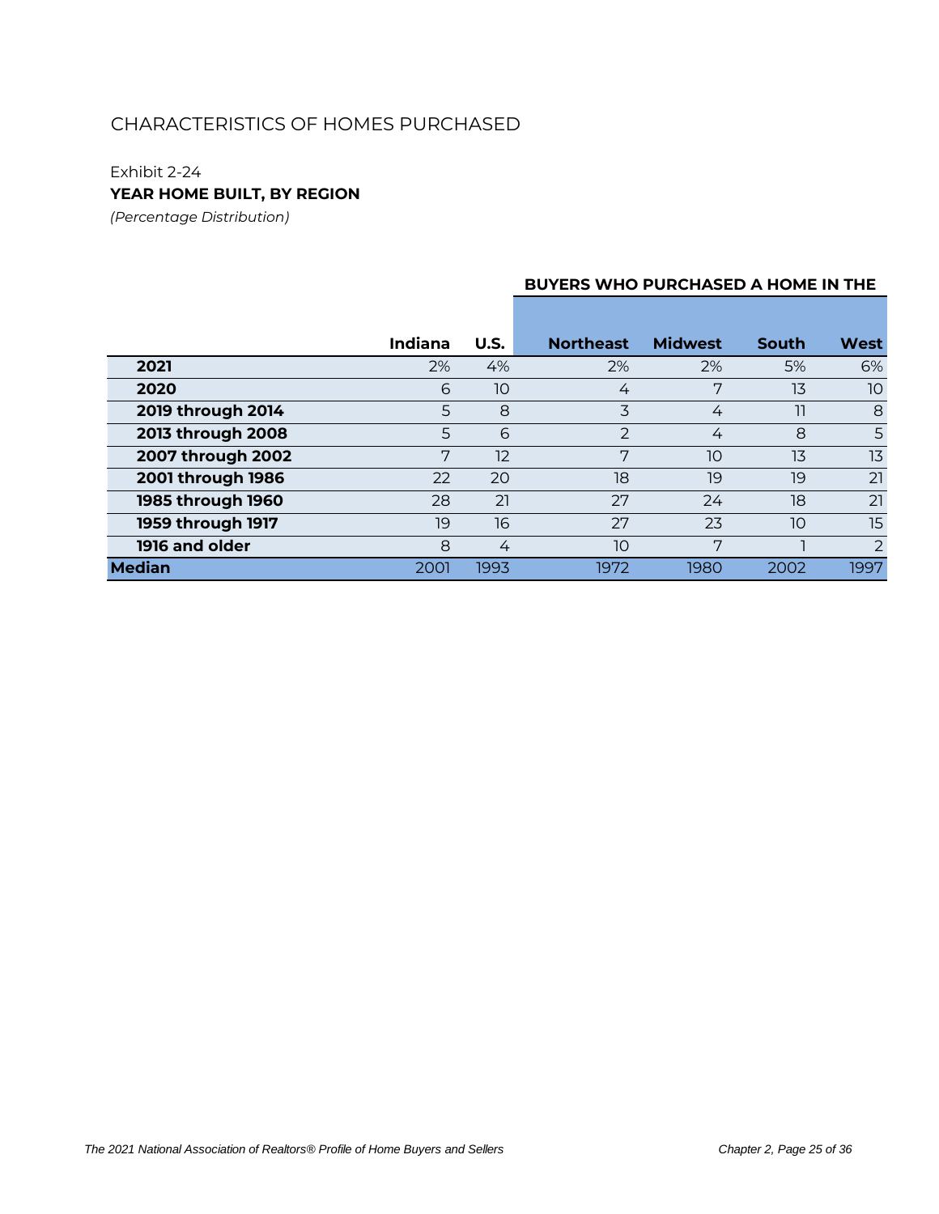### Exhibit 2-24

**YEAR HOME BUILT, BY REGION**

*(Percentage Distribution)*

#### **BUYERS WHO PURCHASED A HOME IN THE**

|                   | Indiana | U.S. | <b>Northeast</b> | <b>Midwest</b> | <b>South</b> | <b>West</b>    |
|-------------------|---------|------|------------------|----------------|--------------|----------------|
| 2021              | 2%      | 4%   | 2%               | 2%             | 5%           | 6%             |
| 2020              | 6       | 10   | 4                | 7              | 13           | 10             |
| 2019 through 2014 | 5       | 8    | 3                | 4              | 11           | 8              |
| 2013 through 2008 | 5       | 6    | $\mathcal{P}$    | 4              | 8            | 5              |
| 2007 through 2002 | 7       | 12   | 7                | 10             | 13           | 13             |
| 2001 through 1986 | 22      | 20   | 18               | 19             | 19           | 21             |
| 1985 through 1960 | 28      | 21   | 27               | 24             | 18           | 21             |
| 1959 through 1917 | 19      | 16   | 27               | 23             | 10           | 15             |
| 1916 and older    | 8       | 4    | 10               | 7              |              | $\overline{2}$ |
| <b>Median</b>     | 2001    | 1993 | 1972             | 1980           | 2002         | 1997           |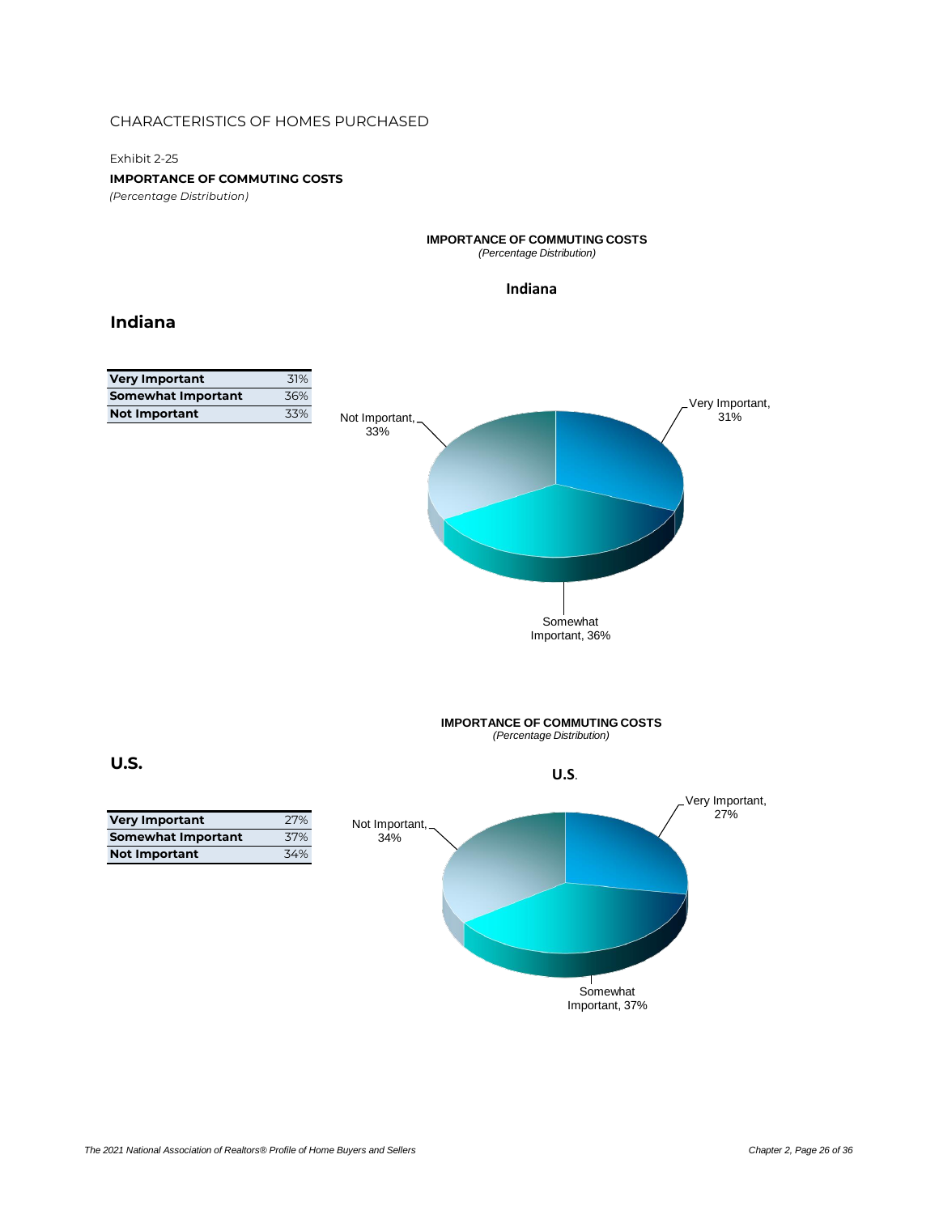Exhibit 2-25

**IMPORTANCE OF COMMUTING COSTS**

*(Percentage Distribution)*

### **IMPORTANCE OF COMMUTING COSTS**

*(Percentage Distribution)*

#### **Indiana**

### **Indiana**

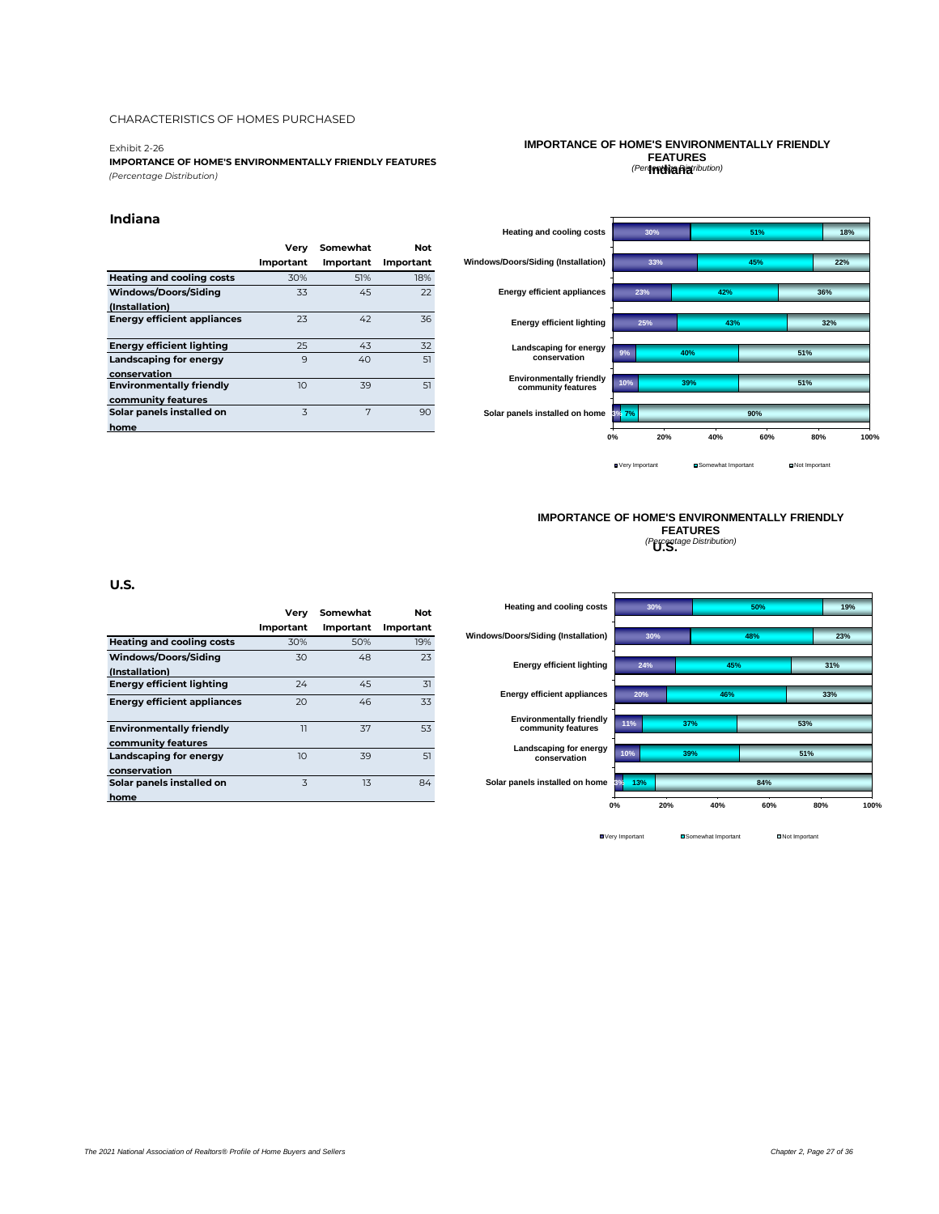#### Exhibit 2-26

**IMPORTANCE OF HOME'S ENVIRONMENTALLY FRIENDLY FEATURES** *(Percentage Distribution)*

#### **Indiana**

|                                    | Verv             | Somewhat         | Not       |
|------------------------------------|------------------|------------------|-----------|
|                                    | <b>Important</b> | <b>Important</b> | Important |
| <b>Heating and cooling costs</b>   | 30%              | 51%              | 18%       |
| Windows/Doors/Siding               | 33               | 45               | 22        |
| (Installation)                     |                  |                  |           |
| <b>Energy efficient appliances</b> | 23               | 42               | 36        |
|                                    |                  |                  |           |
| <b>Energy efficient lighting</b>   | 25               | 43               | 32        |
| <b>Landscaping for energy</b>      | 9                | 40               | 51        |
| conservation                       |                  |                  |           |
| <b>Environmentally friendly</b>    | 10               | 39               | 51        |
| community features                 |                  |                  |           |
| Solar panels installed on          | $\overline{3}$   | 7                | 90        |
| home                               |                  |                  |           |

#### **IMPORTANCE OF HOME'S ENVIRONMENTALLY FRIENDLY FEATURES** *(Percentage Distribution)* **Indiana**



#### **IMPORTANCE OF HOME'S ENVIRONMENTALLY FRIENDLY FEATURES** *(Percentage Distribution)* **U.S.**

#### **U.S.**

|                                                       | Verv             | Somewhat         | Not       |
|-------------------------------------------------------|------------------|------------------|-----------|
|                                                       | <b>Important</b> | <b>Important</b> | Important |
| <b>Heating and cooling costs</b>                      | 30%              | 50%              | 19%       |
| Windows/Doors/Siding                                  | 30               | 48               | 23        |
| (Installation)                                        |                  |                  |           |
| Enerav efficient liahtina                             | 24               | 45               | 31        |
| <b>Energy efficient appliances</b>                    | 20               | 46               | 33        |
| <b>Environmentally friendly</b><br>community features | $\overline{1}$   | 37               | 53        |
| Landscaping for energy<br>conservation                | 10 <sup>2</sup>  | 39               | 51        |
| Solar panels installed on<br>home                     | $\overline{3}$   | 13               | 84        |
|                                                       |                  |                  |           |



**O** Very Important **C** Somewhat Important **C** Not Important

*The 2021 National Association of Realtors® Profile of Home Buyers and Sellers Chapter 2, Page 27 of 36*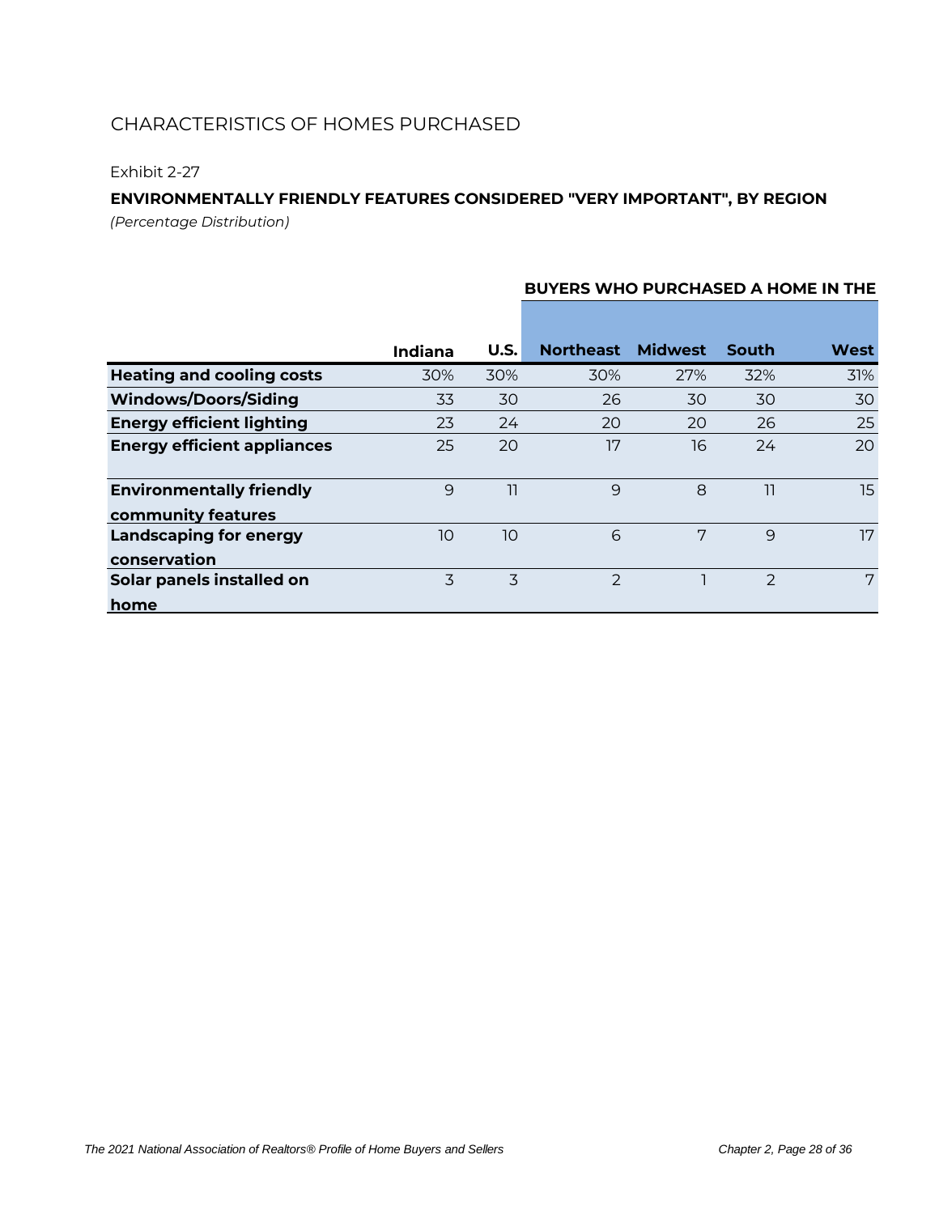### Exhibit 2-27

### **ENVIRONMENTALLY FRIENDLY FEATURES CONSIDERED "VERY IMPORTANT", BY REGION**

*(Percentage Distribution)*

|                                                       | <b>Indiana</b> | U.S. | <b>Northeast</b> | <b>Midwest</b> | South         | West |
|-------------------------------------------------------|----------------|------|------------------|----------------|---------------|------|
| <b>Heating and cooling costs</b>                      | 30%            | 30%  | 30%              | 27%            | 32%           | 31%  |
| <b>Windows/Doors/Siding</b>                           | 33             | 30   | 26               | 30             | 30            | 30   |
| <b>Energy efficient lighting</b>                      | 23             | 24   | 20               | 20             | 26            | 25   |
| <b>Energy efficient appliances</b>                    | 25             | 20   | 17               | 16             | 24            | 20   |
| <b>Environmentally friendly</b><br>community features | 9              | 11   | 9                | 8              | 11            | 15   |
| <b>Landscaping for energy</b><br>conservation         | 10             | 10   | 6                | 7              | 9             | 17   |
| Solar panels installed on<br>home                     | 3              | 3    | $\mathcal{P}$    |                | $\mathcal{P}$ | 7    |

#### **BUYERS WHO PURCHASED A HOME IN THE**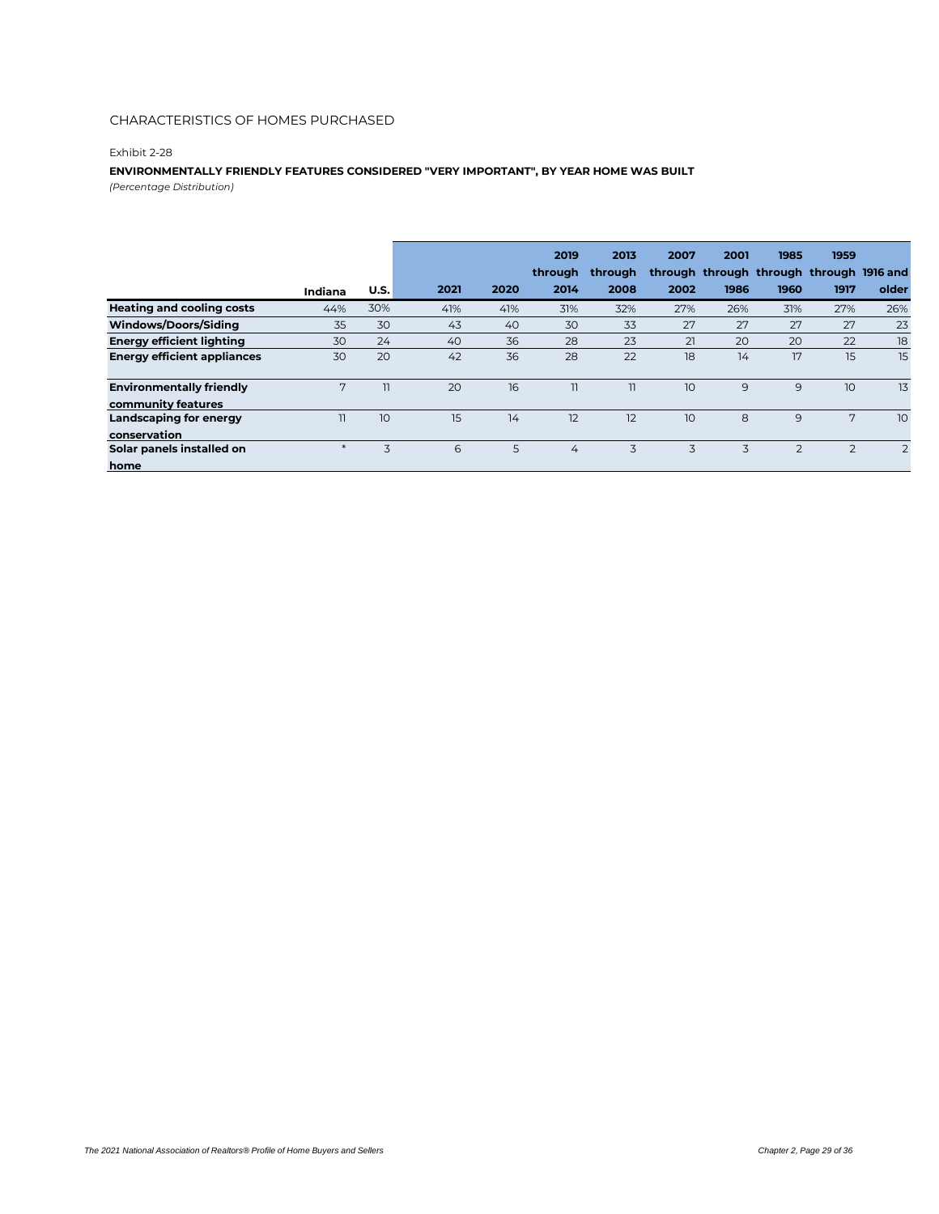#### Exhibit 2-28

#### **ENVIRONMENTALLY FRIENDLY FEATURES CONSIDERED "VERY IMPORTANT", BY YEAR HOME WAS BUILT**

*(Percentage Distribution)*

|                                    |         |      |      |      | 2019<br>through | 2013<br>through | 2007            | 2001<br>through through through through 1916 and | 1985           | 1959           |       |
|------------------------------------|---------|------|------|------|-----------------|-----------------|-----------------|--------------------------------------------------|----------------|----------------|-------|
|                                    | Indiana | U.S. | 2021 | 2020 | 2014            | 2008            | 2002            | 1986                                             | 1960           | 1917           | older |
|                                    |         |      |      |      |                 |                 |                 |                                                  |                |                |       |
| <b>Heating and cooling costs</b>   | 44%     | 30%  | 41%  | 41%  | 31%             | 32%             | 27%             | 26%                                              | 31%            | 27%            | 26%   |
| Windows/Doors/Siding               | 35      | 30   | 43   | 40   | 30              | 33              | 27              | 27                                               | 27             | 27             | 23    |
| <b>Energy efficient lighting</b>   | 30      | 24   | 40   | 36   | 28              | 23              | 21              | 20                                               | 20             | 22             | 18    |
| <b>Energy efficient appliances</b> | 30      | 20   | 42   | 36   | 28              | 22              | 18              | 14                                               | 17             | 15             | 15    |
| <b>Environmentally friendly</b>    | 7       | 11   | 20   | 16   | 11              | $\overline{11}$ | 10 <sup>°</sup> | 9                                                | 9              | 10             | 13    |
| community features                 |         |      |      |      |                 |                 |                 |                                                  |                |                |       |
| Landscaping for energy             | 11      | 10   | 15   | 14   | 12              | 12              | 10              | 8                                                | 9              | 7              | 10    |
| conservation                       |         |      |      |      |                 |                 |                 |                                                  |                |                |       |
| Solar panels installed on          | $\ast$  | 3    | 6    | 5    | $\overline{4}$  | 3               | 3               | 3                                                | $\overline{2}$ | $\overline{2}$ | 2     |
| home                               |         |      |      |      |                 |                 |                 |                                                  |                |                |       |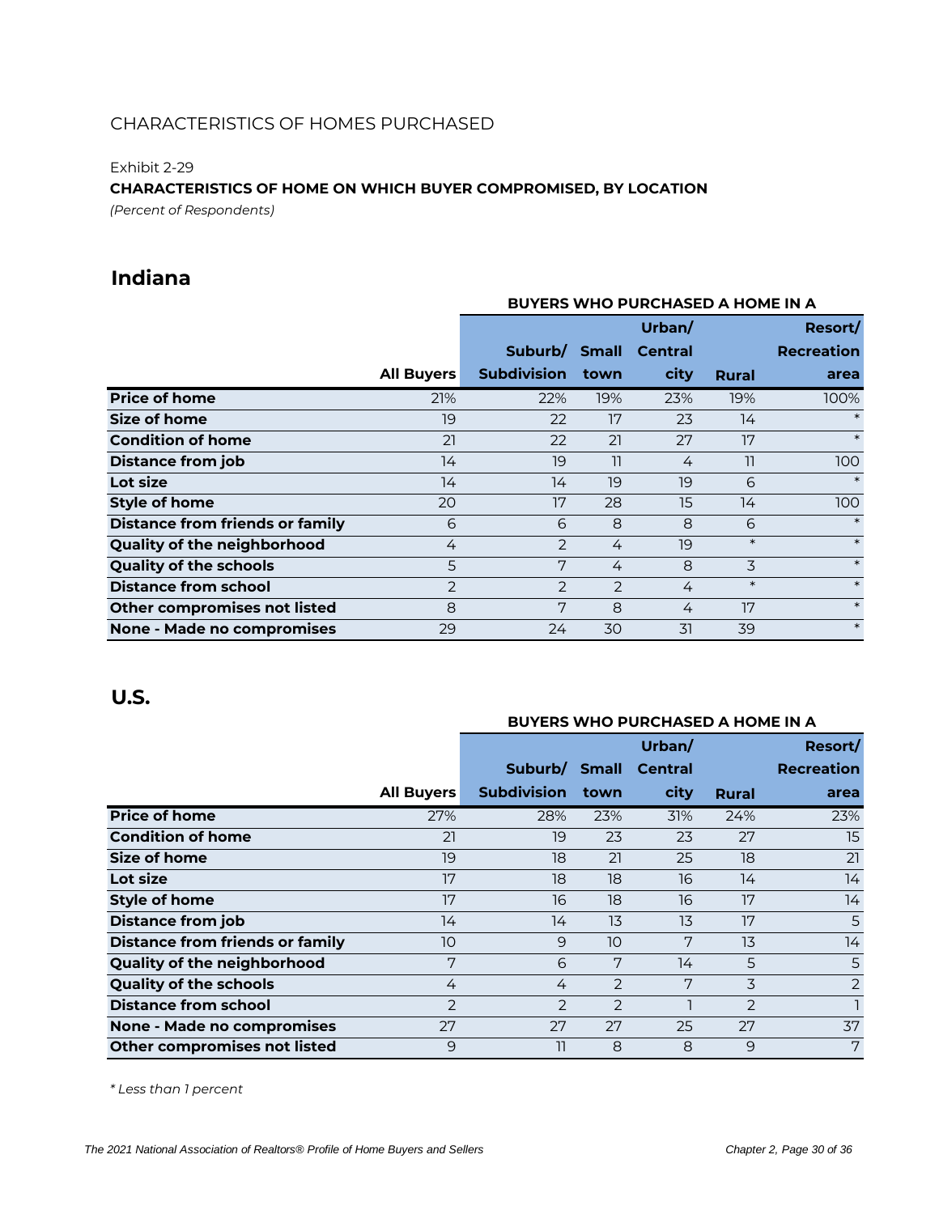Exhibit 2-29

### **CHARACTERISTICS OF HOME ON WHICH BUYER COMPROMISED, BY LOCATION**

*(Percent of Respondents)*

### **Indiana**

|                                        |                   | <b>BUYERS WHO PURCHASED A HOME IN A</b> |                |                |        |                   |  |  |  |
|----------------------------------------|-------------------|-----------------------------------------|----------------|----------------|--------|-------------------|--|--|--|
|                                        |                   |                                         |                | Urban/         |        | Resort/           |  |  |  |
|                                        |                   | Suburb/                                 | <b>Small</b>   | <b>Central</b> |        | <b>Recreation</b> |  |  |  |
|                                        | <b>All Buyers</b> | <b>Subdivision</b>                      | town           | city           | Rural  | area              |  |  |  |
| <b>Price of home</b>                   | 21%               | 22%                                     | 19%            | 23%            | 19%    | 100%              |  |  |  |
| Size of home                           | 19                | 22                                      | 17             | 23             | 14     | $\ast$            |  |  |  |
| <b>Condition of home</b>               | 21                | 22                                      | 21             | 27             | 17     | $\ast$            |  |  |  |
| <b>Distance from job</b>               | 14                | 19                                      | 11             | 4              | 11     | 100               |  |  |  |
| Lot size                               | 14                | 14                                      | 19             | 19             | 6      | $\ast$            |  |  |  |
| Style of home                          | 20                | 17                                      | 28             | 15             | 14     | 100               |  |  |  |
| <b>Distance from friends or family</b> | 6                 | 6                                       | 8              | 8              | 6      | $\ast$            |  |  |  |
| Quality of the neighborhood            | 4                 | 2                                       | 4              | 19             | $\ast$ | $\ast$            |  |  |  |
| <b>Quality of the schools</b>          | 5                 | 7                                       | 4              | 8              | 3      | $\ast$            |  |  |  |
| <b>Distance from school</b>            | 2                 | $\overline{2}$                          | $\overline{2}$ | 4              | $\ast$ | $\ast$            |  |  |  |
| Other compromises not listed           | 8                 | 7                                       | 8              | 4              | 17     | $\ast$            |  |  |  |
| None - Made no compromises             | 29                | 24                                      | 30             | 31             | 39     | $\ast$            |  |  |  |

### **U.S.**

#### **BUYERS WHO PURCHASED A HOME IN A**

|                                        |                   |                  |                | Urban/         |               | Resort/           |
|----------------------------------------|-------------------|------------------|----------------|----------------|---------------|-------------------|
|                                        |                   | Suburb/          | <b>Small</b>   | <b>Central</b> |               | <b>Recreation</b> |
|                                        | <b>All Buyers</b> | Subdivision town |                | city           | Rural         | area              |
| <b>Price of home</b>                   | 27%               | 28%              | 23%            | 31%            | 24%           | 23%               |
| <b>Condition of home</b>               | 21                | 19               | 23             | 23             | 27            | 15                |
| <b>Size of home</b>                    | 19                | 18               | 21             | 25             | 18            | 21                |
| Lot size                               | 17                | 18               | 18             | 16             | 14            | 14                |
| <b>Style of home</b>                   | 17                | 16               | 18             | 16             | 17            | 14                |
| Distance from job                      | 14                | 14               | 13             | 13             | 17            | 5                 |
| <b>Distance from friends or family</b> | 10                | 9                | 10             | 7              | 13            | 14                |
| Quality of the neighborhood            | 7                 | 6                | 7              | 14             | 5             | 5                 |
| <b>Quality of the schools</b>          | 4                 | 4                | $\overline{2}$ | 7              | 3             | $\overline{2}$    |
| <b>Distance from school</b>            | $\overline{2}$    | $\mathcal{P}$    | $\mathcal{P}$  |                | $\mathcal{P}$ |                   |
| None - Made no compromises             | 27                | 27               | 27             | 25             | 27            | 37                |
| Other compromises not listed           | 9                 | 11               | 8              | 8              | 9             | 7                 |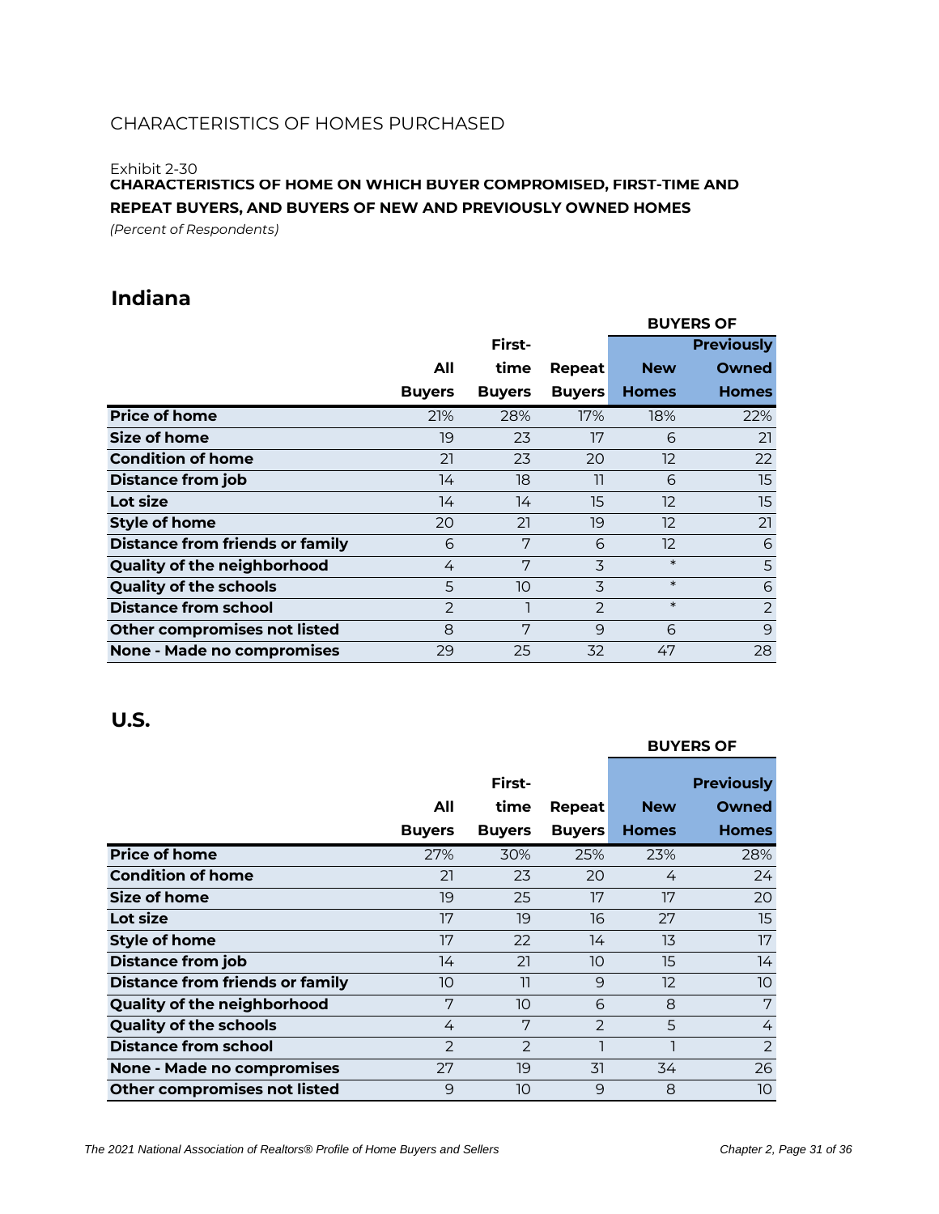Exhibit 2-30

**CHARACTERISTICS OF HOME ON WHICH BUYER COMPROMISED, FIRST-TIME AND REPEAT BUYERS, AND BUYERS OF NEW AND PREVIOUSLY OWNED HOMES**

*(Percent of Respondents)*

### **Indiana**

|                                        |               |               |               |                   | <b>BUYERS OF</b>  |
|----------------------------------------|---------------|---------------|---------------|-------------------|-------------------|
|                                        |               | First-        |               |                   | <b>Previously</b> |
|                                        | All           | time          | Repeat        | <b>New</b>        | Owned             |
|                                        | <b>Buyers</b> | <b>Buyers</b> | <b>Buyers</b> | <b>Homes</b>      | <b>Homes</b>      |
| <b>Price of home</b>                   | 21%           | 28%           | 17%           | 18%               | 22%               |
| Size of home                           | 19            | 23            | 17            | 6                 | 21                |
| <b>Condition of home</b>               | 21            | 23            | 20            | 12                | 22                |
| <b>Distance from job</b>               | 14            | 18            | 11            | 6                 | 15                |
| Lot size                               | 14            | 14            | 15            | 12                | 15                |
| <b>Style of home</b>                   | 20            | 21            | 19            | 12                | 21                |
| <b>Distance from friends or family</b> | 6             | 7             | 6             | $12 \overline{ }$ | 6                 |
| <b>Quality of the neighborhood</b>     | 4             | 7             | 3             | $\ast$            | 5                 |
| <b>Quality of the schools</b>          | 5             | 10            | 3             | $\ast$            | 6                 |
| <b>Distance from school</b>            | 2             |               | 2             | $\ast$            | $\overline{2}$    |
| Other compromises not listed           | 8             | 7             | 9             | 6                 | $\overline{9}$    |
| None - Made no compromises             | 29            | 25            | 32            | 47                | 28                |

|                                        |               |               |               |                   | <b>BUYERS OF</b>  |
|----------------------------------------|---------------|---------------|---------------|-------------------|-------------------|
|                                        |               | First-        |               |                   | <b>Previously</b> |
|                                        | All           | time          | Repeat        | <b>New</b>        | Owned             |
|                                        | <b>Buyers</b> | <b>Buyers</b> | <b>Buyers</b> | <b>Homes</b>      | <b>Homes</b>      |
| <b>Price of home</b>                   | 27%           | 30%           | 25%           | 23%               | 28%               |
| <b>Condition of home</b>               | 21            | 23            | 20            | 4                 | 24                |
| <b>Size of home</b>                    | 19            | 25            | 17            | 17                | 20                |
| Lot size                               | 17            | 19            | 16            | 27                | 15                |
| <b>Style of home</b>                   | 17            | 22            | 14            | 13                | 17                |
| <b>Distance from job</b>               | 14            | 21            | 10            | 15                | 14                |
| <b>Distance from friends or family</b> | 10            | 11            | 9             | $12 \overline{ }$ | 10                |
| <b>Quality of the neighborhood</b>     | 7             | 10            | 6             | 8                 | 7                 |
| <b>Quality of the schools</b>          | 4             | 7             | $\mathcal{P}$ | 5                 | 4                 |
| <b>Distance from school</b>            | $\mathcal{P}$ | $\mathcal{P}$ |               |                   | 2                 |
| <b>None - Made no compromises</b>      | 27            | 19            | 31            | 34                | 26                |
| Other compromises not listed           | 9             | 10            | 9             | 8                 | 10                |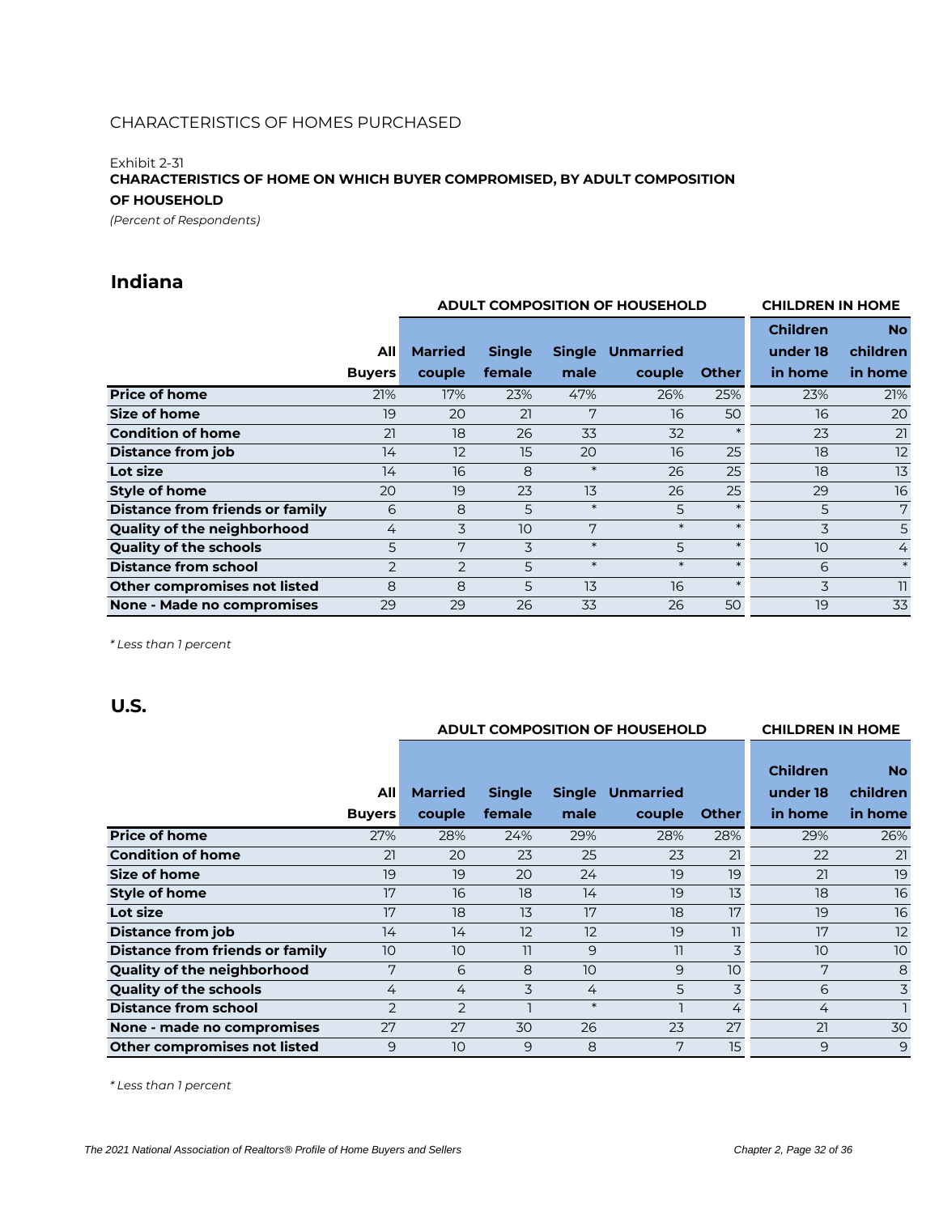#### Exhibit 2-31

**CHARACTERISTICS OF HOME ON WHICH BUYER COMPROMISED, BY ADULT COMPOSITION OF HOUSEHOLD**

*(Percent of Respondents)*

### **Indiana**

|                                        |                |                | ADULT COMPOSITION OF HOUSEHOLD |               | <b>CHILDREN IN HOME</b> |              |                 |                |
|----------------------------------------|----------------|----------------|--------------------------------|---------------|-------------------------|--------------|-----------------|----------------|
|                                        |                |                |                                |               |                         |              | <b>Children</b> | <b>No</b>      |
|                                        | All            | <b>Married</b> | <b>Single</b>                  | <b>Single</b> | <b>Unmarried</b>        |              | under 18        | children       |
|                                        | <b>Buyers</b>  | couple         | female                         | male          | couple                  | <b>Other</b> | in home         | in home        |
| <b>Price of home</b>                   | 21%            | 17%            | 23%                            | 47%           | 26%                     | 25%          | 23%             | 21%            |
| Size of home                           | 19             | 20             | 21                             | 7             | 16                      | 50           | 16              | 20             |
| <b>Condition of home</b>               | 21             | 18             | 26                             | 33            | 32                      |              | 23              | 21             |
| <b>Distance from job</b>               | 14             | 12             | 15                             | 20            | 16                      | 25           | 18              | 12             |
| Lot size                               | 14             | 16             | 8                              | $\ast$        | 26                      | 25           | 18              | 13             |
| <b>Style of home</b>                   | 20             | 19             | 23                             | 13            | 26                      | 25           | 29              | 16             |
| <b>Distance from friends or family</b> | 6              | 8              | 5                              | $\ast$        | 5                       |              | 5               | 7              |
| Quality of the neighborhood            | 4              | 3              | 10                             | 7             | $\ast$                  | $\ast$       | 3               | 5              |
| <b>Quality of the schools</b>          | 5              | 7              | 3                              | $\ast$        | 5                       | $\ast$       | 10              | $\overline{4}$ |
| <b>Distance from school</b>            | $\overline{2}$ | $\overline{2}$ | 5                              | $\ast$        | $\ast$                  | $\star$      | 6               | $\ast$         |
| Other compromises not listed           | 8              | 8              | 5                              | 13            | 16                      |              | 3               | 11             |
| None - Made no compromises             | 29             | 29             | 26                             | 33            | 26                      | 50           | 19              | 33             |

*\* Less than 1 percent*

### **U.S.**

| ADULT COMPOSITION OF HOUSEHOLD |  |
|--------------------------------|--|
|                                |  |

**CHILDREN IN HOME**

|                                    | All            | <b>Married</b> | <b>Single</b> | <b>Single</b> | <b>Unmarried</b> |              | <b>Children</b><br>under 18 | <b>No</b><br>children |
|------------------------------------|----------------|----------------|---------------|---------------|------------------|--------------|-----------------------------|-----------------------|
|                                    | <b>Buyers</b>  | couple         | female        | male          | couple           | <b>Other</b> | in home                     | in home               |
| <b>Price of home</b>               | 27%            | 28%            | 24%           | 29%           | 28%              | 28%          | 29%                         | 26%                   |
| <b>Condition of home</b>           | 21             | 20             | 23            | 25            | 23               | 21           | 22                          | 21                    |
| Size of home                       | 19             | 19             | 20            | 24            | 19               | 19           | 21                          | 19                    |
| <b>Style of home</b>               | 17             | 16             | 18            | 14            | 19               | 13           | 18                          | 16                    |
| Lot size                           | 17             | 18             | 13            | 17            | 18               | 17           | 19                          | 16                    |
| <b>Distance from job</b>           | 14             | 14             | 12            | 12            | 19               | 11           | 17                          | 12                    |
| Distance from friends or family    | 10             | 10             | 11            | 9             | 11               | 3            | 10                          | 10                    |
| <b>Quality of the neighborhood</b> | 7              | 6              | 8             | 10            | 9                | 10           | 7                           | 8                     |
| <b>Quality of the schools</b>      | 4              | 4              | 3             | 4             | 5                | 3            | 6                           | 3                     |
| <b>Distance from school</b>        | $\overline{2}$ | $\overline{2}$ |               | $\ast$        |                  | 4            | $\overline{4}$              |                       |
| None - made no compromises         | 27             | 27             | 30            | 26            | 23               | 27           | 21                          | 30                    |
| Other compromises not listed       | 9              | 10             | 9             | 8             | 7                | 15           | 9                           | 9                     |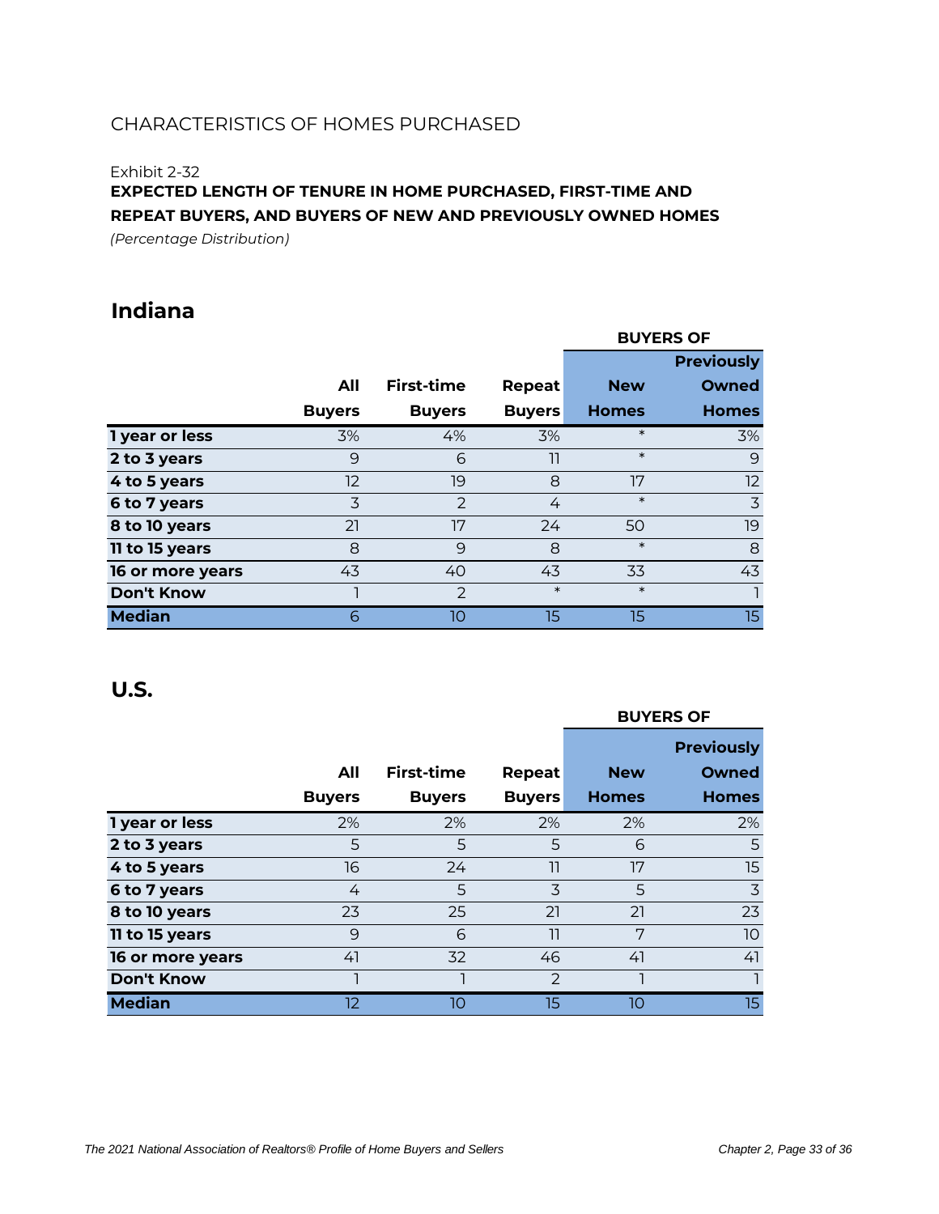#### Exhibit 2-32

**EXPECTED LENGTH OF TENURE IN HOME PURCHASED, FIRST-TIME AND REPEAT BUYERS, AND BUYERS OF NEW AND PREVIOUSLY OWNED HOMES**

*(Percentage Distribution)*

## **Indiana**

|                   |               |                |               |              | <b>BUYERS OF</b>  |
|-------------------|---------------|----------------|---------------|--------------|-------------------|
|                   |               |                |               |              | <b>Previously</b> |
|                   | All           | First-time     | Repeat        | <b>New</b>   | <b>Owned</b>      |
|                   | <b>Buyers</b> | <b>Buyers</b>  | <b>Buyers</b> | <b>Homes</b> | <b>Homes</b>      |
| 1 year or less    | 3%            | 4%             | 3%            | $\ast$       | 3%                |
| 2 to 3 years      | 9             | 6              | 11            | $\ast$       | 9                 |
| 4 to 5 years      | 12            | 19             | 8             | 17           | 12                |
| 6 to 7 years      | 3             | $\overline{2}$ | 4             | $\ast$       | 3                 |
| 8 to 10 years     | 21            | 17             | 24            | 50           | 19                |
| 11 to 15 years    | 8             | 9              | 8             | $\ast$       | 8                 |
| 16 or more years  | 43            | 40             | 43            | 33           | 43                |
| <b>Don't Know</b> |               | $\mathcal{P}$  | $\ast$        | $\ast$       |                   |
| <b>Median</b>     | 6             | 10             | 15            | 15           | 15                |

|                   |               |                   |               | <b>BUYERS OF</b> |                   |  |  |
|-------------------|---------------|-------------------|---------------|------------------|-------------------|--|--|
|                   |               |                   |               |                  | <b>Previously</b> |  |  |
|                   | All           | <b>First-time</b> | Repeat        | <b>New</b>       | <b>Owned</b>      |  |  |
|                   | <b>Buyers</b> | <b>Buyers</b>     | <b>Buyers</b> | <b>Homes</b>     | <b>Homes</b>      |  |  |
| 1 year or less    | 2%            | 2%                | 2%            | 2%               | 2%                |  |  |
| 2 to 3 years      | 5             | 5                 | 5             | 6                | 5                 |  |  |
| 4 to 5 years      | 16            | 24                | 11            | 17               | 15                |  |  |
| 6 to 7 years      | 4             | 5                 | 3             | 5                | 3                 |  |  |
| 8 to 10 years     | 23            | 25                | 21            | 21               | 23                |  |  |
| 11 to 15 years    | 9             | 6                 | 11            | 7                | 10 <sup>°</sup>   |  |  |
| 16 or more years  | 41            | 32                | 46            | 41               | 41                |  |  |
| <b>Don't Know</b> |               |                   | $\mathcal{P}$ |                  |                   |  |  |
| <b>Median</b>     | 12            | 10                | 15            | 10               | 15                |  |  |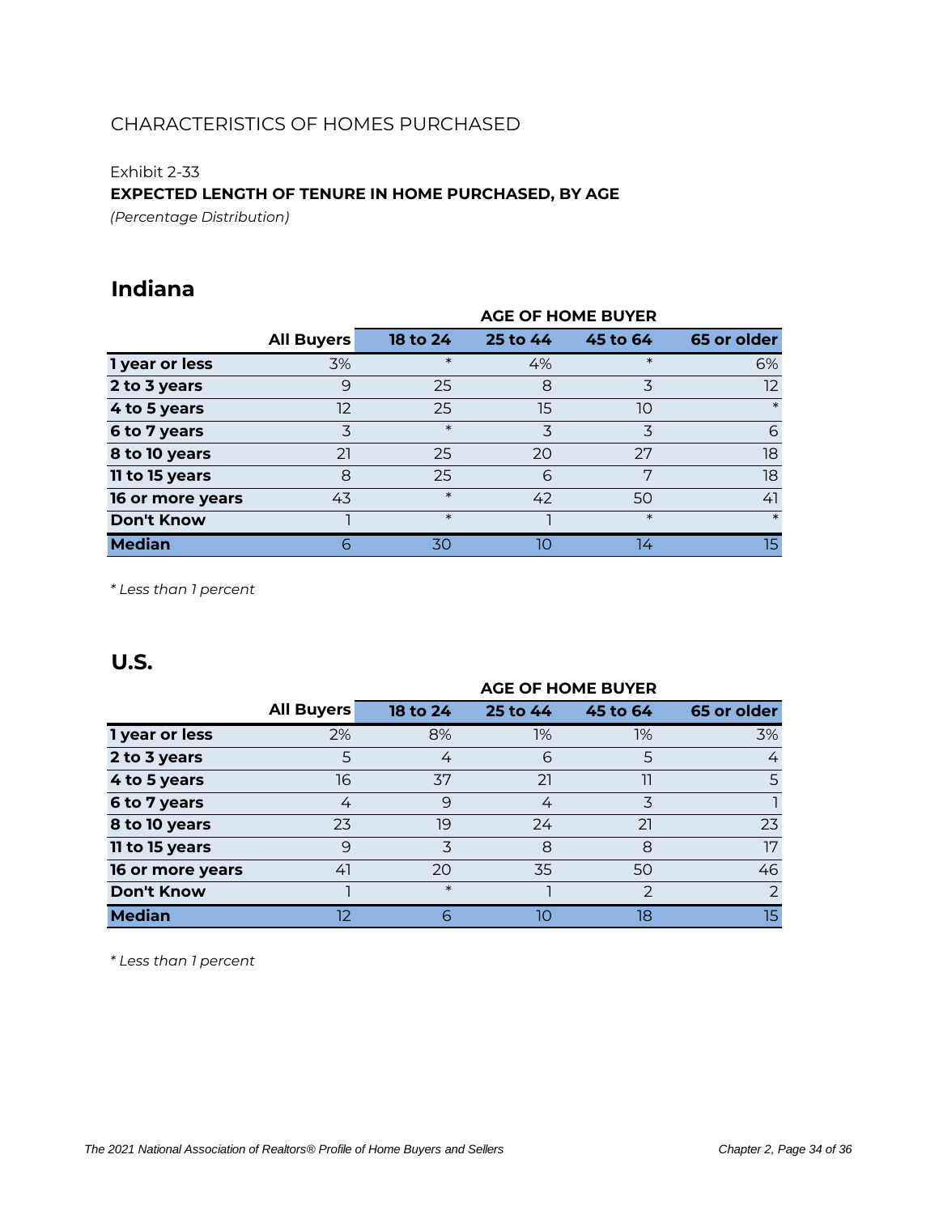### Exhibit 2-33

### **EXPECTED LENGTH OF TENURE IN HOME PURCHASED, BY AGE**

*(Percentage Distribution)*

### **Indiana**

|                   |                   | <b>AGE OF HOME BUYER</b> |          |          |             |  |  |  |  |
|-------------------|-------------------|--------------------------|----------|----------|-------------|--|--|--|--|
|                   | <b>All Buyers</b> | 18 to 24                 | 25 to 44 | 45 to 64 | 65 or older |  |  |  |  |
| 1 year or less    | 3%                | $\ast$                   | 4%       | $\ast$   | 6%          |  |  |  |  |
| 2 to 3 years      | 9                 | 25                       | 8        | 3        | 12.         |  |  |  |  |
| 4 to 5 years      | 12                | 25                       | 15       | 10       | $\ast$      |  |  |  |  |
| 6 to 7 years      | 3                 | $\ast$                   | 3        | 3        | 6           |  |  |  |  |
| 8 to 10 years     | 21                | 25                       | 20       | 27       | 18          |  |  |  |  |
| 11 to 15 years    | 8                 | 25                       | 6        | 7        | 18          |  |  |  |  |
| 16 or more years  | 43                | $\ast$                   | 42       | 50       | 41          |  |  |  |  |
| <b>Don't Know</b> |                   | $\ast$                   |          | $\ast$   | $\ast$      |  |  |  |  |
| <b>Median</b>     | 6                 | 30                       | 10       | 14       | 15          |  |  |  |  |

*\* Less than 1 percent*

### **U.S.**

|                   | <b>AGE OF HOME BUYER</b> |          |          |               |                  |  |  |  |
|-------------------|--------------------------|----------|----------|---------------|------------------|--|--|--|
|                   | <b>All Buyers</b>        | 18 to 24 | 25 to 44 | 45 to 64      | 65 or older      |  |  |  |
| 1 year or less    | 2%                       | 8%       | 1%       | 1%            | 3%               |  |  |  |
| 2 to 3 years      | 5                        | 4        | 6        | 5             | 4                |  |  |  |
| 4 to 5 years      | 16                       | 37       | 21       | 11            | 5                |  |  |  |
| 6 to 7 years      | 4                        | 9        | 4        | 3             |                  |  |  |  |
| 8 to 10 years     | 23                       | 19       | 24       | 21            | 23               |  |  |  |
| 11 to 15 years    | 9                        | 3        | 8        | 8             | 17               |  |  |  |
| 16 or more years  | 41                       | 20       | 35       | 50            | 46               |  |  |  |
| <b>Don't Know</b> |                          | $\ast$   |          | $\mathcal{P}$ | $\mathcal{P}$    |  |  |  |
| <b>Median</b>     | 12                       | 6        | 10       | 18            | 15 <sub>15</sub> |  |  |  |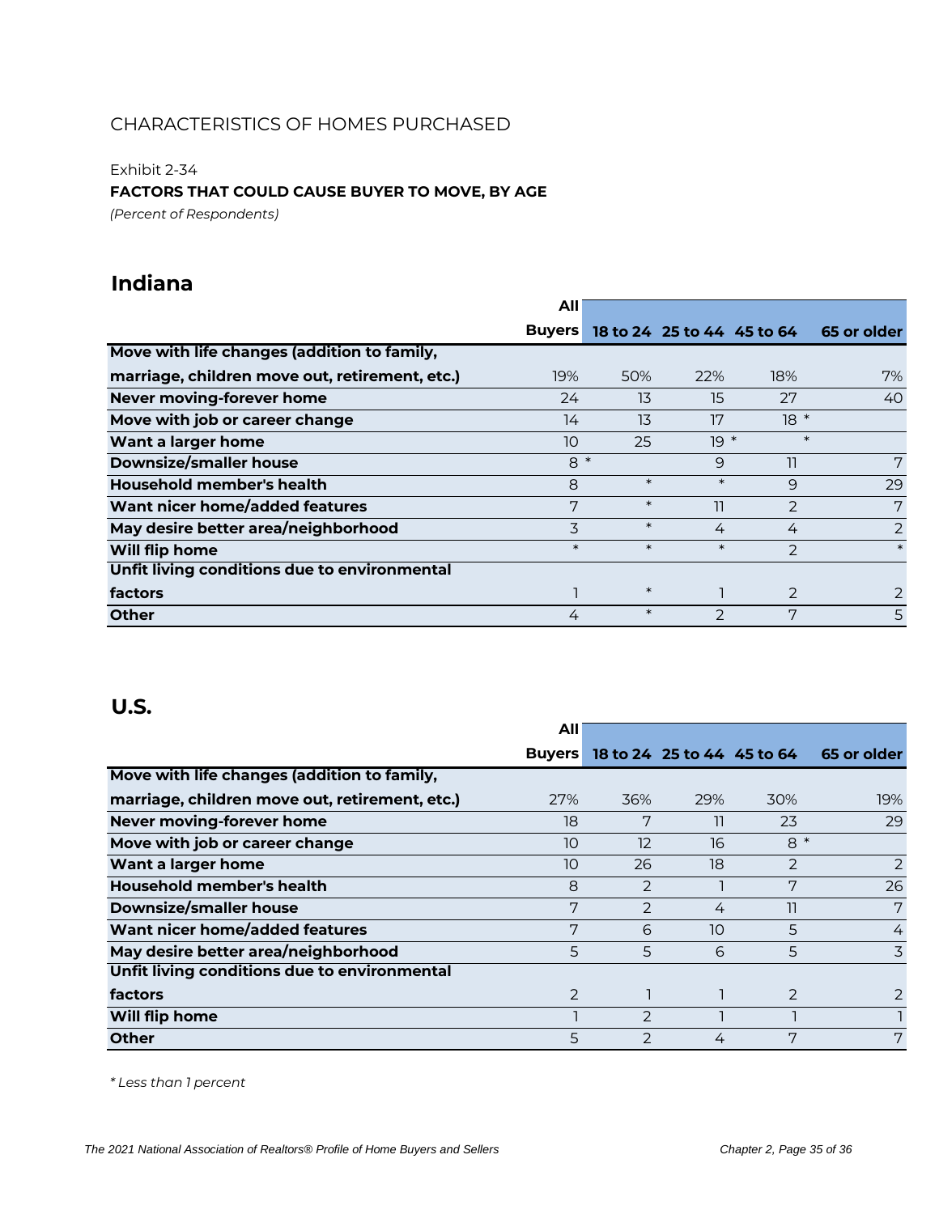Exhibit 2-34

### **FACTORS THAT COULD CAUSE BUYER TO MOVE, BY AGE**

*(Percent of Respondents)*

## **Indiana**

|                                                | Αll           |        |                            |               |             |
|------------------------------------------------|---------------|--------|----------------------------|---------------|-------------|
|                                                | <b>Buyers</b> |        | 18 to 24 25 to 44 45 to 64 |               | 65 or older |
| Move with life changes (addition to family,    |               |        |                            |               |             |
| marriage, children move out, retirement, etc.) | 19%           | 50%    | 22%                        | 18%           | 7%          |
| Never moving-forever home                      | 24            | 13     | 15                         | 27            | 40          |
| Move with job or career change                 | 14            | 13     | 17                         | $18 *$        |             |
| Want a larger home                             | 10            | 25     | $19 *$                     | $\ast$        |             |
| <b>Downsize/smaller house</b>                  | $8*$          |        | 9                          | 11            | 7           |
| Household member's health                      | 8             | $\ast$ | $\ast$                     | 9             | 29          |
| Want nicer home/added features                 | 7             | $\ast$ | 11                         | $\mathcal{P}$ | 7           |
| May desire better area/neighborhood            | 3             | $\ast$ | 4                          | 4             | 2           |
| Will flip home                                 | $\ast$        | $\ast$ | $\ast$                     | 2             | $\ast$      |
| Unfit living conditions due to environmental   |               |        |                            |               |             |
| factors                                        |               | $\ast$ |                            | 2             |             |
| <b>Other</b>                                   | 4             | $\ast$ | $\mathcal{P}$              | 7             | 5           |

### **U.S.**

|                                                | All           |                |                            |      |             |
|------------------------------------------------|---------------|----------------|----------------------------|------|-------------|
|                                                | <b>Buyers</b> |                | 18 to 24 25 to 44 45 to 64 |      | 65 or older |
| Move with life changes (addition to family,    |               |                |                            |      |             |
| marriage, children move out, retirement, etc.) | 27%           | 36%            | 29%                        | 30%  | 19%         |
| Never moving-forever home                      | 18            | 7              | 11                         | 23   | 29          |
| Move with job or career change                 | 10            | 12             | 16                         | $8*$ |             |
| Want a larger home                             | 10            | 26             | 18                         | 2    | 2           |
| Household member's health                      | 8             | 2              |                            | 7    | 26          |
| <b>Downsize/smaller house</b>                  | 7             | $\mathcal{P}$  | 4                          | 11   | 7           |
| Want nicer home/added features                 | 7             | 6              | 10                         | 5    | 4           |
| May desire better area/neighborhood            | 5             | 5              | 6                          | 5    | 3           |
| Unfit living conditions due to environmental   |               |                |                            |      |             |
| factors                                        | 2             |                |                            | 2    | 2           |
| Will flip home                                 |               | $\overline{2}$ |                            |      |             |
| <b>Other</b>                                   | 5             | 2              | 4                          | 7    | 7           |